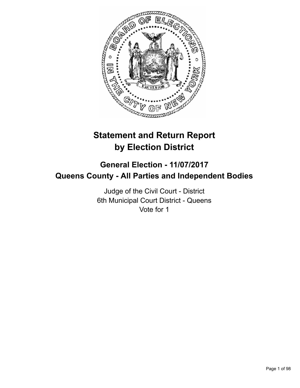

# **Statement and Return Report by Election District**

## **General Election - 11/07/2017 Queens County - All Parties and Independent Bodies**

Judge of the Civil Court - District 6th Municipal Court District - Queens Vote for 1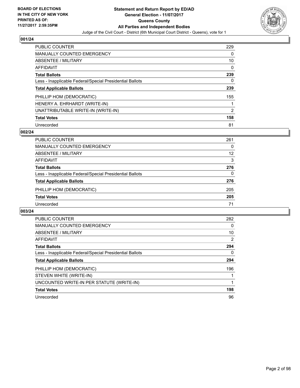

| <b>PUBLIC COUNTER</b>                                    | 229 |
|----------------------------------------------------------|-----|
| <b>MANUALLY COUNTED EMERGENCY</b>                        | 0   |
| ABSENTEE / MILITARY                                      | 10  |
| AFFIDAVIT                                                | 0   |
| <b>Total Ballots</b>                                     | 239 |
| Less - Inapplicable Federal/Special Presidential Ballots | 0   |
| <b>Total Applicable Ballots</b>                          | 239 |
| PHILLIP HOM (DEMOCRATIC)                                 | 155 |
| HENERY A. EHRHARDT (WRITE-IN)                            |     |
| UNATTRIBUTABLE WRITE-IN (WRITE-IN)                       | 2   |
| <b>Total Votes</b>                                       | 158 |
| Unrecorded                                               | 81  |

## **002/24**

| PUBLIC COUNTER                                           | 261      |
|----------------------------------------------------------|----------|
| <b>MANUALLY COUNTED EMERGENCY</b>                        | 0        |
| ABSENTEE / MILITARY                                      | 12       |
| AFFIDAVIT                                                | 3        |
| <b>Total Ballots</b>                                     | 276      |
| Less - Inapplicable Federal/Special Presidential Ballots | $\Omega$ |
| <b>Total Applicable Ballots</b>                          | 276      |
| PHILLIP HOM (DEMOCRATIC)                                 | 205      |
| <b>Total Votes</b>                                       | 205      |
| Unrecorded                                               | 71       |

| <b>PUBLIC COUNTER</b>                                    | 282 |
|----------------------------------------------------------|-----|
| <b>MANUALLY COUNTED EMERGENCY</b>                        | 0   |
| ABSENTEE / MILITARY                                      | 10  |
| <b>AFFIDAVIT</b>                                         | 2   |
| <b>Total Ballots</b>                                     | 294 |
| Less - Inapplicable Federal/Special Presidential Ballots | 0   |
| <b>Total Applicable Ballots</b>                          | 294 |
| PHILLIP HOM (DEMOCRATIC)                                 | 196 |
| STEVEN WHITE (WRITE-IN)                                  |     |
| UNCOUNTED WRITE-IN PER STATUTE (WRITE-IN)                |     |
| <b>Total Votes</b>                                       | 198 |
| Unrecorded                                               | 96  |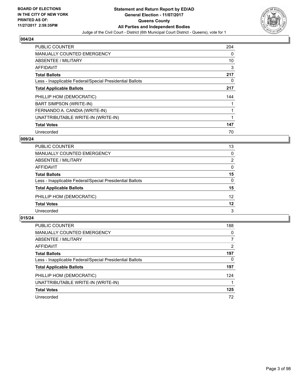

| <b>PUBLIC COUNTER</b>                                    | 204 |
|----------------------------------------------------------|-----|
| <b>MANUALLY COUNTED EMERGENCY</b>                        | 0   |
| ABSENTEE / MILITARY                                      | 10  |
| <b>AFFIDAVIT</b>                                         | 3   |
| <b>Total Ballots</b>                                     | 217 |
| Less - Inapplicable Federal/Special Presidential Ballots | 0   |
| <b>Total Applicable Ballots</b>                          | 217 |
| PHILLIP HOM (DEMOCRATIC)                                 | 144 |
| BART SIMPSON (WRITE-IN)                                  |     |
| FERNANDO A. CANDIA (WRITE-IN)                            |     |
| UNATTRIBUTABLE WRITE-IN (WRITE-IN)                       |     |
| <b>Total Votes</b>                                       | 147 |
| Unrecorded                                               | 70  |

## **009/24**

| <b>PUBLIC COUNTER</b>                                    | 13       |
|----------------------------------------------------------|----------|
| MANUALLY COUNTED EMERGENCY                               | 0        |
| ABSENTEE / MILITARY                                      | 2        |
| AFFIDAVIT                                                | 0        |
| <b>Total Ballots</b>                                     | 15       |
| Less - Inapplicable Federal/Special Presidential Ballots | $\Omega$ |
| <b>Total Applicable Ballots</b>                          | 15       |
| PHILLIP HOM (DEMOCRATIC)                                 | 12       |
| <b>Total Votes</b>                                       | 12       |
| Unrecorded                                               | 3        |

| <b>PUBLIC COUNTER</b>                                    | 188 |
|----------------------------------------------------------|-----|
| MANUALLY COUNTED EMERGENCY                               | 0   |
| ABSENTEE / MILITARY                                      | 7   |
| AFFIDAVIT                                                | 2   |
| <b>Total Ballots</b>                                     | 197 |
| Less - Inapplicable Federal/Special Presidential Ballots | 0   |
| <b>Total Applicable Ballots</b>                          | 197 |
| PHILLIP HOM (DEMOCRATIC)                                 | 124 |
| UNATTRIBUTABLE WRITE-IN (WRITE-IN)                       |     |
| <b>Total Votes</b>                                       | 125 |
| Unrecorded                                               | 72  |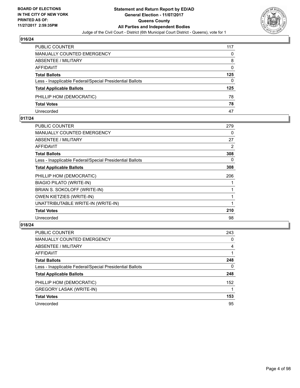

| PUBLIC COUNTER                                           | 117 |
|----------------------------------------------------------|-----|
| <b>MANUALLY COUNTED EMERGENCY</b>                        | 0   |
| ABSENTEE / MILITARY                                      | 8   |
| AFFIDAVIT                                                | 0   |
| <b>Total Ballots</b>                                     | 125 |
| Less - Inapplicable Federal/Special Presidential Ballots | 0   |
| <b>Total Applicable Ballots</b>                          | 125 |
| PHILLIP HOM (DEMOCRATIC)                                 | 78  |
| <b>Total Votes</b>                                       | 78  |
| Unrecorded                                               | 47  |

## **017/24**

| <b>PUBLIC COUNTER</b>                                    | 279            |
|----------------------------------------------------------|----------------|
| <b>MANUALLY COUNTED EMERGENCY</b>                        | 0              |
| ABSENTEE / MILITARY                                      | 27             |
| AFFIDAVIT                                                | $\overline{2}$ |
| <b>Total Ballots</b>                                     | 308            |
| Less - Inapplicable Federal/Special Presidential Ballots | 0              |
| <b>Total Applicable Ballots</b>                          | 308            |
| PHILLIP HOM (DEMOCRATIC)                                 | 206            |
| <b>BIAGIO PILATO (WRITE-IN)</b>                          |                |
| BRIAN S. SOKOLOFF (WRITE-IN)                             |                |
| <b>OWEN KIETZIES (WRITE-IN)</b>                          |                |
| UNATTRIBUTABLE WRITE-IN (WRITE-IN)                       | 1              |
| <b>Total Votes</b>                                       | 210            |
| Unrecorded                                               | 98             |
|                                                          |                |

| <b>PUBLIC COUNTER</b>                                    | 243 |
|----------------------------------------------------------|-----|
| <b>MANUALLY COUNTED EMERGENCY</b>                        | 0   |
| ABSENTEE / MILITARY                                      | 4   |
| AFFIDAVIT                                                |     |
| <b>Total Ballots</b>                                     | 248 |
| Less - Inapplicable Federal/Special Presidential Ballots | 0   |
| <b>Total Applicable Ballots</b>                          | 248 |
| PHILLIP HOM (DEMOCRATIC)                                 | 152 |
| <b>GREGORY LASAK (WRITE-IN)</b>                          |     |
| <b>Total Votes</b>                                       | 153 |
| Unrecorded                                               | 95  |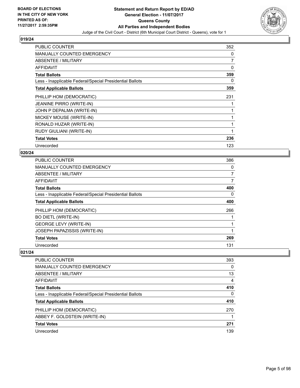

| <b>PUBLIC COUNTER</b>                                    | 352 |
|----------------------------------------------------------|-----|
| MANUALLY COUNTED EMERGENCY                               | 0   |
| ABSENTEE / MILITARY                                      | 7   |
| AFFIDAVIT                                                | 0   |
| <b>Total Ballots</b>                                     | 359 |
| Less - Inapplicable Federal/Special Presidential Ballots | 0   |
| <b>Total Applicable Ballots</b>                          | 359 |
| PHILLIP HOM (DEMOCRATIC)                                 | 231 |
| <b>JEANINE PIRRO (WRITE-IN)</b>                          |     |
| JOHN P DEPALMA (WRITE-IN)                                |     |
| MICKEY MOUSE (WRITE-IN)                                  |     |
| RONALD HUZAR (WRITE-IN)                                  |     |
| RUDY GIULIANI (WRITE-IN)                                 |     |
| <b>Total Votes</b>                                       | 236 |
| Unrecorded                                               | 123 |

#### **020/24**

| <b>PUBLIC COUNTER</b>                                    | 386            |
|----------------------------------------------------------|----------------|
| MANUALLY COUNTED EMERGENCY                               | 0              |
| ABSENTEE / MILITARY                                      | 7              |
| AFFIDAVIT                                                | $\overline{7}$ |
| <b>Total Ballots</b>                                     | 400            |
| Less - Inapplicable Federal/Special Presidential Ballots | 0              |
| <b>Total Applicable Ballots</b>                          | 400            |
| PHILLIP HOM (DEMOCRATIC)                                 | 266            |
| <b>BO DIETL (WRITE-IN)</b>                               |                |
| <b>GEORGE LEVY (WRITE-IN)</b>                            |                |
| JOSEPH PAPAZISSIS (WRITE-IN)                             |                |
| <b>Total Votes</b>                                       | 269            |
| Unrecorded                                               | 131            |

| <b>PUBLIC COUNTER</b>                                    | 393      |
|----------------------------------------------------------|----------|
| <b>MANUALLY COUNTED EMERGENCY</b>                        | 0        |
| ABSENTEE / MILITARY                                      | 13       |
| AFFIDAVIT                                                | 4        |
| <b>Total Ballots</b>                                     | 410      |
| Less - Inapplicable Federal/Special Presidential Ballots | $\Omega$ |
| <b>Total Applicable Ballots</b>                          | 410      |
| PHILLIP HOM (DEMOCRATIC)                                 | 270      |
| ABBEY F. GOLDSTEIN (WRITE-IN)                            |          |
| <b>Total Votes</b>                                       | 271      |
| Unrecorded                                               | 139      |
|                                                          |          |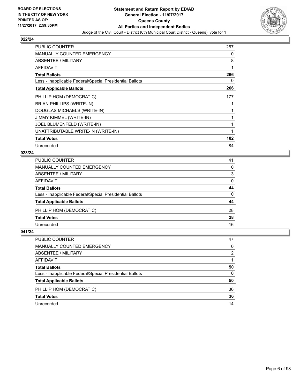

| <b>PUBLIC COUNTER</b>                                    | 257 |
|----------------------------------------------------------|-----|
| MANUALLY COUNTED EMERGENCY                               | 0   |
| ABSENTEE / MILITARY                                      | 8   |
| AFFIDAVIT                                                | 1   |
| <b>Total Ballots</b>                                     | 266 |
| Less - Inapplicable Federal/Special Presidential Ballots | 0   |
| <b>Total Applicable Ballots</b>                          | 266 |
| PHILLIP HOM (DEMOCRATIC)                                 | 177 |
| BRIAN PHILLIPS (WRITE-IN)                                |     |
| DOUGLAS MICHAELS (WRITE-IN)                              |     |
| JIMMY KIMMEL (WRITE-IN)                                  |     |
| JOEL BLUMENFELD (WRITE-IN)                               |     |
| UNATTRIBUTABLE WRITE-IN (WRITE-IN)                       |     |
| <b>Total Votes</b>                                       | 182 |
| Unrecorded                                               | 84  |

#### **023/24**

| PUBLIC COUNTER                                           | 41       |
|----------------------------------------------------------|----------|
| MANUALLY COUNTED EMERGENCY                               | 0        |
| <b>ABSENTEE / MILITARY</b>                               | 3        |
| AFFIDAVIT                                                | $\Omega$ |
| <b>Total Ballots</b>                                     | 44       |
| Less - Inapplicable Federal/Special Presidential Ballots | $\Omega$ |
| <b>Total Applicable Ballots</b>                          | 44       |
| PHILLIP HOM (DEMOCRATIC)                                 | 28       |
| <b>Total Votes</b>                                       | 28       |
| Unrecorded                                               | 16       |

| PUBLIC COUNTER                                           | 47 |
|----------------------------------------------------------|----|
| MANUALLY COUNTED EMERGENCY                               | 0  |
| ABSENTEE / MILITARY                                      | 2  |
| AFFIDAVIT                                                |    |
| <b>Total Ballots</b>                                     | 50 |
| Less - Inapplicable Federal/Special Presidential Ballots | 0  |
| <b>Total Applicable Ballots</b>                          | 50 |
| PHILLIP HOM (DEMOCRATIC)                                 | 36 |
| <b>Total Votes</b>                                       | 36 |
| Unrecorded                                               | 14 |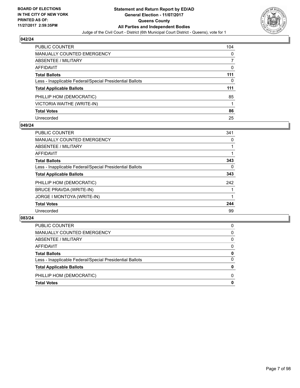

| PUBLIC COUNTER                                           | 104 |
|----------------------------------------------------------|-----|
| <b>MANUALLY COUNTED EMERGENCY</b>                        | 0   |
| <b>ABSENTEE / MILITARY</b>                               |     |
| <b>AFFIDAVIT</b>                                         | 0   |
| <b>Total Ballots</b>                                     | 111 |
| Less - Inapplicable Federal/Special Presidential Ballots | 0   |
| <b>Total Applicable Ballots</b>                          | 111 |
| PHILLIP HOM (DEMOCRATIC)                                 | 85  |
| VICTORIA WAITHE (WRITE-IN)                               |     |
| <b>Total Votes</b>                                       | 86  |
| Unrecorded                                               | 25  |

## **049/24**

| <b>PUBLIC COUNTER</b>                                    | 341 |
|----------------------------------------------------------|-----|
| MANUALLY COUNTED EMERGENCY                               | 0   |
| ABSENTEE / MILITARY                                      |     |
| AFFIDAVIT                                                |     |
| <b>Total Ballots</b>                                     | 343 |
| Less - Inapplicable Federal/Special Presidential Ballots | 0   |
| <b>Total Applicable Ballots</b>                          | 343 |
| PHILLIP HOM (DEMOCRATIC)                                 | 242 |
| <b>BRUCE PRAVDA (WRITE-IN)</b>                           |     |
| JORGE I MONTOYA (WRITE-IN)                               |     |
| <b>Total Votes</b>                                       | 244 |
| Unrecorded                                               | 99  |

| <b>Total Votes</b>                                       | 0        |
|----------------------------------------------------------|----------|
| PHILLIP HOM (DEMOCRATIC)                                 | 0        |
| <b>Total Applicable Ballots</b>                          | 0        |
| Less - Inapplicable Federal/Special Presidential Ballots | 0        |
| <b>Total Ballots</b>                                     | 0        |
| AFFIDAVIT                                                | 0        |
| ABSENTEE / MILITARY                                      | $\Omega$ |
| MANUALLY COUNTED EMERGENCY                               | 0        |
| PUBLIC COUNTER                                           | 0        |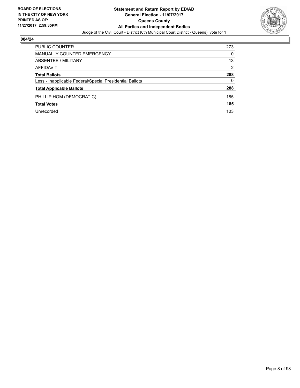

| <b>PUBLIC COUNTER</b>                                    | 273 |
|----------------------------------------------------------|-----|
| <b>MANUALLY COUNTED EMERGENCY</b>                        | 0   |
| ABSENTEE / MILITARY                                      | 13  |
| AFFIDAVIT                                                | 2   |
| <b>Total Ballots</b>                                     | 288 |
| Less - Inapplicable Federal/Special Presidential Ballots | 0   |
| <b>Total Applicable Ballots</b>                          | 288 |
| PHILLIP HOM (DEMOCRATIC)                                 | 185 |
| <b>Total Votes</b>                                       | 185 |
| Unrecorded                                               | 103 |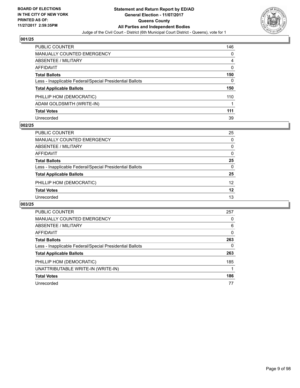

| <b>PUBLIC COUNTER</b>                                    | 146 |
|----------------------------------------------------------|-----|
| <b>MANUALLY COUNTED EMERGENCY</b>                        | 0   |
| ABSENTEE / MILITARY                                      | 4   |
| <b>AFFIDAVIT</b>                                         | 0   |
| <b>Total Ballots</b>                                     | 150 |
| Less - Inapplicable Federal/Special Presidential Ballots | 0   |
| <b>Total Applicable Ballots</b>                          | 150 |
| PHILLIP HOM (DEMOCRATIC)                                 | 110 |
| ADAM GOLDSMITH (WRITE-IN)                                |     |
| <b>Total Votes</b>                                       | 111 |
| Unrecorded                                               | 39  |

## **002/25**

| <b>PUBLIC COUNTER</b>                                    | 25       |
|----------------------------------------------------------|----------|
| <b>MANUALLY COUNTED EMERGENCY</b>                        | 0        |
| ABSENTEE / MILITARY                                      | 0        |
| AFFIDAVIT                                                | 0        |
| <b>Total Ballots</b>                                     | 25       |
| Less - Inapplicable Federal/Special Presidential Ballots | $\Omega$ |
| <b>Total Applicable Ballots</b>                          | 25       |
| PHILLIP HOM (DEMOCRATIC)                                 | 12       |
| <b>Total Votes</b>                                       | 12       |
| Unrecorded                                               | 13       |
|                                                          |          |

| <b>PUBLIC COUNTER</b>                                    | 257 |
|----------------------------------------------------------|-----|
| <b>MANUALLY COUNTED EMERGENCY</b>                        | 0   |
| ABSENTEE / MILITARY                                      | 6   |
| <b>AFFIDAVIT</b>                                         | 0   |
| <b>Total Ballots</b>                                     | 263 |
| Less - Inapplicable Federal/Special Presidential Ballots | 0   |
| <b>Total Applicable Ballots</b>                          | 263 |
| PHILLIP HOM (DEMOCRATIC)                                 | 185 |
| UNATTRIBUTABLE WRITE-IN (WRITE-IN)                       |     |
| <b>Total Votes</b>                                       | 186 |
| Unrecorded                                               | 77  |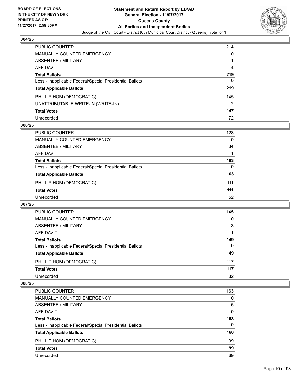

| PUBLIC COUNTER                                           | 214 |
|----------------------------------------------------------|-----|
| <b>MANUALLY COUNTED EMERGENCY</b>                        | 0   |
| ABSENTEE / MILITARY                                      |     |
| AFFIDAVIT                                                | 4   |
| <b>Total Ballots</b>                                     | 219 |
| Less - Inapplicable Federal/Special Presidential Ballots | 0   |
| <b>Total Applicable Ballots</b>                          | 219 |
| PHILLIP HOM (DEMOCRATIC)                                 | 145 |
| UNATTRIBUTABLE WRITE-IN (WRITE-IN)                       | 2   |
| <b>Total Votes</b>                                       | 147 |
| Unrecorded                                               | 72  |

## **006/25**

| PUBLIC COUNTER                                           | 128      |
|----------------------------------------------------------|----------|
| <b>MANUALLY COUNTED EMERGENCY</b>                        | 0        |
| ABSENTEE / MILITARY                                      | 34       |
| AFFIDAVIT                                                |          |
| <b>Total Ballots</b>                                     | 163      |
| Less - Inapplicable Federal/Special Presidential Ballots | $\Omega$ |
| <b>Total Applicable Ballots</b>                          | 163      |
| PHILLIP HOM (DEMOCRATIC)                                 | 111      |
| <b>Total Votes</b>                                       | 111      |
| Unrecorded                                               | 52       |
|                                                          |          |

## **007/25**

| PUBLIC COUNTER                                           | 145 |
|----------------------------------------------------------|-----|
| <b>MANUALLY COUNTED EMERGENCY</b>                        | 0   |
| ABSENTEE / MILITARY                                      | 3   |
| AFFIDAVIT                                                |     |
| <b>Total Ballots</b>                                     | 149 |
| Less - Inapplicable Federal/Special Presidential Ballots | 0   |
| <b>Total Applicable Ballots</b>                          | 149 |
| PHILLIP HOM (DEMOCRATIC)                                 | 117 |
| <b>Total Votes</b>                                       | 117 |
| Unrecorded                                               | 32  |

| <b>PUBLIC COUNTER</b>                                    | 163      |
|----------------------------------------------------------|----------|
| <b>MANUALLY COUNTED EMERGENCY</b>                        | 0        |
| <b>ABSENTEE / MILITARY</b>                               | 5        |
| <b>AFFIDAVIT</b>                                         | 0        |
| <b>Total Ballots</b>                                     | 168      |
| Less - Inapplicable Federal/Special Presidential Ballots | $\Omega$ |
| <b>Total Applicable Ballots</b>                          | 168      |
| PHILLIP HOM (DEMOCRATIC)                                 | 99       |
| <b>Total Votes</b>                                       | 99       |
| Unrecorded                                               | 69       |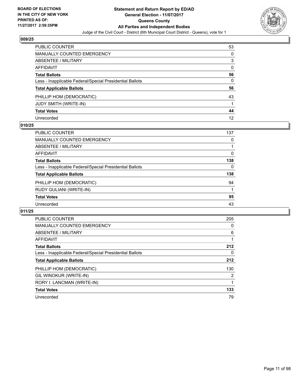

| PUBLIC COUNTER                                           | 53           |
|----------------------------------------------------------|--------------|
| <b>MANUALLY COUNTED EMERGENCY</b>                        | 0            |
| <b>ABSENTEE / MILITARY</b>                               | 3            |
| AFFIDAVIT                                                | 0            |
| <b>Total Ballots</b>                                     | 56           |
| Less - Inapplicable Federal/Special Presidential Ballots | $\mathbf{0}$ |
| <b>Total Applicable Ballots</b>                          | 56           |
| PHILLIP HOM (DEMOCRATIC)                                 | 43           |
| JUDY SMITH (WRITE-IN)                                    |              |
| <b>Total Votes</b>                                       | 44           |
| Unrecorded                                               | 12           |

## **010/25**

| PUBLIC COUNTER                                           | 137 |
|----------------------------------------------------------|-----|
| MANUALLY COUNTED EMERGENCY                               | 0   |
| ABSENTEE / MILITARY                                      |     |
| AFFIDAVIT                                                | 0   |
| <b>Total Ballots</b>                                     | 138 |
| Less - Inapplicable Federal/Special Presidential Ballots | 0   |
| <b>Total Applicable Ballots</b>                          | 138 |
| PHILLIP HOM (DEMOCRATIC)                                 | 94  |
| RUDY GULIANI (WRITE-IN)                                  |     |
| <b>Total Votes</b>                                       | 95  |
| Unrecorded                                               | 43  |

| <b>PUBLIC COUNTER</b>                                    | 205 |
|----------------------------------------------------------|-----|
| <b>MANUALLY COUNTED EMERGENCY</b>                        | 0   |
| <b>ABSENTEE / MILITARY</b>                               | 6   |
| <b>AFFIDAVIT</b>                                         |     |
| <b>Total Ballots</b>                                     | 212 |
| Less - Inapplicable Federal/Special Presidential Ballots | 0   |
| <b>Total Applicable Ballots</b>                          | 212 |
| PHILLIP HOM (DEMOCRATIC)                                 | 130 |
| GIL WINOKUR (WRITE-IN)                                   | 2   |
| RORY I. LANCMAN (WRITE-IN)                               |     |
| <b>Total Votes</b>                                       | 133 |
| Unrecorded                                               | 79  |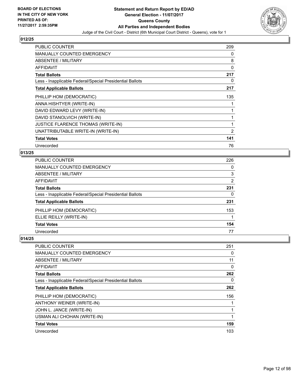

| <b>PUBLIC COUNTER</b>                                    | 209 |
|----------------------------------------------------------|-----|
| MANUALLY COUNTED EMERGENCY                               | 0   |
| ABSENTEE / MILITARY                                      | 8   |
| <b>AFFIDAVIT</b>                                         | 0   |
| <b>Total Ballots</b>                                     | 217 |
| Less - Inapplicable Federal/Special Presidential Ballots | 0   |
| <b>Total Applicable Ballots</b>                          | 217 |
| PHILLIP HOM (DEMOCRATIC)                                 | 135 |
| ANNA HISHTYER (WRITE-IN)                                 |     |
| DAVID EDWARD LEVY (WRITE-IN)                             | 1   |
| DAVID STANOLVICH (WRITE-IN)                              | 1   |
| <b>JUSTICE FLARENCE THOMAS (WRITE-IN)</b>                | 1   |
| UNATTRIBUTABLE WRITE-IN (WRITE-IN)                       | 2   |
| <b>Total Votes</b>                                       | 141 |
| Unrecorded                                               | 76  |

## **013/25**

| PUBLIC COUNTER                                           | 226 |
|----------------------------------------------------------|-----|
| <b>MANUALLY COUNTED EMERGENCY</b>                        | 0   |
| <b>ABSENTEE / MILITARY</b>                               | 3   |
| AFFIDAVIT                                                | 2   |
| <b>Total Ballots</b>                                     | 231 |
| Less - Inapplicable Federal/Special Presidential Ballots | 0   |
| <b>Total Applicable Ballots</b>                          | 231 |
| PHILLIP HOM (DEMOCRATIC)                                 | 153 |
| ELLIE REILLY (WRITE-IN)                                  |     |
| <b>Total Votes</b>                                       | 154 |
| Unrecorded                                               | 77  |

| PUBLIC COUNTER                                           | 251 |
|----------------------------------------------------------|-----|
| <b>MANUALLY COUNTED EMERGENCY</b>                        | 0   |
| ABSENTEE / MILITARY                                      | 11  |
| AFFIDAVIT                                                | 0   |
| <b>Total Ballots</b>                                     | 262 |
| Less - Inapplicable Federal/Special Presidential Ballots | 0   |
| <b>Total Applicable Ballots</b>                          | 262 |
| PHILLIP HOM (DEMOCRATIC)                                 | 156 |
| ANTHONY WEINER (WRITE-IN)                                |     |
| JOHN L. JANCE (WRITE-IN)                                 |     |
| USMAN ALI CHOHAN (WRITE-IN)                              | 1   |
| <b>Total Votes</b>                                       | 159 |
| Unrecorded                                               | 103 |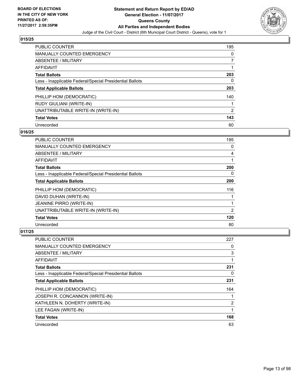

| PUBLIC COUNTER                                           | 195 |
|----------------------------------------------------------|-----|
| <b>MANUALLY COUNTED EMERGENCY</b>                        | 0   |
| ABSENTEE / MILITARY                                      | 7   |
| AFFIDAVIT                                                |     |
| <b>Total Ballots</b>                                     | 203 |
| Less - Inapplicable Federal/Special Presidential Ballots | 0   |
| <b>Total Applicable Ballots</b>                          | 203 |
| PHILLIP HOM (DEMOCRATIC)                                 | 140 |
| <b>RUDY GIULIANI (WRITE-IN)</b>                          |     |
| UNATTRIBUTABLE WRITE-IN (WRITE-IN)                       | 2   |
| <b>Total Votes</b>                                       | 143 |
| Unrecorded                                               | 60  |

## **016/25**

| <b>PUBLIC COUNTER</b>                                    | 195 |
|----------------------------------------------------------|-----|
| <b>MANUALLY COUNTED EMERGENCY</b>                        | 0   |
| ABSENTEE / MILITARY                                      | 4   |
| <b>AFFIDAVIT</b>                                         |     |
| <b>Total Ballots</b>                                     | 200 |
| Less - Inapplicable Federal/Special Presidential Ballots | 0   |
| <b>Total Applicable Ballots</b>                          | 200 |
| PHILLIP HOM (DEMOCRATIC)                                 | 116 |
| DAVID DUHAN (WRITE-IN)                                   |     |
| <b>JEANINE PIRRO (WRITE-IN)</b>                          |     |
| UNATTRIBUTABLE WRITE-IN (WRITE-IN)                       | 2   |
| <b>Total Votes</b>                                       | 120 |
| Unrecorded                                               | 80  |

| <b>PUBLIC COUNTER</b>                                    | 227 |
|----------------------------------------------------------|-----|
| <b>MANUALLY COUNTED EMERGENCY</b>                        | 0   |
| ABSENTEE / MILITARY                                      | 3   |
| AFFIDAVIT                                                |     |
| <b>Total Ballots</b>                                     | 231 |
| Less - Inapplicable Federal/Special Presidential Ballots | 0   |
| <b>Total Applicable Ballots</b>                          | 231 |
| PHILLIP HOM (DEMOCRATIC)                                 | 164 |
| JOSEPH R. CONCANNON (WRITE-IN)                           |     |
| KATHLEEN N. DOHERTY (WRITE-IN)                           | 2   |
| LEE FAGAN (WRITE-IN)                                     | 1   |
| <b>Total Votes</b>                                       | 168 |
| Unrecorded                                               | 63  |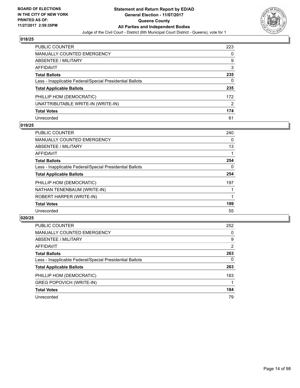

| <b>PUBLIC COUNTER</b>                                    | 223 |
|----------------------------------------------------------|-----|
| <b>MANUALLY COUNTED EMERGENCY</b>                        | 0   |
| <b>ABSENTEE / MILITARY</b>                               | 9   |
| <b>AFFIDAVIT</b>                                         | 3   |
| <b>Total Ballots</b>                                     | 235 |
| Less - Inapplicable Federal/Special Presidential Ballots | 0   |
| <b>Total Applicable Ballots</b>                          | 235 |
| PHILLIP HOM (DEMOCRATIC)                                 | 172 |
| UNATTRIBUTABLE WRITE-IN (WRITE-IN)                       | 2   |
| <b>Total Votes</b>                                       | 174 |
| Unrecorded                                               | 61  |

## **019/25**

| <b>PUBLIC COUNTER</b>                                    | 240 |
|----------------------------------------------------------|-----|
| <b>MANUALLY COUNTED EMERGENCY</b>                        | 0   |
| <b>ABSENTEE / MILITARY</b>                               | 13  |
| <b>AFFIDAVIT</b>                                         |     |
| <b>Total Ballots</b>                                     | 254 |
| Less - Inapplicable Federal/Special Presidential Ballots | 0   |
| <b>Total Applicable Ballots</b>                          | 254 |
| PHILLIP HOM (DEMOCRATIC)                                 | 197 |
| NATHAN TENENBAUM (WRITE-IN)                              |     |
| ROBERT HARPER (WRITE-IN)                                 |     |
| <b>Total Votes</b>                                       | 199 |
| Unrecorded                                               | 55  |

| <b>PUBLIC COUNTER</b>                                    | 252 |
|----------------------------------------------------------|-----|
| MANUALLY COUNTED EMERGENCY                               | 0   |
| ABSENTEE / MILITARY                                      | 9   |
| AFFIDAVIT                                                | 2   |
| <b>Total Ballots</b>                                     | 263 |
| Less - Inapplicable Federal/Special Presidential Ballots | 0   |
| <b>Total Applicable Ballots</b>                          | 263 |
| PHILLIP HOM (DEMOCRATIC)                                 | 183 |
| <b>GREG POPOVICH (WRITE-IN)</b>                          |     |
| <b>Total Votes</b>                                       | 184 |
| Unrecorded                                               | 79  |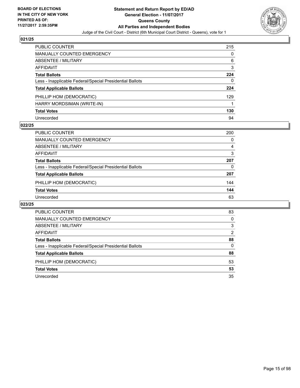

| <b>PUBLIC COUNTER</b>                                    | 215 |
|----------------------------------------------------------|-----|
| <b>MANUALLY COUNTED EMERGENCY</b>                        | 0   |
| <b>ABSENTEE / MILITARY</b>                               | 6   |
| <b>AFFIDAVIT</b>                                         | 3   |
| <b>Total Ballots</b>                                     | 224 |
| Less - Inapplicable Federal/Special Presidential Ballots | 0   |
| <b>Total Applicable Ballots</b>                          | 224 |
| PHILLIP HOM (DEMOCRATIC)                                 | 129 |
| HARRY MORDSIMAN (WRITE-IN)                               |     |
| <b>Total Votes</b>                                       | 130 |
| Unrecorded                                               | 94  |

## **022/25**

| <b>PUBLIC COUNTER</b>                                    | 200 |
|----------------------------------------------------------|-----|
| MANUALLY COUNTED EMERGENCY                               | 0   |
| ABSENTEE / MILITARY                                      | 4   |
| AFFIDAVIT                                                | 3   |
| <b>Total Ballots</b>                                     | 207 |
| Less - Inapplicable Federal/Special Presidential Ballots | 0   |
| <b>Total Applicable Ballots</b>                          | 207 |
| PHILLIP HOM (DEMOCRATIC)                                 | 144 |
| <b>Total Votes</b>                                       | 144 |
| Unrecorded                                               | 63  |

| PUBLIC COUNTER                                           | 83 |
|----------------------------------------------------------|----|
| <b>MANUALLY COUNTED EMERGENCY</b>                        | 0  |
| <b>ABSENTEE / MILITARY</b>                               | 3  |
| AFFIDAVIT                                                | 2  |
| <b>Total Ballots</b>                                     | 88 |
| Less - Inapplicable Federal/Special Presidential Ballots | 0  |
| <b>Total Applicable Ballots</b>                          | 88 |
| PHILLIP HOM (DEMOCRATIC)                                 | 53 |
| <b>Total Votes</b>                                       | 53 |
| Unrecorded                                               | 35 |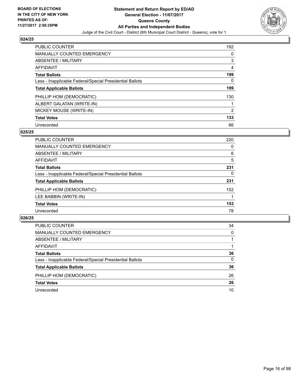

| <b>PUBLIC COUNTER</b>                                    | 192            |
|----------------------------------------------------------|----------------|
| <b>MANUALLY COUNTED EMERGENCY</b>                        | 0              |
| ABSENTEE / MILITARY                                      | 3              |
| <b>AFFIDAVIT</b>                                         | 4              |
| <b>Total Ballots</b>                                     | 199            |
| Less - Inapplicable Federal/Special Presidential Ballots | 0              |
| <b>Total Applicable Ballots</b>                          | 199            |
| PHILLIP HOM (DEMOCRATIC)                                 | 130            |
| ALBERT GALATAN (WRITE-IN)                                |                |
| MICKEY MOUSE (WRITE-IN)                                  | $\overline{2}$ |
| <b>Total Votes</b>                                       | 133            |
| Unrecorded                                               | 66             |

## **025/25**

| <b>PUBLIC COUNTER</b>                                    | 220 |
|----------------------------------------------------------|-----|
| <b>MANUALLY COUNTED EMERGENCY</b>                        | 0   |
| <b>ABSENTEE / MILITARY</b>                               | 6   |
| <b>AFFIDAVIT</b>                                         | 5   |
| <b>Total Ballots</b>                                     | 231 |
| Less - Inapplicable Federal/Special Presidential Ballots | 0   |
| <b>Total Applicable Ballots</b>                          | 231 |
| PHILLIP HOM (DEMOCRATIC)                                 | 152 |
| LEE BABBIN (WRITE-IN)                                    |     |
| <b>Total Votes</b>                                       | 153 |
| Unrecorded                                               | 78  |

| <b>PUBLIC COUNTER</b>                                    | 34       |
|----------------------------------------------------------|----------|
| MANUALLY COUNTED EMERGENCY                               | $\Omega$ |
| ABSENTEE / MILITARY                                      |          |
| AFFIDAVIT                                                |          |
| <b>Total Ballots</b>                                     | 36       |
| Less - Inapplicable Federal/Special Presidential Ballots | 0        |
| <b>Total Applicable Ballots</b>                          | 36       |
| PHILLIP HOM (DEMOCRATIC)                                 | 26       |
| <b>Total Votes</b>                                       | 26       |
| Unrecorded                                               | 10       |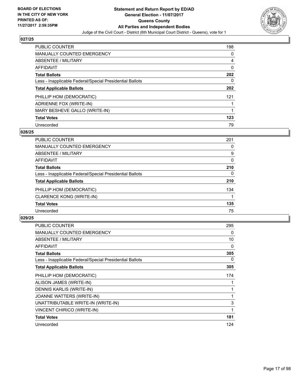

| <b>PUBLIC COUNTER</b>                                    | 198 |
|----------------------------------------------------------|-----|
| <b>MANUALLY COUNTED EMERGENCY</b>                        | 0   |
| ABSENTEE / MILITARY                                      | 4   |
| AFFIDAVIT                                                | 0   |
| <b>Total Ballots</b>                                     | 202 |
| Less - Inapplicable Federal/Special Presidential Ballots | 0   |
| <b>Total Applicable Ballots</b>                          | 202 |
| PHILLIP HOM (DEMOCRATIC)                                 | 121 |
| ADRIENNE FOX (WRITE-IN)                                  |     |
| MARY BESHEVE GALLO (WRITE-IN)                            |     |
| <b>Total Votes</b>                                       | 123 |
| Unrecorded                                               | 79  |

## **028/25**

| PUBLIC COUNTER                                           | 201 |
|----------------------------------------------------------|-----|
| MANUALLY COUNTED EMERGENCY                               | 0   |
| ABSENTEE / MILITARY                                      | 9   |
| AFFIDAVIT                                                | 0   |
| <b>Total Ballots</b>                                     | 210 |
| Less - Inapplicable Federal/Special Presidential Ballots | 0   |
| <b>Total Applicable Ballots</b>                          | 210 |
| PHILLIP HOM (DEMOCRATIC)                                 | 134 |
| <b>CLARENCE KONG (WRITE-IN)</b>                          |     |
| <b>Total Votes</b>                                       | 135 |
| Unrecorded                                               | 75  |

| <b>PUBLIC COUNTER</b>                                    | 295 |
|----------------------------------------------------------|-----|
| <b>MANUALLY COUNTED EMERGENCY</b>                        | 0   |
| ABSENTEE / MILITARY                                      | 10  |
| <b>AFFIDAVIT</b>                                         | 0   |
| <b>Total Ballots</b>                                     | 305 |
| Less - Inapplicable Federal/Special Presidential Ballots | 0   |
| <b>Total Applicable Ballots</b>                          | 305 |
| PHILLIP HOM (DEMOCRATIC)                                 | 174 |
| ALISON JAMES (WRITE-IN)                                  |     |
| DENNIS KARLIS (WRITE-IN)                                 |     |
| JOANNE WATTERS (WRITE-IN)                                |     |
| UNATTRIBUTABLE WRITE-IN (WRITE-IN)                       | 3   |
| <b>VINCENT CHIRICO (WRITE-IN)</b>                        | 1   |
| <b>Total Votes</b>                                       | 181 |
| Unrecorded                                               | 124 |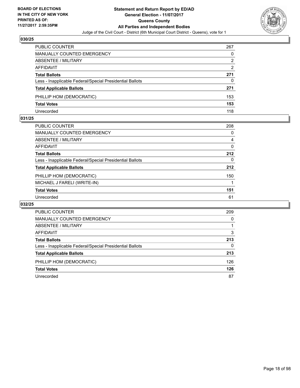

| <b>PUBLIC COUNTER</b>                                    | 267 |
|----------------------------------------------------------|-----|
| <b>MANUALLY COUNTED EMERGENCY</b>                        | 0   |
| ABSENTEE / MILITARY                                      | 2   |
| AFFIDAVIT                                                | 2   |
| <b>Total Ballots</b>                                     | 271 |
| Less - Inapplicable Federal/Special Presidential Ballots | 0   |
| <b>Total Applicable Ballots</b>                          | 271 |
| PHILLIP HOM (DEMOCRATIC)                                 | 153 |
| <b>Total Votes</b>                                       | 153 |
| Unrecorded                                               | 118 |

## **031/25**

| PUBLIC COUNTER                                           | 208      |
|----------------------------------------------------------|----------|
| <b>MANUALLY COUNTED EMERGENCY</b>                        | 0        |
| ABSENTEE / MILITARY                                      | 4        |
| AFFIDAVIT                                                | 0        |
| <b>Total Ballots</b>                                     | 212      |
| Less - Inapplicable Federal/Special Presidential Ballots | $\Omega$ |
| <b>Total Applicable Ballots</b>                          | 212      |
| PHILLIP HOM (DEMOCRATIC)                                 | 150      |
| MICHAEL J FARELI (WRITE-IN)                              |          |
| <b>Total Votes</b>                                       | 151      |
| Unrecorded                                               | 61       |
|                                                          |          |

| PUBLIC COUNTER                                           | 209 |
|----------------------------------------------------------|-----|
| <b>MANUALLY COUNTED EMERGENCY</b>                        | 0   |
| ABSENTEE / MILITARY                                      |     |
| AFFIDAVIT                                                | 3   |
| <b>Total Ballots</b>                                     | 213 |
| Less - Inapplicable Federal/Special Presidential Ballots | 0   |
| <b>Total Applicable Ballots</b>                          | 213 |
| PHILLIP HOM (DEMOCRATIC)                                 | 126 |
| <b>Total Votes</b>                                       | 126 |
| Unrecorded                                               | 87  |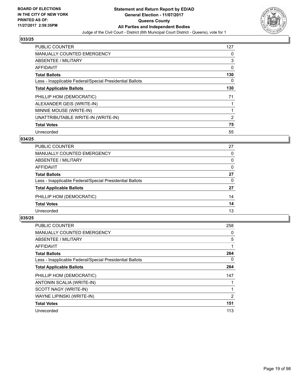

| <b>PUBLIC COUNTER</b>                                    | 127 |
|----------------------------------------------------------|-----|
| <b>MANUALLY COUNTED EMERGENCY</b>                        | 0   |
| ABSENTEE / MILITARY                                      | 3   |
| <b>AFFIDAVIT</b>                                         | 0   |
| <b>Total Ballots</b>                                     | 130 |
| Less - Inapplicable Federal/Special Presidential Ballots | 0   |
| <b>Total Applicable Ballots</b>                          | 130 |
| PHILLIP HOM (DEMOCRATIC)                                 | 71  |
| ALEXANDER GEIS (WRITE-IN)                                |     |
| MINNIE MOUSE (WRITE-IN)                                  |     |
| UNATTRIBUTABLE WRITE-IN (WRITE-IN)                       | 2   |
| <b>Total Votes</b>                                       | 75  |
| Unrecorded                                               | 55  |

## **034/25**

| <b>PUBLIC COUNTER</b>                                    | 27       |
|----------------------------------------------------------|----------|
| MANUALLY COUNTED EMERGENCY                               | $\Omega$ |
| ABSENTEE / MILITARY                                      | 0        |
| AFFIDAVIT                                                | 0        |
| <b>Total Ballots</b>                                     | 27       |
| Less - Inapplicable Federal/Special Presidential Ballots | $\Omega$ |
| <b>Total Applicable Ballots</b>                          | 27       |
| PHILLIP HOM (DEMOCRATIC)                                 | 14       |
| <b>Total Votes</b>                                       | 14       |
| Unrecorded                                               | 13       |

| <b>PUBLIC COUNTER</b>                                    | 258 |
|----------------------------------------------------------|-----|
| <b>MANUALLY COUNTED EMERGENCY</b>                        | 0   |
| ABSENTEE / MILITARY                                      | 5   |
| AFFIDAVIT                                                |     |
| <b>Total Ballots</b>                                     | 264 |
| Less - Inapplicable Federal/Special Presidential Ballots | 0   |
| <b>Total Applicable Ballots</b>                          | 264 |
| PHILLIP HOM (DEMOCRATIC)                                 | 147 |
| ANTONIN SCALIA (WRITE-IN)                                |     |
| SCOTT NAGY (WRITE-IN)                                    |     |
| WAYNE LIPINSKI (WRITE-IN)                                | 2   |
| <b>Total Votes</b>                                       | 151 |
| Unrecorded                                               | 113 |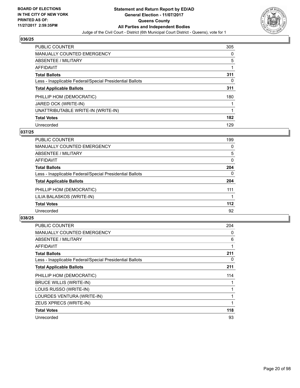

| <b>PUBLIC COUNTER</b>                                    | 305 |
|----------------------------------------------------------|-----|
| <b>MANUALLY COUNTED EMERGENCY</b>                        | 0   |
| ABSENTEE / MILITARY                                      | 5   |
| AFFIDAVIT                                                |     |
| <b>Total Ballots</b>                                     | 311 |
| Less - Inapplicable Federal/Special Presidential Ballots | 0   |
| <b>Total Applicable Ballots</b>                          | 311 |
| PHILLIP HOM (DEMOCRATIC)                                 | 180 |
| JARED OCK (WRITE-IN)                                     |     |
| UNATTRIBUTABLE WRITE-IN (WRITE-IN)                       |     |
| <b>Total Votes</b>                                       | 182 |
| Unrecorded                                               | 129 |

## **037/25**

| <b>PUBLIC COUNTER</b>                                    | 199   |
|----------------------------------------------------------|-------|
| MANUALLY COUNTED EMERGENCY                               | 0     |
| ABSENTEE / MILITARY                                      | 5     |
| <b>AFFIDAVIT</b>                                         | 0     |
| <b>Total Ballots</b>                                     | 204   |
| Less - Inapplicable Federal/Special Presidential Ballots | 0     |
| <b>Total Applicable Ballots</b>                          | 204   |
| PHILLIP HOM (DEMOCRATIC)                                 | 111   |
| LILIA BALASKOS (WRITE-IN)                                |       |
| <b>Total Votes</b>                                       | $112$ |
| Unrecorded                                               | 92    |

| <b>PUBLIC COUNTER</b>                                    | 204 |
|----------------------------------------------------------|-----|
| <b>MANUALLY COUNTED EMERGENCY</b>                        | 0   |
| <b>ABSENTEE / MILITARY</b>                               | 6   |
| AFFIDAVIT                                                |     |
| <b>Total Ballots</b>                                     | 211 |
| Less - Inapplicable Federal/Special Presidential Ballots | 0   |
| <b>Total Applicable Ballots</b>                          | 211 |
| PHILLIP HOM (DEMOCRATIC)                                 | 114 |
| <b>BRUCE WILLIS (WRITE-IN)</b>                           |     |
| LOUIS RUSSO (WRITE-IN)                                   |     |
| LOURDES VENTURA (WRITE-IN)                               |     |
| ZEUS XPRECS (WRITE-IN)                                   |     |
| <b>Total Votes</b>                                       | 118 |
| Unrecorded                                               | 93  |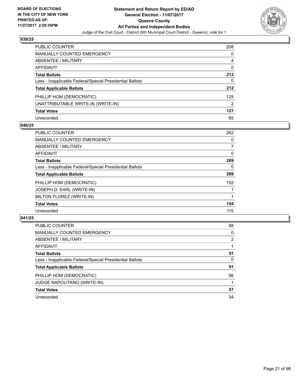

| PUBLIC COUNTER                                           | 208 |
|----------------------------------------------------------|-----|
| <b>MANUALLY COUNTED EMERGENCY</b>                        | 0   |
| ABSENTEE / MILITARY                                      | 4   |
| AFFIDAVIT                                                | 0   |
| <b>Total Ballots</b>                                     | 212 |
| Less - Inapplicable Federal/Special Presidential Ballots | 0   |
| <b>Total Applicable Ballots</b>                          | 212 |
| PHILLIP HOM (DEMOCRATIC)                                 | 125 |
| UNATTRIBUTABLE WRITE-IN (WRITE-IN)                       | 2   |
| <b>Total Votes</b>                                       | 127 |
| Unrecorded                                               | 85  |

## **040/25**

| <b>PUBLIC COUNTER</b>                                    | 262 |
|----------------------------------------------------------|-----|
| <b>MANUALLY COUNTED EMERGENCY</b>                        | 0   |
| ABSENTEE / MILITARY                                      | 7   |
| AFFIDAVIT                                                | 0   |
| <b>Total Ballots</b>                                     | 269 |
| Less - Inapplicable Federal/Special Presidential Ballots | 0   |
| <b>Total Applicable Ballots</b>                          | 269 |
| PHILLIP HOM (DEMOCRATIC)                                 | 152 |
| JOSEPH D. EARL (WRITE-IN)                                |     |
| MILTON FLOREZ (WRITE-IN)                                 |     |
| <b>Total Votes</b>                                       | 154 |
| Unrecorded                                               | 115 |

| <b>PUBLIC COUNTER</b>                                    | 88 |
|----------------------------------------------------------|----|
| MANUALLY COUNTED EMERGENCY                               | 0  |
| ABSENTEE / MILITARY                                      | 2  |
| AFFIDAVIT                                                |    |
| <b>Total Ballots</b>                                     | 91 |
| Less - Inapplicable Federal/Special Presidential Ballots | 0  |
| <b>Total Applicable Ballots</b>                          | 91 |
| PHILLIP HOM (DEMOCRATIC)                                 | 56 |
| <b>JUDGE NAPOLITANO (WRITE-IN)</b>                       |    |
| <b>Total Votes</b>                                       | 57 |
| Unrecorded                                               | 34 |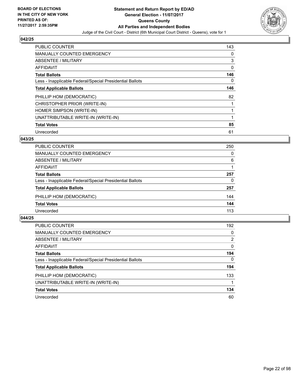

| PUBLIC COUNTER                                           | 143 |
|----------------------------------------------------------|-----|
| <b>MANUALLY COUNTED EMERGENCY</b>                        | 0   |
| ABSENTEE / MILITARY                                      | 3   |
| AFFIDAVIT                                                | 0   |
| <b>Total Ballots</b>                                     | 146 |
| Less - Inapplicable Federal/Special Presidential Ballots | 0   |
| <b>Total Applicable Ballots</b>                          | 146 |
| PHILLIP HOM (DEMOCRATIC)                                 | 82  |
| CHRISTOPHER PRIOR (WRITE-IN)                             |     |
| HOMER SIMPSON (WRITE-IN)                                 |     |
| UNATTRIBUTABLE WRITE-IN (WRITE-IN)                       | 1   |
| <b>Total Votes</b>                                       | 85  |
| Unrecorded                                               | 61  |

## **043/25**

| <b>PUBLIC COUNTER</b>                                    | 250 |
|----------------------------------------------------------|-----|
| MANUALLY COUNTED EMERGENCY                               | 0   |
| ABSENTEE / MILITARY                                      | 6   |
| AFFIDAVIT                                                |     |
| <b>Total Ballots</b>                                     | 257 |
| Less - Inapplicable Federal/Special Presidential Ballots | 0   |
| <b>Total Applicable Ballots</b>                          | 257 |
| PHILLIP HOM (DEMOCRATIC)                                 | 144 |
| <b>Total Votes</b>                                       | 144 |
| Unrecorded                                               | 113 |

| <b>PUBLIC COUNTER</b>                                    | 192      |
|----------------------------------------------------------|----------|
| MANUALLY COUNTED EMERGENCY                               | 0        |
| ABSENTEE / MILITARY                                      | 2        |
| AFFIDAVIT                                                | 0        |
| <b>Total Ballots</b>                                     | 194      |
| Less - Inapplicable Federal/Special Presidential Ballots | $\Omega$ |
| <b>Total Applicable Ballots</b>                          | 194      |
| PHILLIP HOM (DEMOCRATIC)                                 | 133      |
| UNATTRIBUTABLE WRITE-IN (WRITE-IN)                       |          |
| <b>Total Votes</b>                                       | 134      |
| Unrecorded                                               | 60       |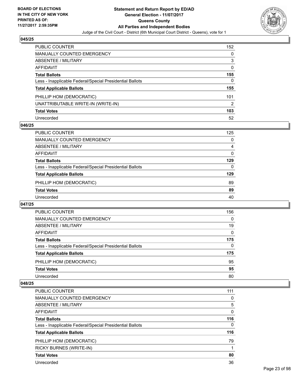

| PUBLIC COUNTER                                           | 152 |
|----------------------------------------------------------|-----|
| MANUALLY COUNTED EMERGENCY                               | 0   |
| ABSENTEE / MILITARY                                      | 3   |
| AFFIDAVIT                                                | 0   |
| <b>Total Ballots</b>                                     | 155 |
| Less - Inapplicable Federal/Special Presidential Ballots | 0   |
| <b>Total Applicable Ballots</b>                          | 155 |
| PHILLIP HOM (DEMOCRATIC)                                 | 101 |
| UNATTRIBUTABLE WRITE-IN (WRITE-IN)                       | 2   |
| <b>Total Votes</b>                                       | 103 |
| Unrecorded                                               | 52  |

## **046/25**

## **047/25**

| PUBLIC COUNTER                                           | 156 |
|----------------------------------------------------------|-----|
| <b>MANUALLY COUNTED EMERGENCY</b>                        | 0   |
| ABSENTEE / MILITARY                                      | 19  |
| AFFIDAVIT                                                | 0   |
| <b>Total Ballots</b>                                     | 175 |
| Less - Inapplicable Federal/Special Presidential Ballots | 0   |
| <b>Total Applicable Ballots</b>                          | 175 |
| PHILLIP HOM (DEMOCRATIC)                                 | 95  |
| <b>Total Votes</b>                                       | 95  |
| Unrecorded                                               | 80  |

| <b>PUBLIC COUNTER</b>                                    | 111 |
|----------------------------------------------------------|-----|
| MANUALLY COUNTED EMERGENCY                               | 0   |
| ABSENTEE / MILITARY                                      | 5   |
| AFFIDAVIT                                                | 0   |
| <b>Total Ballots</b>                                     | 116 |
| Less - Inapplicable Federal/Special Presidential Ballots | 0   |
| <b>Total Applicable Ballots</b>                          | 116 |
| PHILLIP HOM (DEMOCRATIC)                                 | 79  |
| <b>RICKY BURNES (WRITE-IN)</b>                           |     |
| <b>Total Votes</b>                                       | 80  |
| Unrecorded                                               | 36  |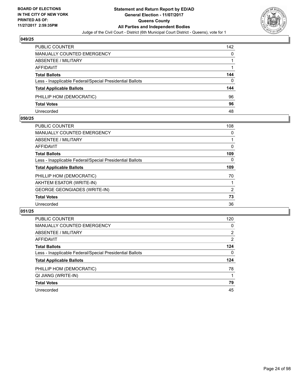

| PUBLIC COUNTER                                           | 142 |
|----------------------------------------------------------|-----|
| <b>MANUALLY COUNTED EMERGENCY</b>                        | 0   |
| <b>ABSENTEE / MILITARY</b>                               |     |
| AFFIDAVIT                                                |     |
| <b>Total Ballots</b>                                     | 144 |
| Less - Inapplicable Federal/Special Presidential Ballots | 0   |
| <b>Total Applicable Ballots</b>                          | 144 |
| PHILLIP HOM (DEMOCRATIC)                                 | 96  |
| <b>Total Votes</b>                                       | 96  |
| Unrecorded                                               | 48  |

## **050/25**

| PUBLIC COUNTER                                           | 108 |
|----------------------------------------------------------|-----|
| <b>MANUALLY COUNTED EMERGENCY</b>                        | 0   |
| ABSENTEE / MILITARY                                      |     |
| AFFIDAVIT                                                | 0   |
| <b>Total Ballots</b>                                     | 109 |
| Less - Inapplicable Federal/Special Presidential Ballots | 0   |
| <b>Total Applicable Ballots</b>                          | 109 |
| PHILLIP HOM (DEMOCRATIC)                                 | 70  |
| AKHTEM ESATOR (WRITE-IN)                                 |     |
| <b>GEORGE GEONGIADES (WRITE-IN)</b>                      | 2   |
| <b>Total Votes</b>                                       | 73  |
| Unrecorded                                               | 36  |
|                                                          |     |

| <b>PUBLIC COUNTER</b>                                    | 120            |
|----------------------------------------------------------|----------------|
| <b>MANUALLY COUNTED EMERGENCY</b>                        | 0              |
| ABSENTEE / MILITARY                                      | $\overline{2}$ |
| <b>AFFIDAVIT</b>                                         | 2              |
| <b>Total Ballots</b>                                     | 124            |
| Less - Inapplicable Federal/Special Presidential Ballots | 0              |
| <b>Total Applicable Ballots</b>                          | 124            |
| PHILLIP HOM (DEMOCRATIC)                                 | 78             |
| QI JIANG (WRITE-IN)                                      |                |
| <b>Total Votes</b>                                       | 79             |
| Unrecorded                                               | 45             |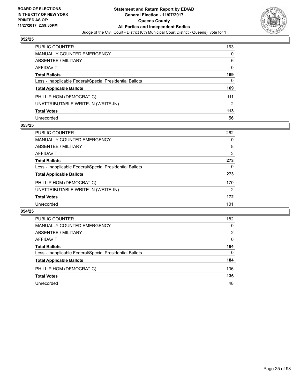

| PUBLIC COUNTER                                           | 163 |
|----------------------------------------------------------|-----|
| <b>MANUALLY COUNTED EMERGENCY</b>                        | 0   |
| ABSENTEE / MILITARY                                      | 6   |
| AFFIDAVIT                                                | 0   |
| <b>Total Ballots</b>                                     | 169 |
| Less - Inapplicable Federal/Special Presidential Ballots | 0   |
| <b>Total Applicable Ballots</b>                          | 169 |
| PHILLIP HOM (DEMOCRATIC)                                 | 111 |
| UNATTRIBUTABLE WRITE-IN (WRITE-IN)                       | 2   |
| <b>Total Votes</b>                                       | 113 |
| Unrecorded                                               | 56  |

## **053/25**

| <b>PUBLIC COUNTER</b>                                    | 262 |
|----------------------------------------------------------|-----|
| <b>MANUALLY COUNTED EMERGENCY</b>                        | 0   |
| ABSENTEE / MILITARY                                      | 8   |
| AFFIDAVIT                                                | 3   |
| <b>Total Ballots</b>                                     | 273 |
| Less - Inapplicable Federal/Special Presidential Ballots | 0   |
| <b>Total Applicable Ballots</b>                          | 273 |
| PHILLIP HOM (DEMOCRATIC)                                 | 170 |
| UNATTRIBUTABLE WRITE-IN (WRITE-IN)                       | 2   |
| <b>Total Votes</b>                                       | 172 |
| Unrecorded                                               | 101 |

| PUBLIC COUNTER                                           | 182            |
|----------------------------------------------------------|----------------|
| <b>MANUALLY COUNTED EMERGENCY</b>                        | 0              |
| ABSENTEE / MILITARY                                      | $\overline{2}$ |
| AFFIDAVIT                                                | 0              |
| <b>Total Ballots</b>                                     | 184            |
| Less - Inapplicable Federal/Special Presidential Ballots | $\Omega$       |
| <b>Total Applicable Ballots</b>                          | 184            |
| PHILLIP HOM (DEMOCRATIC)                                 | 136            |
| <b>Total Votes</b>                                       | 136            |
| Unrecorded                                               | 48             |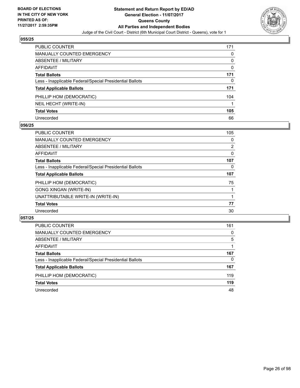

| PUBLIC COUNTER                                           | 171 |
|----------------------------------------------------------|-----|
| <b>MANUALLY COUNTED EMERGENCY</b>                        | 0   |
| ABSENTEE / MILITARY                                      | 0   |
| AFFIDAVIT                                                | 0   |
| <b>Total Ballots</b>                                     | 171 |
| Less - Inapplicable Federal/Special Presidential Ballots | 0   |
| <b>Total Applicable Ballots</b>                          | 171 |
| PHILLIP HOM (DEMOCRATIC)                                 | 104 |
| NEIL HECHT (WRITE-IN)                                    |     |
| <b>Total Votes</b>                                       | 105 |
| Unrecorded                                               | 66  |

## **056/25**

| <b>PUBLIC COUNTER</b>                                    | 105 |
|----------------------------------------------------------|-----|
| MANUALLY COUNTED EMERGENCY                               | 0   |
| ABSENTEE / MILITARY                                      | 2   |
| AFFIDAVIT                                                | 0   |
| <b>Total Ballots</b>                                     | 107 |
| Less - Inapplicable Federal/Special Presidential Ballots | 0   |
| <b>Total Applicable Ballots</b>                          | 107 |
| PHILLIP HOM (DEMOCRATIC)                                 | 75  |
| <b>GONG XINGAN (WRITE-IN)</b>                            |     |
| UNATTRIBUTABLE WRITE-IN (WRITE-IN)                       |     |
| <b>Total Votes</b>                                       | 77  |
| Unrecorded                                               | 30  |

| <b>PUBLIC COUNTER</b>                                    | 161 |
|----------------------------------------------------------|-----|
| MANUALLY COUNTED EMERGENCY                               | 0   |
| ABSENTEE / MILITARY                                      | 5   |
| AFFIDAVIT                                                |     |
| <b>Total Ballots</b>                                     | 167 |
| Less - Inapplicable Federal/Special Presidential Ballots | 0   |
| <b>Total Applicable Ballots</b>                          | 167 |
| PHILLIP HOM (DEMOCRATIC)                                 | 119 |
| <b>Total Votes</b>                                       | 119 |
| Unrecorded                                               | 48  |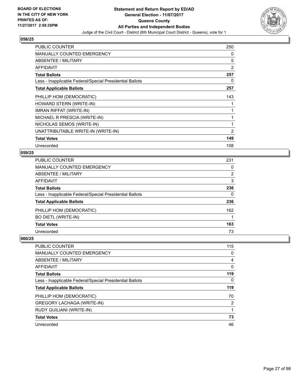

| <b>PUBLIC COUNTER</b>                                    | 250 |
|----------------------------------------------------------|-----|
| <b>MANUALLY COUNTED EMERGENCY</b>                        | 0   |
| ABSENTEE / MILITARY                                      | 5   |
| AFFIDAVIT                                                | 2   |
| <b>Total Ballots</b>                                     | 257 |
| Less - Inapplicable Federal/Special Presidential Ballots | 0   |
| <b>Total Applicable Ballots</b>                          | 257 |
| PHILLIP HOM (DEMOCRATIC)                                 | 143 |
| HOWARD STERN (WRITE-IN)                                  |     |
| <b>IMRAN RIFFAT (WRITE-IN)</b>                           |     |
| MICHAEL R PRESCIA (WRITE-IN)                             |     |
| NICHOLAS SEMOS (WRITE-IN)                                | 1   |
| UNATTRIBUTABLE WRITE-IN (WRITE-IN)                       | 2   |
| <b>Total Votes</b>                                       | 149 |
| Unrecorded                                               | 108 |

#### **059/25**

| 231 |
|-----|
| 0   |
| 2   |
| 3   |
| 236 |
| 0   |
| 236 |
| 162 |
|     |
| 163 |
| 73  |
|     |

| PUBLIC COUNTER                                           | 115 |
|----------------------------------------------------------|-----|
| <b>MANUALLY COUNTED EMERGENCY</b>                        | 0   |
| ABSENTEE / MILITARY                                      | 4   |
| AFFIDAVIT                                                | 0   |
| <b>Total Ballots</b>                                     | 119 |
| Less - Inapplicable Federal/Special Presidential Ballots | 0   |
|                                                          |     |
| <b>Total Applicable Ballots</b>                          | 119 |
| PHILLIP HOM (DEMOCRATIC)                                 | 70  |
| <b>GREGORY LACHAGA (WRITE-IN)</b>                        | 2   |
| <b>RUDY GUILIANI (WRITE-IN)</b>                          |     |
| <b>Total Votes</b>                                       | 73  |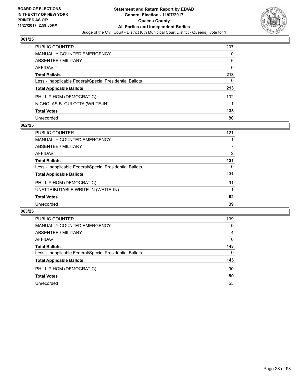

| <b>PUBLIC COUNTER</b>                                    | 207 |
|----------------------------------------------------------|-----|
| <b>MANUALLY COUNTED EMERGENCY</b>                        | 0   |
| <b>ABSENTEE / MILITARY</b>                               | 6   |
| <b>AFFIDAVIT</b>                                         | 0   |
| <b>Total Ballots</b>                                     | 213 |
| Less - Inapplicable Federal/Special Presidential Ballots | 0   |
| <b>Total Applicable Ballots</b>                          | 213 |
| PHILLIP HOM (DEMOCRATIC)                                 | 132 |
| NICHOLAS B. GULOTTA (WRITE-IN)                           |     |
| <b>Total Votes</b>                                       | 133 |
| Unrecorded                                               | 80  |

## **062/25**

| <b>PUBLIC COUNTER</b>                                    | 121 |
|----------------------------------------------------------|-----|
| MANUALLY COUNTED EMERGENCY                               |     |
| ABSENTEE / MILITARY                                      |     |
| AFFIDAVIT                                                | 2   |
| <b>Total Ballots</b>                                     | 131 |
| Less - Inapplicable Federal/Special Presidential Ballots | 0   |
| <b>Total Applicable Ballots</b>                          | 131 |
| PHILLIP HOM (DEMOCRATIC)                                 | 91  |
| UNATTRIBUTABLE WRITE-IN (WRITE-IN)                       |     |
| <b>Total Votes</b>                                       | 92  |
| Unrecorded                                               | 39  |

| <b>PUBLIC COUNTER</b>                                    | 139      |
|----------------------------------------------------------|----------|
| <b>MANUALLY COUNTED EMERGENCY</b>                        | 0        |
| <b>ABSENTEE / MILITARY</b>                               | 4        |
| AFFIDAVIT                                                | 0        |
| <b>Total Ballots</b>                                     | 143      |
| Less - Inapplicable Federal/Special Presidential Ballots | $\Omega$ |
| <b>Total Applicable Ballots</b>                          | 143      |
| PHILLIP HOM (DEMOCRATIC)                                 | 90       |
| <b>Total Votes</b>                                       | 90       |
| Unrecorded                                               | 53       |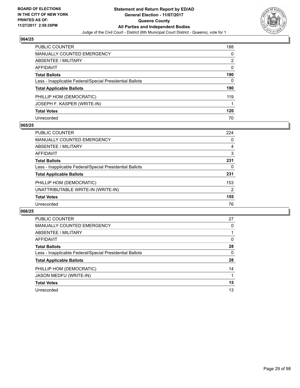

| <b>PUBLIC COUNTER</b>                                    | 188 |
|----------------------------------------------------------|-----|
| MANUALLY COUNTED EMERGENCY                               | 0   |
| ABSENTEE / MILITARY                                      | 2   |
| AFFIDAVIT                                                | 0   |
| <b>Total Ballots</b>                                     | 190 |
| Less - Inapplicable Federal/Special Presidential Ballots | 0   |
| <b>Total Applicable Ballots</b>                          | 190 |
| PHILLIP HOM (DEMOCRATIC)                                 | 119 |
| JOSEPH F. KASPER (WRITE-IN)                              |     |
| <b>Total Votes</b>                                       | 120 |
| Unrecorded                                               | 70  |

## **065/25**

| PUBLIC COUNTER                                           | 224 |
|----------------------------------------------------------|-----|
| MANUALLY COUNTED EMERGENCY                               | 0   |
| ABSENTEE / MILITARY                                      | 4   |
| AFFIDAVIT                                                | 3   |
| <b>Total Ballots</b>                                     | 231 |
| Less - Inapplicable Federal/Special Presidential Ballots | 0   |
| <b>Total Applicable Ballots</b>                          | 231 |
| PHILLIP HOM (DEMOCRATIC)                                 | 153 |
| UNATTRIBUTABLE WRITE-IN (WRITE-IN)                       | 2   |
| <b>Total Votes</b>                                       | 155 |
| Unrecorded                                               | 76  |

| <b>PUBLIC COUNTER</b>                                    | 27 |
|----------------------------------------------------------|----|
| <b>MANUALLY COUNTED EMERGENCY</b>                        | 0  |
| ABSENTEE / MILITARY                                      |    |
| <b>AFFIDAVIT</b>                                         | 0  |
| <b>Total Ballots</b>                                     | 28 |
| Less - Inapplicable Federal/Special Presidential Ballots | 0  |
| <b>Total Applicable Ballots</b>                          | 28 |
| PHILLIP HOM (DEMOCRATIC)                                 | 14 |
| <b>JASON MEDFU (WRITE-IN)</b>                            |    |
| <b>Total Votes</b>                                       | 15 |
| Unrecorded                                               | 13 |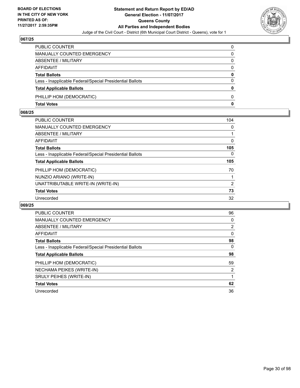

| PUBLIC COUNTER                                           | 0        |
|----------------------------------------------------------|----------|
| <b>MANUALLY COUNTED EMERGENCY</b>                        | 0        |
| ABSENTEE / MILITARY                                      | 0        |
| <b>AFFIDAVIT</b>                                         | $\Omega$ |
| <b>Total Ballots</b>                                     | 0        |
| Less - Inapplicable Federal/Special Presidential Ballots | $\Omega$ |
| <b>Total Applicable Ballots</b>                          | 0        |
| PHILLIP HOM (DEMOCRATIC)                                 | 0        |
| <b>Total Votes</b>                                       | 0        |

## **068/25**

| <b>PUBLIC COUNTER</b>                                    | 104 |
|----------------------------------------------------------|-----|
| <b>MANUALLY COUNTED EMERGENCY</b>                        | 0   |
| <b>ABSENTEE / MILITARY</b>                               |     |
| <b>AFFIDAVIT</b>                                         | 0   |
| <b>Total Ballots</b>                                     | 105 |
| Less - Inapplicable Federal/Special Presidential Ballots | 0   |
| <b>Total Applicable Ballots</b>                          | 105 |
| PHILLIP HOM (DEMOCRATIC)                                 | 70  |
| NUNZIO ARIANO (WRITE-IN)                                 | 1   |
| UNATTRIBUTABLE WRITE-IN (WRITE-IN)                       | 2   |
| <b>Total Votes</b>                                       | 73  |
| Unrecorded                                               | 32  |

| <b>PUBLIC COUNTER</b>                                    | 96             |
|----------------------------------------------------------|----------------|
| <b>MANUALLY COUNTED EMERGENCY</b>                        | 0              |
| <b>ABSENTEE / MILITARY</b>                               | $\overline{2}$ |
| AFFIDAVIT                                                | $\mathbf{0}$   |
| <b>Total Ballots</b>                                     | 98             |
| Less - Inapplicable Federal/Special Presidential Ballots | $\Omega$       |
| <b>Total Applicable Ballots</b>                          | 98             |
| PHILLIP HOM (DEMOCRATIC)                                 | 59             |
| NECHAMA PEIKES (WRITE-IN)                                | $\overline{2}$ |
| <b>SRULY PEIHES (WRITE-IN)</b>                           |                |
| <b>Total Votes</b>                                       | 62             |
| Unrecorded                                               | 36             |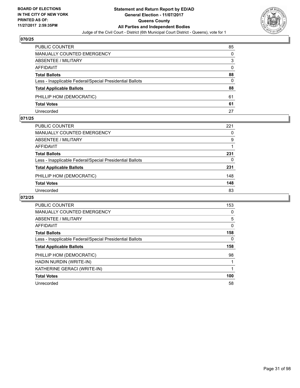

| <b>PUBLIC COUNTER</b>                                    | 85 |
|----------------------------------------------------------|----|
| <b>MANUALLY COUNTED EMERGENCY</b>                        | 0  |
| ABSENTEE / MILITARY                                      | 3  |
| AFFIDAVIT                                                | 0  |
| <b>Total Ballots</b>                                     | 88 |
| Less - Inapplicable Federal/Special Presidential Ballots | 0  |
| <b>Total Applicable Ballots</b>                          | 88 |
| PHILLIP HOM (DEMOCRATIC)                                 | 61 |
| <b>Total Votes</b>                                       | 61 |
| Unrecorded                                               | 27 |

## **071/25**

| PUBLIC COUNTER                                           | 221 |
|----------------------------------------------------------|-----|
| MANUALLY COUNTED EMERGENCY                               | 0   |
| ABSENTEE / MILITARY                                      | 9   |
| AFFIDAVIT                                                |     |
| <b>Total Ballots</b>                                     | 231 |
| Less - Inapplicable Federal/Special Presidential Ballots | 0   |
| <b>Total Applicable Ballots</b>                          | 231 |
| PHILLIP HOM (DEMOCRATIC)                                 | 148 |
| <b>Total Votes</b>                                       | 148 |
| Unrecorded                                               | 83  |
|                                                          |     |

| <b>PUBLIC COUNTER</b>                                    | 153 |
|----------------------------------------------------------|-----|
| <b>MANUALLY COUNTED EMERGENCY</b>                        | 0   |
| ABSENTEE / MILITARY                                      | 5   |
| AFFIDAVIT                                                | 0   |
| <b>Total Ballots</b>                                     | 158 |
| Less - Inapplicable Federal/Special Presidential Ballots | 0   |
| <b>Total Applicable Ballots</b>                          | 158 |
| PHILLIP HOM (DEMOCRATIC)                                 | 98  |
| HADIN NURDIN (WRITE-IN)                                  |     |
| KATHERINE GERACI (WRITE-IN)                              |     |
| <b>Total Votes</b>                                       | 100 |
| Unrecorded                                               | 58  |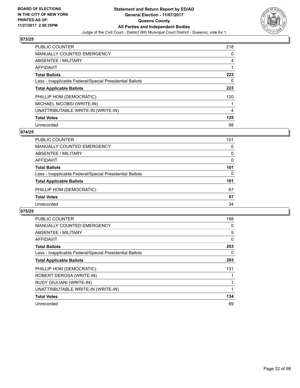

| <b>PUBLIC COUNTER</b>                                    | 218 |
|----------------------------------------------------------|-----|
| <b>MANUALLY COUNTED EMERGENCY</b>                        | 0   |
| ABSENTEE / MILITARY                                      | 4   |
| AFFIDAVIT                                                |     |
| <b>Total Ballots</b>                                     | 223 |
| Less - Inapplicable Federal/Special Presidential Ballots | 0   |
| <b>Total Applicable Ballots</b>                          | 223 |
| PHILLIP HOM (DEMOCRATIC)                                 | 120 |
| MICHAEL NICOBSI (WRITE-IN)                               |     |
| UNATTRIBUTABLE WRITE-IN (WRITE-IN)                       | 4   |
| <b>Total Votes</b>                                       | 125 |
| Unrecorded                                               | 98  |

## **074/25**

| <b>PUBLIC COUNTER</b>                                    | 101 |
|----------------------------------------------------------|-----|
| <b>MANUALLY COUNTED EMERGENCY</b>                        | 0   |
| ABSENTEE / MILITARY                                      | 0   |
| AFFIDAVIT                                                | 0   |
| <b>Total Ballots</b>                                     | 101 |
| Less - Inapplicable Federal/Special Presidential Ballots | 0   |
| <b>Total Applicable Ballots</b>                          | 101 |
| PHILLIP HOM (DEMOCRATIC)                                 | 67  |
| <b>Total Votes</b>                                       | 67  |
| Unrecorded                                               | 34  |

| <b>PUBLIC COUNTER</b>                                    | 198 |
|----------------------------------------------------------|-----|
| <b>MANUALLY COUNTED EMERGENCY</b>                        | 0   |
| ABSENTEE / MILITARY                                      | 5   |
| AFFIDAVIT                                                | 0   |
| <b>Total Ballots</b>                                     | 203 |
| Less - Inapplicable Federal/Special Presidential Ballots | 0   |
| <b>Total Applicable Ballots</b>                          | 203 |
| PHILLIP HOM (DEMOCRATIC)                                 | 131 |
| ROBERT DEROSA (WRITE-IN)                                 |     |
| RUDY GIULIANI (WRITE-IN)                                 | 1   |
| UNATTRIBUTABLE WRITE-IN (WRITE-IN)                       | 1   |
| <b>Total Votes</b>                                       | 134 |
| Unrecorded                                               | 69  |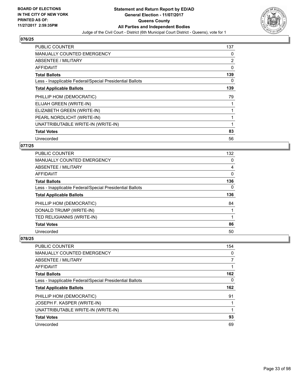

| <b>PUBLIC COUNTER</b>                                    | 137 |
|----------------------------------------------------------|-----|
| <b>MANUALLY COUNTED EMERGENCY</b>                        | 0   |
| ABSENTEE / MILITARY                                      | 2   |
| AFFIDAVIT                                                | 0   |
| <b>Total Ballots</b>                                     | 139 |
| Less - Inapplicable Federal/Special Presidential Ballots | 0   |
| <b>Total Applicable Ballots</b>                          | 139 |
| PHILLIP HOM (DEMOCRATIC)                                 | 79  |
| ELIJAH GREEN (WRITE-IN)                                  |     |
| ELIZABETH GREEN (WRITE-IN)                               |     |
| PEARL NORDLICHT (WRITE-IN)                               |     |
| UNATTRIBUTABLE WRITE-IN (WRITE-IN)                       |     |
| <b>Total Votes</b>                                       | 83  |
| Unrecorded                                               | 56  |

## **077/25**

| <b>PUBLIC COUNTER</b>                                    | 132 |
|----------------------------------------------------------|-----|
| <b>MANUALLY COUNTED EMERGENCY</b>                        | 0   |
| ABSENTEE / MILITARY                                      | 4   |
| <b>AFFIDAVIT</b>                                         | 0   |
| <b>Total Ballots</b>                                     | 136 |
| Less - Inapplicable Federal/Special Presidential Ballots | 0   |
| <b>Total Applicable Ballots</b>                          | 136 |
| PHILLIP HOM (DEMOCRATIC)                                 | 84  |
| DONALD TRUMP (WRITE-IN)                                  |     |
| TED RELIGIANNIS (WRITE-IN)                               |     |
| <b>Total Votes</b>                                       | 86  |
| Unrecorded                                               | 50  |

| PUBLIC COUNTER                                           | 154 |
|----------------------------------------------------------|-----|
| <b>MANUALLY COUNTED EMERGENCY</b>                        | 0   |
| ABSENTEE / MILITARY                                      |     |
| AFFIDAVIT                                                |     |
| <b>Total Ballots</b>                                     | 162 |
| Less - Inapplicable Federal/Special Presidential Ballots | 0   |
|                                                          |     |
| <b>Total Applicable Ballots</b>                          | 162 |
| PHILLIP HOM (DEMOCRATIC)                                 | 91  |
| JOSEPH F. KASPER (WRITE-IN)                              |     |
| UNATTRIBUTABLE WRITE-IN (WRITE-IN)                       |     |
| <b>Total Votes</b>                                       | 93  |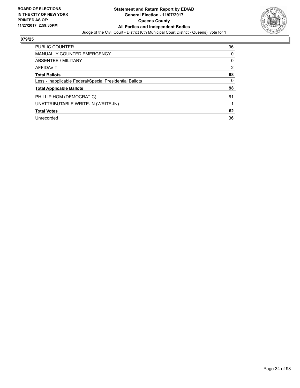

| <b>PUBLIC COUNTER</b>                                    | 96 |
|----------------------------------------------------------|----|
| MANUALLY COUNTED EMERGENCY                               | 0  |
| ABSENTEE / MILITARY                                      | 0  |
| AFFIDAVIT                                                | 2  |
| <b>Total Ballots</b>                                     | 98 |
| Less - Inapplicable Federal/Special Presidential Ballots | 0  |
| <b>Total Applicable Ballots</b>                          | 98 |
| PHILLIP HOM (DEMOCRATIC)                                 | 61 |
| UNATTRIBUTABLE WRITE-IN (WRITE-IN)                       |    |
| <b>Total Votes</b>                                       | 62 |
| Unrecorded                                               | 36 |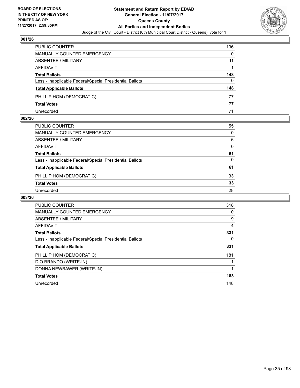

| <b>PUBLIC COUNTER</b>                                    | 136 |
|----------------------------------------------------------|-----|
| <b>MANUALLY COUNTED EMERGENCY</b>                        | 0   |
| ABSENTEE / MILITARY                                      | 11  |
| AFFIDAVIT                                                |     |
| <b>Total Ballots</b>                                     | 148 |
| Less - Inapplicable Federal/Special Presidential Ballots | 0   |
| <b>Total Applicable Ballots</b>                          | 148 |
| PHILLIP HOM (DEMOCRATIC)                                 | 77  |
| <b>Total Votes</b>                                       | 77  |
| Unrecorded                                               | 71  |

## **002/26**

| PUBLIC COUNTER                                           | 55       |
|----------------------------------------------------------|----------|
| MANUALLY COUNTED EMERGENCY                               | 0        |
| <b>ABSENTEE / MILITARY</b>                               | 6        |
| AFFIDAVIT                                                | $\Omega$ |
| <b>Total Ballots</b>                                     | 61       |
| Less - Inapplicable Federal/Special Presidential Ballots | 0        |
| <b>Total Applicable Ballots</b>                          | 61       |
| PHILLIP HOM (DEMOCRATIC)                                 | 33       |
| <b>Total Votes</b>                                       | 33       |
| Unrecorded                                               | 28       |
|                                                          |          |

| <b>PUBLIC COUNTER</b>                                    | 318 |
|----------------------------------------------------------|-----|
| MANUALLY COUNTED EMERGENCY                               | 0   |
| ABSENTEE / MILITARY                                      | 9   |
| AFFIDAVIT                                                | 4   |
| <b>Total Ballots</b>                                     | 331 |
| Less - Inapplicable Federal/Special Presidential Ballots | 0   |
| <b>Total Applicable Ballots</b>                          | 331 |
| PHILLIP HOM (DEMOCRATIC)                                 | 181 |
| DIO BRANDO (WRITE-IN)                                    |     |
| DONNA NEWBAWER (WRITE-IN)                                |     |
| <b>Total Votes</b>                                       | 183 |
| Unrecorded                                               | 148 |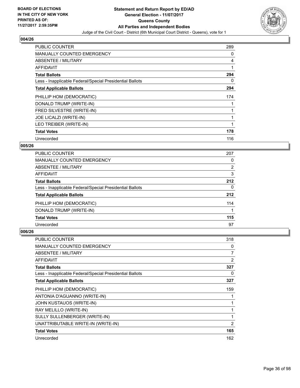

| <b>PUBLIC COUNTER</b>                                    | 289 |
|----------------------------------------------------------|-----|
| <b>MANUALLY COUNTED EMERGENCY</b>                        | 0   |
| ABSENTEE / MILITARY                                      | 4   |
| AFFIDAVIT                                                | 1   |
| <b>Total Ballots</b>                                     | 294 |
| Less - Inapplicable Federal/Special Presidential Ballots | 0   |
| <b>Total Applicable Ballots</b>                          | 294 |
| PHILLIP HOM (DEMOCRATIC)                                 | 174 |
| DONALD TRUMP (WRITE-IN)                                  |     |
| FRED SILVESTRE (WRITE-IN)                                |     |
| JOE LICALZI (WRITE-IN)                                   | 1   |
| LEO TREIBER (WRITE-IN)                                   |     |
| <b>Total Votes</b>                                       | 178 |
| Unrecorded                                               | 116 |

## **005/26**

| <b>PUBLIC COUNTER</b>                                    | 207            |
|----------------------------------------------------------|----------------|
| <b>MANUALLY COUNTED EMERGENCY</b>                        | 0              |
| ABSENTEE / MILITARY                                      | $\overline{2}$ |
| <b>AFFIDAVIT</b>                                         | 3              |
| <b>Total Ballots</b>                                     | 212            |
| Less - Inapplicable Federal/Special Presidential Ballots | 0              |
| <b>Total Applicable Ballots</b>                          | 212            |
| PHILLIP HOM (DEMOCRATIC)                                 | 114            |
| DONALD TRUMP (WRITE-IN)                                  |                |
| <b>Total Votes</b>                                       | 115            |
| Unrecorded                                               | 97             |

| <b>PUBLIC COUNTER</b>                                    | 318            |
|----------------------------------------------------------|----------------|
| <b>MANUALLY COUNTED EMERGENCY</b>                        | 0              |
| ABSENTEE / MILITARY                                      | 7              |
| AFFIDAVIT                                                | 2              |
| <b>Total Ballots</b>                                     | 327            |
| Less - Inapplicable Federal/Special Presidential Ballots | 0              |
| <b>Total Applicable Ballots</b>                          | 327            |
| PHILLIP HOM (DEMOCRATIC)                                 | 159            |
| ANTONIA D'AGUANNO (WRITE-IN)                             |                |
| JOHN KUSTAUOS (WRITE-IN)                                 |                |
| RAY MELILLO (WRITE-IN)                                   | 1              |
| SULLY SULLENBERGER (WRITE-IN)                            | 1              |
| UNATTRIBUTABLE WRITE-IN (WRITE-IN)                       | $\overline{2}$ |
| <b>Total Votes</b>                                       | 165            |
| Unrecorded                                               | 162            |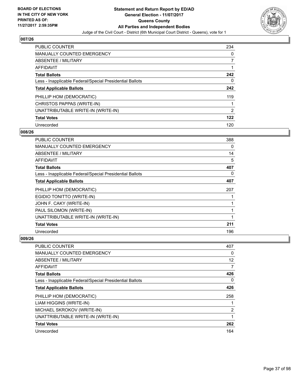

| <b>PUBLIC COUNTER</b>                                    | 234 |
|----------------------------------------------------------|-----|
| MANUALLY COUNTED EMERGENCY                               | 0   |
| ABSENTEE / MILITARY                                      | 7   |
| AFFIDAVIT                                                |     |
| <b>Total Ballots</b>                                     | 242 |
| Less - Inapplicable Federal/Special Presidential Ballots | 0   |
| <b>Total Applicable Ballots</b>                          | 242 |
| PHILLIP HOM (DEMOCRATIC)                                 | 119 |
| CHRISTOS PAPPAS (WRITE-IN)                               |     |
| UNATTRIBUTABLE WRITE-IN (WRITE-IN)                       | 2   |
| <b>Total Votes</b>                                       | 122 |
| Unrecorded                                               | 120 |

### **008/26**

| <b>PUBLIC COUNTER</b>                                    | 388 |
|----------------------------------------------------------|-----|
| <b>MANUALLY COUNTED EMERGENCY</b>                        | 0   |
| ABSENTEE / MILITARY                                      | 14  |
| AFFIDAVIT                                                | 5   |
| <b>Total Ballots</b>                                     | 407 |
| Less - Inapplicable Federal/Special Presidential Ballots | 0   |
| <b>Total Applicable Ballots</b>                          | 407 |
| PHILLIP HOM (DEMOCRATIC)                                 | 207 |
| EGIDIO TONITTO (WRITE-IN)                                |     |
| JOHN F. CAKY (WRITE-IN)                                  | 1   |
| PAUL SILOMON (WRITE-IN)                                  | 1   |
| UNATTRIBUTABLE WRITE-IN (WRITE-IN)                       | 1   |
| <b>Total Votes</b>                                       | 211 |
| Unrecorded                                               | 196 |

| <b>PUBLIC COUNTER</b>                                    | 407            |
|----------------------------------------------------------|----------------|
| <b>MANUALLY COUNTED EMERGENCY</b>                        | 0              |
| ABSENTEE / MILITARY                                      | 12             |
| AFFIDAVIT                                                | 7              |
| <b>Total Ballots</b>                                     | 426            |
| Less - Inapplicable Federal/Special Presidential Ballots | 0              |
| <b>Total Applicable Ballots</b>                          | 426            |
| PHILLIP HOM (DEMOCRATIC)                                 | 258            |
| LIAM HIGGINS (WRITE-IN)                                  |                |
| MICHAEL SKROKOV (WRITE-IN)                               | $\overline{2}$ |
| UNATTRIBUTABLE WRITE-IN (WRITE-IN)                       | 1              |
| <b>Total Votes</b>                                       | 262            |
| Unrecorded                                               | 164            |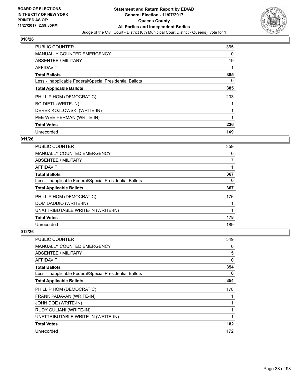

| <b>PUBLIC COUNTER</b>                                    | 365 |
|----------------------------------------------------------|-----|
| <b>MANUALLY COUNTED EMERGENCY</b>                        | 0   |
| ABSENTEE / MILITARY                                      | 19  |
| <b>AFFIDAVIT</b>                                         |     |
| <b>Total Ballots</b>                                     | 385 |
| Less - Inapplicable Federal/Special Presidential Ballots | 0   |
| <b>Total Applicable Ballots</b>                          | 385 |
| PHILLIP HOM (DEMOCRATIC)                                 | 233 |
| <b>BO DIETL (WRITE-IN)</b>                               |     |
| DEREK KOZLOWSKI (WRITE-IN)                               |     |
| PEE WEE HERMAN (WRITE-IN)                                |     |
| <b>Total Votes</b>                                       | 236 |
| Unrecorded                                               | 149 |

## **011/26**

| <b>PUBLIC COUNTER</b>                                    | 359 |
|----------------------------------------------------------|-----|
| <b>MANUALLY COUNTED EMERGENCY</b>                        | 0   |
| ABSENTEE / MILITARY                                      |     |
| <b>AFFIDAVIT</b>                                         |     |
| <b>Total Ballots</b>                                     | 367 |
| Less - Inapplicable Federal/Special Presidential Ballots | 0   |
| <b>Total Applicable Ballots</b>                          | 367 |
| PHILLIP HOM (DEMOCRATIC)                                 | 176 |
| DOM DADDIO (WRITE-IN)                                    |     |
| UNATTRIBUTABLE WRITE-IN (WRITE-IN)                       |     |
| <b>Total Votes</b>                                       | 178 |
| Unrecorded                                               | 189 |

| <b>PUBLIC COUNTER</b>                                    | 349 |
|----------------------------------------------------------|-----|
| <b>MANUALLY COUNTED EMERGENCY</b>                        | 0   |
| ABSENTEE / MILITARY                                      | 5   |
| <b>AFFIDAVIT</b>                                         | 0   |
| <b>Total Ballots</b>                                     | 354 |
| Less - Inapplicable Federal/Special Presidential Ballots | 0   |
| <b>Total Applicable Ballots</b>                          | 354 |
| PHILLIP HOM (DEMOCRATIC)                                 | 178 |
| FRANK PADAVAN (WRITE-IN)                                 |     |
| JOHN DOE (WRITE-IN)                                      |     |
| RUDY GULIANI (WRITE-IN)                                  |     |
| UNATTRIBUTABLE WRITE-IN (WRITE-IN)                       | 1   |
| <b>Total Votes</b>                                       | 182 |
| Unrecorded                                               | 172 |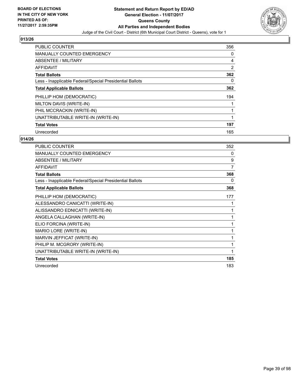

| PUBLIC COUNTER                                           | 356 |
|----------------------------------------------------------|-----|
| <b>MANUALLY COUNTED EMERGENCY</b>                        | 0   |
| ABSENTEE / MILITARY                                      | 4   |
| <b>AFFIDAVIT</b>                                         | 2   |
| <b>Total Ballots</b>                                     | 362 |
| Less - Inapplicable Federal/Special Presidential Ballots | 0   |
| <b>Total Applicable Ballots</b>                          | 362 |
| PHILLIP HOM (DEMOCRATIC)                                 | 194 |
| MILTON DAVIS (WRITE-IN)                                  |     |
| PHIL MCCRACKIN (WRITE-IN)                                |     |
| UNATTRIBUTABLE WRITE-IN (WRITE-IN)                       | 1   |
| <b>Total Votes</b>                                       | 197 |
| Unrecorded                                               | 165 |

| <b>PUBLIC COUNTER</b>                                    | 352            |
|----------------------------------------------------------|----------------|
| MANUALLY COUNTED EMERGENCY                               | 0              |
| ABSENTEE / MILITARY                                      | 9              |
| <b>AFFIDAVIT</b>                                         | $\overline{7}$ |
| <b>Total Ballots</b>                                     | 368            |
| Less - Inapplicable Federal/Special Presidential Ballots | 0              |
| <b>Total Applicable Ballots</b>                          | 368            |
| PHILLIP HOM (DEMOCRATIC)                                 | 177            |
| ALESSANDRO CANICATTI (WRITE-IN)                          | 1              |
| ALISSANDRO EDNICATTI (WRITE-IN)                          | 1              |
| ANGELA CALLAGHAN (WRITE-IN)                              | 1              |
| ELIO FORCINA (WRITE-IN)                                  | 1              |
| MARIO LORE (WRITE-IN)                                    | 1              |
| MARVIN JEFFICAT (WRITE-IN)                               | 1              |
| PHILIP M. MCGRORY (WRITE-IN)                             | 1              |
| UNATTRIBUTABLE WRITE-IN (WRITE-IN)                       | 1              |
| <b>Total Votes</b>                                       | 185            |
| Unrecorded                                               | 183            |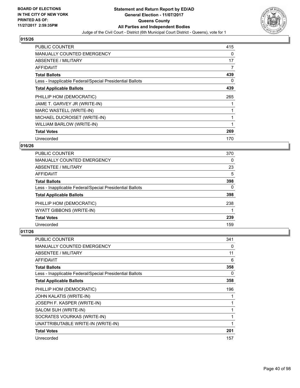

| <b>PUBLIC COUNTER</b>                                    | 415 |
|----------------------------------------------------------|-----|
| <b>MANUALLY COUNTED EMERGENCY</b>                        | 0   |
| ABSENTEE / MILITARY                                      | 17  |
| AFFIDAVIT                                                | 7   |
| <b>Total Ballots</b>                                     | 439 |
| Less - Inapplicable Federal/Special Presidential Ballots | 0   |
| <b>Total Applicable Ballots</b>                          | 439 |
| PHILLIP HOM (DEMOCRATIC)                                 | 265 |
| JAME T. GARVEY JR (WRITE-IN)                             |     |
| MARC WASTELL (WRITE-IN)                                  |     |
| MICHAEL DUCROISET (WRITE-IN)                             |     |
| WILLIAM BARLOW (WRITE-IN)                                |     |
| <b>Total Votes</b>                                       | 269 |
| Unrecorded                                               | 170 |

## **016/26**

| <b>PUBLIC COUNTER</b>                                    | 370 |
|----------------------------------------------------------|-----|
| <b>MANUALLY COUNTED EMERGENCY</b>                        | 0   |
| ABSENTEE / MILITARY                                      | 23  |
| AFFIDAVIT                                                | 5   |
| <b>Total Ballots</b>                                     | 398 |
| Less - Inapplicable Federal/Special Presidential Ballots | 0   |
| <b>Total Applicable Ballots</b>                          | 398 |
| PHILLIP HOM (DEMOCRATIC)                                 | 238 |
| WYATT GIBBONS (WRITE-IN)                                 |     |
| <b>Total Votes</b>                                       | 239 |
| Unrecorded                                               | 159 |

| <b>PUBLIC COUNTER</b>                                    | 341 |
|----------------------------------------------------------|-----|
| <b>MANUALLY COUNTED EMERGENCY</b>                        | 0   |
| ABSENTEE / MILITARY                                      | 11  |
| AFFIDAVIT                                                | 6   |
| <b>Total Ballots</b>                                     | 358 |
| Less - Inapplicable Federal/Special Presidential Ballots | 0   |
| <b>Total Applicable Ballots</b>                          | 358 |
| PHILLIP HOM (DEMOCRATIC)                                 | 196 |
| JOHN KALATIS (WRITE-IN)                                  |     |
| JOSEPH F. KASPER (WRITE-IN)                              |     |
| SALOM SUH (WRITE-IN)                                     | 1   |
| SOCRATES VOURKAS (WRITE-IN)                              | 1   |
| UNATTRIBUTABLE WRITE-IN (WRITE-IN)                       | 1   |
| <b>Total Votes</b>                                       | 201 |
| Unrecorded                                               | 157 |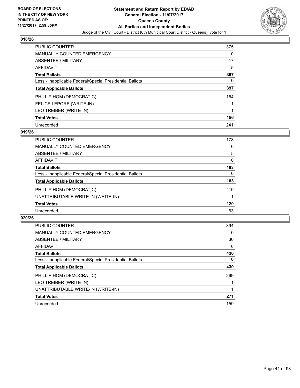

| <b>PUBLIC COUNTER</b>                                    | 375 |
|----------------------------------------------------------|-----|
| <b>MANUALLY COUNTED EMERGENCY</b>                        | 0   |
| ABSENTEE / MILITARY                                      | 17  |
| AFFIDAVIT                                                | 5   |
| <b>Total Ballots</b>                                     | 397 |
| Less - Inapplicable Federal/Special Presidential Ballots | 0   |
| <b>Total Applicable Ballots</b>                          | 397 |
| PHILLIP HOM (DEMOCRATIC)                                 | 154 |
| FELICE LEPORE (WRITE-IN)                                 |     |
| LEO TREIBER (WRITE-IN)                                   |     |
| <b>Total Votes</b>                                       | 156 |
| Unrecorded                                               | 241 |

### **019/26**

| <b>PUBLIC COUNTER</b>                                    | 178      |
|----------------------------------------------------------|----------|
| <b>MANUALLY COUNTED EMERGENCY</b>                        | 0        |
| ABSENTEE / MILITARY                                      | 5        |
| AFFIDAVIT                                                | $\Omega$ |
| <b>Total Ballots</b>                                     | 183      |
| Less - Inapplicable Federal/Special Presidential Ballots | $\Omega$ |
| <b>Total Applicable Ballots</b>                          | 183      |
| PHILLIP HOM (DEMOCRATIC)                                 | 119      |
| UNATTRIBUTABLE WRITE-IN (WRITE-IN)                       |          |
| <b>Total Votes</b>                                       | 120      |
| Unrecorded                                               | 63       |

| <b>PUBLIC COUNTER</b>                                    | 394      |
|----------------------------------------------------------|----------|
| MANUALLY COUNTED EMERGENCY                               | $\Omega$ |
| ABSENTEE / MILITARY                                      | 30       |
| <b>AFFIDAVIT</b>                                         | 6        |
| <b>Total Ballots</b>                                     | 430      |
| Less - Inapplicable Federal/Special Presidential Ballots | $\Omega$ |
| <b>Total Applicable Ballots</b>                          | 430      |
| PHILLIP HOM (DEMOCRATIC)                                 | 269      |
| LEO TREIBER (WRITE-IN)                                   |          |
| UNATTRIBUTABLE WRITE-IN (WRITE-IN)                       |          |
| <b>Total Votes</b>                                       | 271      |
| Unrecorded                                               | 159      |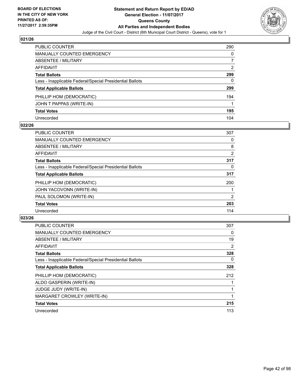

| <b>PUBLIC COUNTER</b>                                    | 290 |
|----------------------------------------------------------|-----|
| <b>MANUALLY COUNTED EMERGENCY</b>                        | 0   |
| ABSENTEE / MILITARY                                      |     |
| AFFIDAVIT                                                | 2   |
| <b>Total Ballots</b>                                     | 299 |
| Less - Inapplicable Federal/Special Presidential Ballots | 0   |
| <b>Total Applicable Ballots</b>                          | 299 |
| PHILLIP HOM (DEMOCRATIC)                                 | 194 |
| JOHN T PAPPAS (WRITE-IN)                                 |     |
| <b>Total Votes</b>                                       | 195 |
| Unrecorded                                               | 104 |

### **022/26**

| <b>PUBLIC COUNTER</b>                                    | 307 |
|----------------------------------------------------------|-----|
| <b>MANUALLY COUNTED EMERGENCY</b>                        | 0   |
| ABSENTEE / MILITARY                                      | 8   |
| <b>AFFIDAVIT</b>                                         | 2   |
| <b>Total Ballots</b>                                     | 317 |
| Less - Inapplicable Federal/Special Presidential Ballots | 0   |
| <b>Total Applicable Ballots</b>                          | 317 |
| PHILLIP HOM (DEMOCRATIC)                                 | 200 |
| JOHN YACOVONN (WRITE-IN)                                 |     |
| PAUL SOLOMON (WRITE-IN)                                  | 2   |
| <b>Total Votes</b>                                       | 203 |
| Unrecorded                                               | 114 |

| <b>PUBLIC COUNTER</b>                                    | 307 |
|----------------------------------------------------------|-----|
| <b>MANUALLY COUNTED EMERGENCY</b>                        | 0   |
| ABSENTEE / MILITARY                                      | 19  |
| <b>AFFIDAVIT</b>                                         | 2   |
| <b>Total Ballots</b>                                     | 328 |
| Less - Inapplicable Federal/Special Presidential Ballots | 0   |
| <b>Total Applicable Ballots</b>                          | 328 |
| PHILLIP HOM (DEMOCRATIC)                                 | 212 |
| ALDO GASPERIN (WRITE-IN)                                 |     |
| <b>JUDGE JUDY (WRITE-IN)</b>                             |     |
| MARGARET CROWLEY (WRITE-IN)                              |     |
| <b>Total Votes</b>                                       | 215 |
| Unrecorded                                               | 113 |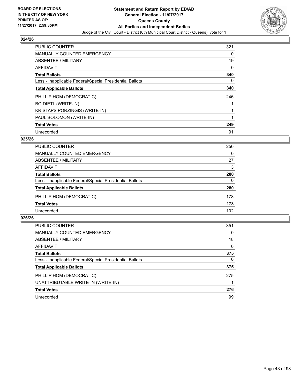

| <b>PUBLIC COUNTER</b>                                    | 321 |
|----------------------------------------------------------|-----|
| <b>MANUALLY COUNTED EMERGENCY</b>                        | 0   |
| ABSENTEE / MILITARY                                      | 19  |
| <b>AFFIDAVIT</b>                                         | 0   |
| <b>Total Ballots</b>                                     | 340 |
| Less - Inapplicable Federal/Special Presidential Ballots | 0   |
| <b>Total Applicable Ballots</b>                          | 340 |
| PHILLIP HOM (DEMOCRATIC)                                 | 246 |
| <b>BO DIETL (WRITE-IN)</b>                               |     |
| <b>KRISTAPS PORZINGIS (WRITE-IN)</b>                     | 1   |
| PAUL SOLOMON (WRITE-IN)                                  |     |
| <b>Total Votes</b>                                       | 249 |
| Unrecorded                                               | 91  |

# **025/26**

| <b>PUBLIC COUNTER</b>                                    | 250 |
|----------------------------------------------------------|-----|
| MANUALLY COUNTED EMERGENCY                               | 0   |
| ABSENTEE / MILITARY                                      | 27  |
| AFFIDAVIT                                                | 3   |
| <b>Total Ballots</b>                                     | 280 |
| Less - Inapplicable Federal/Special Presidential Ballots | 0   |
| <b>Total Applicable Ballots</b>                          | 280 |
| PHILLIP HOM (DEMOCRATIC)                                 | 178 |
| <b>Total Votes</b>                                       | 178 |
| Unrecorded                                               | 102 |

| <b>PUBLIC COUNTER</b>                                    | 351      |
|----------------------------------------------------------|----------|
| MANUALLY COUNTED EMERGENCY                               | 0        |
| ABSENTEE / MILITARY                                      | 18       |
| AFFIDAVIT                                                | 6        |
| <b>Total Ballots</b>                                     | 375      |
| Less - Inapplicable Federal/Special Presidential Ballots | $\Omega$ |
| <b>Total Applicable Ballots</b>                          | 375      |
| PHILLIP HOM (DEMOCRATIC)                                 | 275      |
| UNATTRIBUTABLE WRITE-IN (WRITE-IN)                       |          |
| <b>Total Votes</b>                                       | 276      |
| Unrecorded                                               | 99       |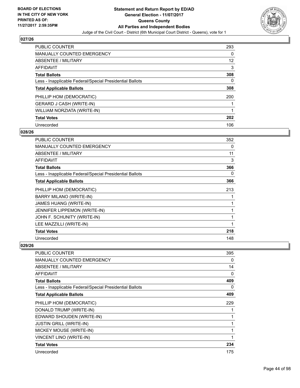

| <b>PUBLIC COUNTER</b>                                    | 293 |
|----------------------------------------------------------|-----|
| <b>MANUALLY COUNTED EMERGENCY</b>                        | 0   |
| ABSENTEE / MILITARY                                      | 12  |
| AFFIDAVIT                                                | 3   |
| <b>Total Ballots</b>                                     | 308 |
| Less - Inapplicable Federal/Special Presidential Ballots | 0   |
| <b>Total Applicable Ballots</b>                          | 308 |
| PHILLIP HOM (DEMOCRATIC)                                 | 200 |
| <b>GERARD J CASH (WRITE-IN)</b>                          |     |
| WILLIAM NORZIATA (WRITE-IN)                              |     |
| <b>Total Votes</b>                                       | 202 |
| Unrecorded                                               | 106 |

### **028/26**

| <b>PUBLIC COUNTER</b>                                    | 352 |
|----------------------------------------------------------|-----|
| <b>MANUALLY COUNTED EMERGENCY</b>                        | 0   |
| ABSENTEE / MILITARY                                      | 11  |
| <b>AFFIDAVIT</b>                                         | 3   |
| <b>Total Ballots</b>                                     | 366 |
| Less - Inapplicable Federal/Special Presidential Ballots | 0   |
| <b>Total Applicable Ballots</b>                          | 366 |
| PHILLIP HOM (DEMOCRATIC)                                 | 213 |
| BARRY MILANO (WRITE-IN)                                  | 1   |
| JAMES HUANG (WRITE-IN)                                   | 1   |
| JENNIFER LIPPEMON (WRITE-IN)                             | 1   |
| JOHN F. SCHUNITY (WRITE-IN)                              | 1   |
| LEE MAZZILLI (WRITE-IN)                                  | 1   |
| <b>Total Votes</b>                                       | 218 |
| Unrecorded                                               | 148 |

| <b>PUBLIC COUNTER</b>                                    | 395 |
|----------------------------------------------------------|-----|
| <b>MANUALLY COUNTED EMERGENCY</b>                        | 0   |
| ABSENTEE / MILITARY                                      | 14  |
| AFFIDAVIT                                                | 0   |
| <b>Total Ballots</b>                                     | 409 |
| Less - Inapplicable Federal/Special Presidential Ballots | 0   |
| <b>Total Applicable Ballots</b>                          | 409 |
| PHILLIP HOM (DEMOCRATIC)                                 | 229 |
| DONALD TRUMP (WRITE-IN)                                  |     |
| EDWARD SHOUDEN (WRITE-IN)                                |     |
| <b>JUSTIN GRILL (WRITE-IN)</b>                           |     |
| MICKEY MOUSE (WRITE-IN)                                  |     |
| VINCENT LINO (WRITE-IN)                                  | 1   |
| <b>Total Votes</b>                                       | 234 |
| Unrecorded                                               | 175 |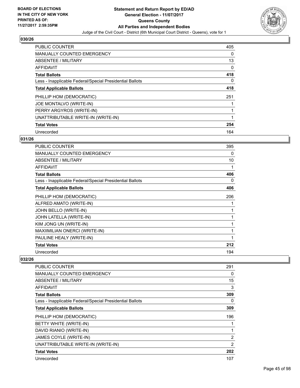

| <b>PUBLIC COUNTER</b>                                    | 405 |
|----------------------------------------------------------|-----|
| <b>MANUALLY COUNTED EMERGENCY</b>                        | 0   |
| ABSENTEE / MILITARY                                      | 13  |
| <b>AFFIDAVIT</b>                                         | 0   |
| <b>Total Ballots</b>                                     | 418 |
| Less - Inapplicable Federal/Special Presidential Ballots | 0   |
| <b>Total Applicable Ballots</b>                          | 418 |
| PHILLIP HOM (DEMOCRATIC)                                 | 251 |
| JOE MONTALVO (WRITE-IN)                                  |     |
| PERRY ARGYROS (WRITE-IN)                                 |     |
| UNATTRIBUTABLE WRITE-IN (WRITE-IN)                       | 1   |
| <b>Total Votes</b>                                       | 254 |
| Unrecorded                                               | 164 |

# **031/26**

| <b>PUBLIC COUNTER</b>                                    | 395 |
|----------------------------------------------------------|-----|
| <b>MANUALLY COUNTED EMERGENCY</b>                        | 0   |
| <b>ABSENTEE / MILITARY</b>                               | 10  |
| <b>AFFIDAVIT</b>                                         | 1   |
| <b>Total Ballots</b>                                     | 406 |
| Less - Inapplicable Federal/Special Presidential Ballots | 0   |
| <b>Total Applicable Ballots</b>                          | 406 |
| PHILLIP HOM (DEMOCRATIC)                                 | 206 |
| ALFRED AMATO (WRITE-IN)                                  |     |
| JOHN BELLO (WRITE-IN)                                    |     |
| <b>JOHN LATELLA (WRITE-IN)</b>                           |     |
| KIM JONG UN (WRITE-IN)                                   | 1   |
| <b>MAXIIMILIAN ONERCI (WRITE-IN)</b>                     |     |
| PAULINE HEALY (WRITE-IN)                                 |     |
| <b>Total Votes</b>                                       | 212 |
| Unrecorded                                               | 194 |

| PUBLIC COUNTER                                           | 291            |
|----------------------------------------------------------|----------------|
| <b>MANUALLY COUNTED EMERGENCY</b>                        | 0              |
| ABSENTEE / MILITARY                                      | 15             |
| AFFIDAVIT                                                | 3              |
| <b>Total Ballots</b>                                     | 309            |
| Less - Inapplicable Federal/Special Presidential Ballots | 0              |
| <b>Total Applicable Ballots</b>                          | 309            |
| PHILLIP HOM (DEMOCRATIC)                                 | 196            |
| BETTY WHITE (WRITE-IN)                                   | 1              |
| DAVID RIANIO (WRITE-IN)                                  | 1              |
| JAMES COYLE (WRITE-IN)                                   | 2              |
| UNATTRIBUTABLE WRITE-IN (WRITE-IN)                       | $\overline{2}$ |
| <b>Total Votes</b>                                       | 202            |
| Unrecorded                                               | 107            |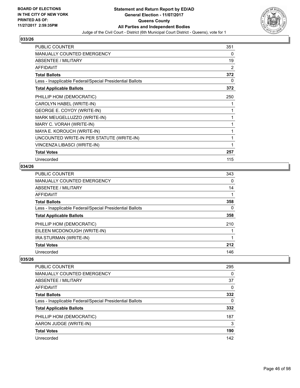

| <b>PUBLIC COUNTER</b>                                    | 351 |
|----------------------------------------------------------|-----|
| <b>MANUALLY COUNTED EMERGENCY</b>                        | 0   |
| <b>ABSENTEE / MILITARY</b>                               | 19  |
| <b>AFFIDAVIT</b>                                         | 2   |
| <b>Total Ballots</b>                                     | 372 |
| Less - Inapplicable Federal/Special Presidential Ballots | 0   |
| <b>Total Applicable Ballots</b>                          | 372 |
| PHILLIP HOM (DEMOCRATIC)                                 | 250 |
| CAROLYN HABEL (WRITE-IN)                                 | 1   |
| GEORGE E. COYOY (WRITE-IN)                               | 1   |
| MARK MEUGELLUZZO (WRITE-IN)                              | 1   |
| MARY C. VORAH (WRITE-IN)                                 | 1   |
| MAYA E. KOROUCH (WRITE-IN)                               | 1   |
| UNCOUNTED WRITE-IN PER STATUTE (WRITE-IN)                | 1   |
| VINCENZA LIBASCI (WRITE-IN)                              | 1   |
| <b>Total Votes</b>                                       | 257 |
| Unrecorded                                               | 115 |

## **034/26**

| <b>PUBLIC COUNTER</b>                                    | 343 |
|----------------------------------------------------------|-----|
| MANUALLY COUNTED EMERGENCY                               | 0   |
| <b>ABSENTEE / MILITARY</b>                               | 14  |
| AFFIDAVIT                                                |     |
| <b>Total Ballots</b>                                     | 358 |
| Less - Inapplicable Federal/Special Presidential Ballots | 0   |
| <b>Total Applicable Ballots</b>                          | 358 |
| PHILLIP HOM (DEMOCRATIC)                                 | 210 |
| EILEEN MCDONOUGH (WRITE-IN)                              |     |
| IRA STURMAN (WRITE-IN)                                   |     |
| <b>Total Votes</b>                                       | 212 |
| Unrecorded                                               | 146 |

| 295<br>0 |
|----------|
|          |
|          |
| 37       |
| 0        |
| 332      |
| $\Omega$ |
| 332      |
| 187      |
| 3        |
| 190      |
| 142      |
|          |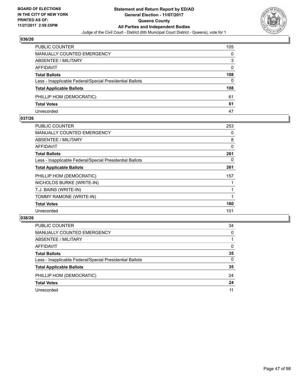

| <b>PUBLIC COUNTER</b>                                    | 105 |
|----------------------------------------------------------|-----|
| MANUALLY COUNTED EMERGENCY                               | 0   |
| <b>ABSENTEE / MILITARY</b>                               | 3   |
| AFFIDAVIT                                                | 0   |
| <b>Total Ballots</b>                                     | 108 |
| Less - Inapplicable Federal/Special Presidential Ballots | 0   |
| <b>Total Applicable Ballots</b>                          | 108 |
| PHILLIP HOM (DEMOCRATIC)                                 | 61  |
| <b>Total Votes</b>                                       | 61  |
| Unrecorded                                               | 47  |

### **037/26**

| <b>PUBLIC COUNTER</b>                                    | 253 |
|----------------------------------------------------------|-----|
| <b>MANUALLY COUNTED EMERGENCY</b>                        | 0   |
| ABSENTEE / MILITARY                                      | 8   |
| AFFIDAVIT                                                | 0   |
| <b>Total Ballots</b>                                     | 261 |
| Less - Inapplicable Federal/Special Presidential Ballots | 0   |
| <b>Total Applicable Ballots</b>                          | 261 |
| PHILLIP HOM (DEMOCRATIC)                                 | 157 |
| NICHOLOS BURKE (WRITE-IN)                                |     |
| T.J. BAINS (WRITE-IN)                                    |     |
| TOMMY RAMONE (WRITE-IN)                                  |     |
| <b>Total Votes</b>                                       | 160 |
| Unrecorded                                               | 101 |
|                                                          |     |

| <b>PUBLIC COUNTER</b>                                    | 34 |
|----------------------------------------------------------|----|
| MANUALLY COUNTED EMERGENCY                               | 0  |
| ABSENTEE / MILITARY                                      |    |
| AFFIDAVIT                                                | 0  |
| <b>Total Ballots</b>                                     | 35 |
| Less - Inapplicable Federal/Special Presidential Ballots | 0  |
| <b>Total Applicable Ballots</b>                          | 35 |
| PHILLIP HOM (DEMOCRATIC)                                 | 24 |
| <b>Total Votes</b>                                       | 24 |
| Unrecorded                                               | 11 |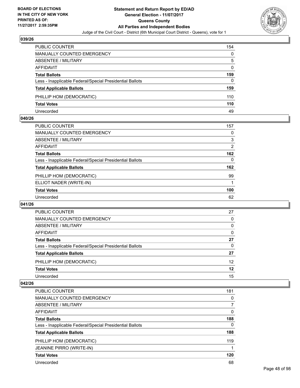

| <b>PUBLIC COUNTER</b>                                    | 154 |
|----------------------------------------------------------|-----|
| MANUALLY COUNTED EMERGENCY                               | 0   |
| <b>ABSENTEE / MILITARY</b>                               | 5   |
| AFFIDAVIT                                                | 0   |
| <b>Total Ballots</b>                                     | 159 |
| Less - Inapplicable Federal/Special Presidential Ballots | 0   |
| <b>Total Applicable Ballots</b>                          | 159 |
| PHILLIP HOM (DEMOCRATIC)                                 | 110 |
| <b>Total Votes</b>                                       | 110 |
| Unrecorded                                               | 49  |

### **040/26**

| <b>PUBLIC COUNTER</b>                                    | 157 |
|----------------------------------------------------------|-----|
| <b>MANUALLY COUNTED EMERGENCY</b>                        | 0   |
| <b>ABSENTEE / MILITARY</b>                               | 3   |
| <b>AFFIDAVIT</b>                                         | 2   |
| <b>Total Ballots</b>                                     | 162 |
| Less - Inapplicable Federal/Special Presidential Ballots | 0   |
| <b>Total Applicable Ballots</b>                          | 162 |
| PHILLIP HOM (DEMOCRATIC)                                 | 99  |
| ELLIOT NADER (WRITE-IN)                                  |     |
| <b>Total Votes</b>                                       | 100 |
| Unrecorded                                               | 62  |
|                                                          |     |

### **041/26**

| <b>PUBLIC COUNTER</b>                                    | 27       |
|----------------------------------------------------------|----------|
| MANUALLY COUNTED EMERGENCY                               | $\Omega$ |
| ABSENTEE / MILITARY                                      | 0        |
| AFFIDAVIT                                                | 0        |
| <b>Total Ballots</b>                                     | 27       |
| Less - Inapplicable Federal/Special Presidential Ballots | 0        |
| <b>Total Applicable Ballots</b>                          | 27       |
| PHILLIP HOM (DEMOCRATIC)                                 | 12       |
| <b>Total Votes</b>                                       | 12       |
| Unrecorded                                               | 15       |

| <b>PUBLIC COUNTER</b>                                    | 181 |
|----------------------------------------------------------|-----|
| MANUALLY COUNTED EMERGENCY                               | 0   |
| ABSENTEE / MILITARY                                      | 7   |
| AFFIDAVIT                                                | 0   |
| <b>Total Ballots</b>                                     | 188 |
| Less - Inapplicable Federal/Special Presidential Ballots | 0   |
| <b>Total Applicable Ballots</b>                          | 188 |
| PHILLIP HOM (DEMOCRATIC)                                 | 119 |
| <b>JEANINE PIRRO (WRITE-IN)</b>                          |     |
| <b>Total Votes</b>                                       | 120 |
| Unrecorded                                               | 68  |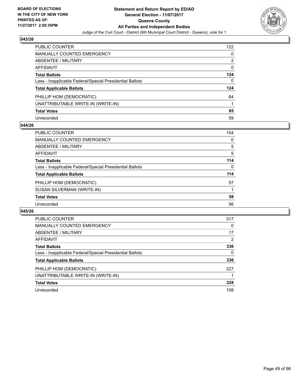

| <b>PUBLIC COUNTER</b>                                    | 122 |
|----------------------------------------------------------|-----|
| <b>MANUALLY COUNTED EMERGENCY</b>                        | 0   |
| <b>ABSENTEE / MILITARY</b>                               | 2   |
| <b>AFFIDAVIT</b>                                         | 0   |
| <b>Total Ballots</b>                                     | 124 |
| Less - Inapplicable Federal/Special Presidential Ballots | 0   |
| <b>Total Applicable Ballots</b>                          | 124 |
| PHILLIP HOM (DEMOCRATIC)                                 | 64  |
| UNATTRIBUTABLE WRITE-IN (WRITE-IN)                       |     |
| <b>Total Votes</b>                                       | 65  |
| Unrecorded                                               | 59  |

### **044/26**

| <b>PUBLIC COUNTER</b>                                    | 104 |
|----------------------------------------------------------|-----|
| MANUALLY COUNTED EMERGENCY                               | 0   |
| ABSENTEE / MILITARY                                      | 5   |
| <b>AFFIDAVIT</b>                                         | 5   |
| <b>Total Ballots</b>                                     | 114 |
| Less - Inapplicable Federal/Special Presidential Ballots | 0   |
| <b>Total Applicable Ballots</b>                          | 114 |
| PHILLIP HOM (DEMOCRATIC)                                 | 57  |
| SUSAN SILVERMAN (WRITE-IN)                               |     |
| <b>Total Votes</b>                                       | 58  |
| Unrecorded                                               | 56  |

| <b>PUBLIC COUNTER</b>                                    | 317 |
|----------------------------------------------------------|-----|
| MANUALLY COUNTED EMERGENCY                               | 0   |
| ABSENTEE / MILITARY                                      | 17  |
| AFFIDAVIT                                                | 2   |
| <b>Total Ballots</b>                                     | 336 |
| Less - Inapplicable Federal/Special Presidential Ballots | 0   |
| <b>Total Applicable Ballots</b>                          | 336 |
| PHILLIP HOM (DEMOCRATIC)                                 | 227 |
| UNATTRIBUTABLE WRITE-IN (WRITE-IN)                       |     |
| <b>Total Votes</b>                                       | 228 |
| Unrecorded                                               | 108 |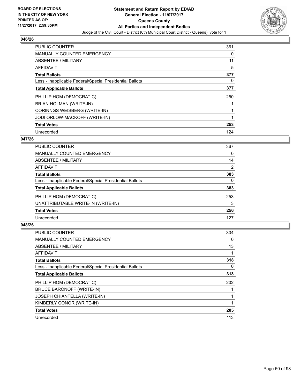

| <b>PUBLIC COUNTER</b>                                    | 361 |
|----------------------------------------------------------|-----|
| <b>MANUALLY COUNTED EMERGENCY</b>                        | 0   |
| ABSENTEE / MILITARY                                      | 11  |
| <b>AFFIDAVIT</b>                                         | 5   |
| <b>Total Ballots</b>                                     | 377 |
| Less - Inapplicable Federal/Special Presidential Ballots | 0   |
| <b>Total Applicable Ballots</b>                          | 377 |
| PHILLIP HOM (DEMOCRATIC)                                 | 250 |
| BRIAN HOLMAN (WRITE-IN)                                  |     |
| CORINNGS WEISBERG (WRITE-IN)                             | 1   |
| JODI ORLOW-MACKOFF (WRITE-IN)                            | 1   |
| <b>Total Votes</b>                                       | 253 |
| Unrecorded                                               | 124 |

## **047/26**

| <b>PUBLIC COUNTER</b>                                    | 367 |
|----------------------------------------------------------|-----|
| MANUALLY COUNTED EMERGENCY                               | 0   |
| ABSENTEE / MILITARY                                      | 14  |
| AFFIDAVIT                                                | 2   |
| <b>Total Ballots</b>                                     | 383 |
| Less - Inapplicable Federal/Special Presidential Ballots | 0   |
| <b>Total Applicable Ballots</b>                          | 383 |
| PHILLIP HOM (DEMOCRATIC)                                 | 253 |
| UNATTRIBUTABLE WRITE-IN (WRITE-IN)                       | 3   |
| <b>Total Votes</b>                                       | 256 |
| Unrecorded                                               | 127 |
|                                                          |     |

| <b>PUBLIC COUNTER</b>                                    | 304 |
|----------------------------------------------------------|-----|
| <b>MANUALLY COUNTED EMERGENCY</b>                        | 0   |
| ABSENTEE / MILITARY                                      | 13  |
| AFFIDAVIT                                                |     |
| <b>Total Ballots</b>                                     | 318 |
| Less - Inapplicable Federal/Special Presidential Ballots | 0   |
| <b>Total Applicable Ballots</b>                          | 318 |
| PHILLIP HOM (DEMOCRATIC)                                 | 202 |
| BRUCE BARONOFF (WRITE-IN)                                |     |
| <b>JOSEPH CHIANTELLA (WRITE-IN)</b>                      |     |
| KIMBERLY CONOR (WRITE-IN)                                |     |
| <b>Total Votes</b>                                       | 205 |
| Unrecorded                                               | 113 |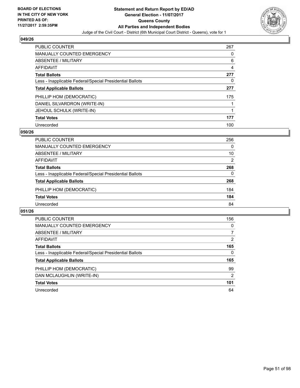

| <b>PUBLIC COUNTER</b>                                    | 267 |
|----------------------------------------------------------|-----|
| <b>MANUALLY COUNTED EMERGENCY</b>                        | 0   |
| ABSENTEE / MILITARY                                      | 6   |
| AFFIDAVIT                                                | 4   |
| <b>Total Ballots</b>                                     | 277 |
| Less - Inapplicable Federal/Special Presidential Ballots | 0   |
| <b>Total Applicable Ballots</b>                          | 277 |
| PHILLIP HOM (DEMOCRATIC)                                 | 175 |
| DANIEL SILVARDRON (WRITE-IN)                             |     |
| JEHOUL SCHULK (WRITE-IN)                                 |     |
| <b>Total Votes</b>                                       | 177 |
| Unrecorded                                               | 100 |

### **050/26**

| <b>PUBLIC COUNTER</b>                                    | 256            |
|----------------------------------------------------------|----------------|
| MANUALLY COUNTED EMERGENCY                               | 0              |
| ABSENTEE / MILITARY                                      | 10             |
| AFFIDAVIT                                                | $\overline{2}$ |
| <b>Total Ballots</b>                                     | 268            |
| Less - Inapplicable Federal/Special Presidential Ballots | 0              |
| <b>Total Applicable Ballots</b>                          | 268            |
| PHILLIP HOM (DEMOCRATIC)                                 | 184            |
| <b>Total Votes</b>                                       | 184            |
| Unrecorded                                               | 84             |

| <b>PUBLIC COUNTER</b>                                    | 156            |
|----------------------------------------------------------|----------------|
| <b>MANUALLY COUNTED EMERGENCY</b>                        | 0              |
| ABSENTEE / MILITARY                                      | 7              |
| <b>AFFIDAVIT</b>                                         | 2              |
| <b>Total Ballots</b>                                     | 165            |
| Less - Inapplicable Federal/Special Presidential Ballots | 0              |
| <b>Total Applicable Ballots</b>                          | 165            |
| PHILLIP HOM (DEMOCRATIC)                                 | 99             |
| DAN MCLAUGHLIN (WRITE-IN)                                | $\overline{2}$ |
| <b>Total Votes</b>                                       | 101            |
| Unrecorded                                               | 64             |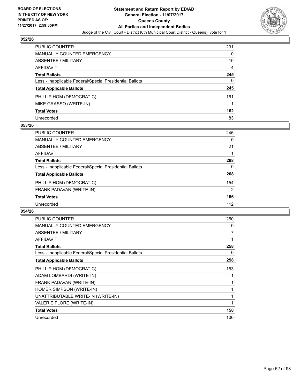

| <b>PUBLIC COUNTER</b>                                    | 231 |
|----------------------------------------------------------|-----|
| MANUALLY COUNTED EMERGENCY                               | 0   |
| <b>ABSENTEE / MILITARY</b>                               | 10  |
| <b>AFFIDAVIT</b>                                         | 4   |
| <b>Total Ballots</b>                                     | 245 |
| Less - Inapplicable Federal/Special Presidential Ballots | 0   |
| <b>Total Applicable Ballots</b>                          | 245 |
| PHILLIP HOM (DEMOCRATIC)                                 | 161 |
| MIKE GRASSO (WRITE-IN)                                   |     |
| <b>Total Votes</b>                                       | 162 |
| Unrecorded                                               | 83  |

### **053/26**

| <b>PUBLIC COUNTER</b>                                    | 246 |
|----------------------------------------------------------|-----|
| <b>MANUALLY COUNTED EMERGENCY</b>                        | 0   |
| ABSENTEE / MILITARY                                      | 21  |
| AFFIDAVIT                                                |     |
| <b>Total Ballots</b>                                     | 268 |
| Less - Inapplicable Federal/Special Presidential Ballots | 0   |
| <b>Total Applicable Ballots</b>                          | 268 |
| PHILLIP HOM (DEMOCRATIC)                                 | 154 |
| FRANK PADAVAN (WRITE-IN)                                 | 2   |
| <b>Total Votes</b>                                       | 156 |
| Unrecorded                                               | 112 |

| <b>PUBLIC COUNTER</b>                                    | 250 |
|----------------------------------------------------------|-----|
| <b>MANUALLY COUNTED EMERGENCY</b>                        | 0   |
| ABSENTEE / MILITARY                                      | 7   |
| AFFIDAVIT                                                |     |
| <b>Total Ballots</b>                                     | 258 |
| Less - Inapplicable Federal/Special Presidential Ballots | 0   |
| <b>Total Applicable Ballots</b>                          | 258 |
| PHILLIP HOM (DEMOCRATIC)                                 | 153 |
| ADAM LOMBARDI (WRITE-IN)                                 |     |
| FRANK PADAVAN (WRITE-IN)                                 |     |
| HOMER SIMPSON (WRITE-IN)                                 |     |
| UNATTRIBUTABLE WRITE-IN (WRITE-IN)                       |     |
| VALERIE FLORE (WRITE-IN)                                 |     |
| <b>Total Votes</b>                                       | 158 |
| Unrecorded                                               | 100 |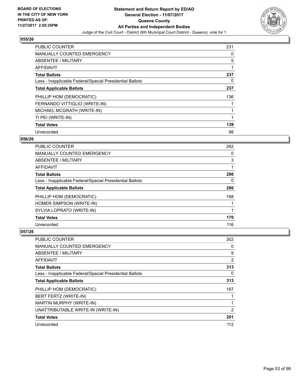

| <b>PUBLIC COUNTER</b>                                    | 231 |
|----------------------------------------------------------|-----|
| <b>MANUALLY COUNTED EMERGENCY</b>                        | 0   |
| ABSENTEE / MILITARY                                      | 5   |
| AFFIDAVIT                                                | 1   |
| <b>Total Ballots</b>                                     | 237 |
| Less - Inapplicable Federal/Special Presidential Ballots | 0   |
| <b>Total Applicable Ballots</b>                          | 237 |
| PHILLIP HOM (DEMOCRATIC)                                 | 136 |
| FERNANDO VITTIGLIO (WRITE-IN)                            |     |
| MICHAEL MCGRATH (WRITE-IN)                               | 1   |
| TI PEI (WRITE-IN)                                        |     |
| <b>Total Votes</b>                                       | 139 |
| Unrecorded                                               | 98  |

## **056/26**

| <b>PUBLIC COUNTER</b>                                    | 282 |
|----------------------------------------------------------|-----|
| <b>MANUALLY COUNTED EMERGENCY</b>                        | 0   |
| <b>ABSENTEE / MILITARY</b>                               | 3   |
| <b>AFFIDAVIT</b>                                         |     |
| <b>Total Ballots</b>                                     | 286 |
| Less - Inapplicable Federal/Special Presidential Ballots | 0   |
| <b>Total Applicable Ballots</b>                          | 286 |
| PHILLIP HOM (DEMOCRATIC)                                 | 168 |
| HOMER SIMPSON (WRITE-IN)                                 |     |
| SYLVIA LOPRATO (WRITE-IN)                                |     |
| <b>Total Votes</b>                                       | 170 |
| Unrecorded                                               | 116 |

| <b>PUBLIC COUNTER</b>                                    | 302            |
|----------------------------------------------------------|----------------|
| <b>MANUALLY COUNTED EMERGENCY</b>                        | 0              |
| ABSENTEE / MILITARY                                      | 9              |
| AFFIDAVIT                                                | 2              |
| <b>Total Ballots</b>                                     | 313            |
| Less - Inapplicable Federal/Special Presidential Ballots | 0              |
| <b>Total Applicable Ballots</b>                          | 313            |
| PHILLIP HOM (DEMOCRATIC)                                 | 197            |
| BERT FERTZ (WRITE-IN)                                    |                |
| MARTIN MURPHY (WRITE-IN)                                 |                |
| UNATTRIBUTABLE WRITE-IN (WRITE-IN)                       | $\overline{2}$ |
| <b>Total Votes</b>                                       | 201            |
| Unrecorded                                               | 112            |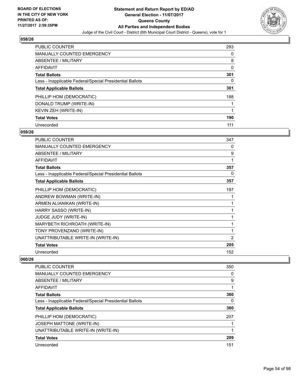

| <b>PUBLIC COUNTER</b>                                    | 293 |
|----------------------------------------------------------|-----|
| MANUALLY COUNTED EMERGENCY                               | 0   |
| ABSENTEE / MILITARY                                      | 8   |
| AFFIDAVIT                                                | 0   |
| <b>Total Ballots</b>                                     | 301 |
| Less - Inapplicable Federal/Special Presidential Ballots | 0   |
| <b>Total Applicable Ballots</b>                          | 301 |
| PHILLIP HOM (DEMOCRATIC)                                 | 188 |
| DONALD TRUMP (WRITE-IN)                                  |     |
| KEVIN ZEH (WRITE-IN)                                     |     |
| <b>Total Votes</b>                                       | 190 |
| Unrecorded                                               | 111 |

### **059/26**

| <b>PUBLIC COUNTER</b>                                    | 347            |
|----------------------------------------------------------|----------------|
| <b>MANUALLY COUNTED EMERGENCY</b>                        | 0              |
| <b>ABSENTEE / MILITARY</b>                               | 9              |
| <b>AFFIDAVIT</b>                                         | 1              |
| <b>Total Ballots</b>                                     | 357            |
| Less - Inapplicable Federal/Special Presidential Ballots | 0              |
| <b>Total Applicable Ballots</b>                          | 357            |
| PHILLIP HOM (DEMOCRATIC)                                 | 197            |
| ANDREW BOWMAN (WRITE-IN)                                 |                |
| ARMEN ALIANIKAN (WRITE-IN)                               |                |
| HARRY SASSO (WRITE-IN)                                   |                |
| <b>JUDGE JUDY (WRITE-IN)</b>                             |                |
| MARYBETH RICHROATH (WRITE-IN)                            | 1              |
| TONY PROVENZANO (WRITE-IN)                               | 1              |
| UNATTRIBUTABLE WRITE-IN (WRITE-IN)                       | $\overline{2}$ |
| <b>Total Votes</b>                                       | 205            |
| Unrecorded                                               | 152            |

| <b>PUBLIC COUNTER</b>                                    | 350 |
|----------------------------------------------------------|-----|
| <b>MANUALLY COUNTED EMERGENCY</b>                        | 0   |
| ABSENTEE / MILITARY                                      | 9   |
| AFFIDAVIT                                                | 1   |
| <b>Total Ballots</b>                                     | 360 |
| Less - Inapplicable Federal/Special Presidential Ballots | 0   |
| <b>Total Applicable Ballots</b>                          | 360 |
| PHILLIP HOM (DEMOCRATIC)                                 | 207 |
| <b>JOSEPH MATTONE (WRITE-IN)</b>                         |     |
| UNATTRIBUTABLE WRITE-IN (WRITE-IN)                       |     |
| <b>Total Votes</b>                                       | 209 |
| Unrecorded                                               | 151 |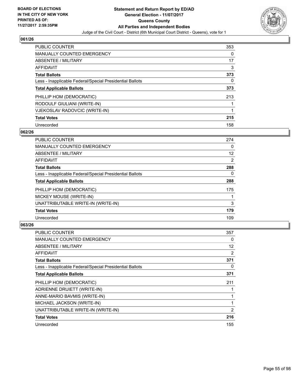

| <b>PUBLIC COUNTER</b>                                    | 353 |
|----------------------------------------------------------|-----|
| MANUALLY COUNTED EMERGENCY                               | 0   |
| ABSENTEE / MILITARY                                      | 17  |
| AFFIDAVIT                                                | 3   |
| <b>Total Ballots</b>                                     | 373 |
| Less - Inapplicable Federal/Special Presidential Ballots | 0   |
| <b>Total Applicable Ballots</b>                          | 373 |
| PHILLIP HOM (DEMOCRATIC)                                 | 213 |
| RODOULF GIULIANI (WRITE-IN)                              |     |
| VJEKOSLAV RADOVCIC (WRITE-IN)                            |     |
| <b>Total Votes</b>                                       | 215 |
| Unrecorded                                               | 158 |

### **062/26**

| <b>PUBLIC COUNTER</b>                                    | 274 |
|----------------------------------------------------------|-----|
| <b>MANUALLY COUNTED EMERGENCY</b>                        | 0   |
| ABSENTEE / MILITARY                                      | 12  |
| <b>AFFIDAVIT</b>                                         | 2   |
| <b>Total Ballots</b>                                     | 288 |
| Less - Inapplicable Federal/Special Presidential Ballots | 0   |
| <b>Total Applicable Ballots</b>                          | 288 |
| PHILLIP HOM (DEMOCRATIC)                                 | 175 |
| MICKEY MOUSE (WRITE-IN)                                  |     |
| UNATTRIBUTABLE WRITE-IN (WRITE-IN)                       | 3   |
| <b>Total Votes</b>                                       | 179 |
| Unrecorded                                               | 109 |

| <b>PUBLIC COUNTER</b>                                    | 357 |
|----------------------------------------------------------|-----|
| <b>MANUALLY COUNTED EMERGENCY</b>                        | 0   |
| ABSENTEE / MILITARY                                      | 12  |
| AFFIDAVIT                                                | 2   |
| <b>Total Ballots</b>                                     | 371 |
| Less - Inapplicable Federal/Special Presidential Ballots | 0   |
| <b>Total Applicable Ballots</b>                          | 371 |
| PHILLIP HOM (DEMOCRATIC)                                 | 211 |
| ADRIENNE DRUIETT (WRITE-IN)                              |     |
| ANNE-MARIO BAVMIS (WRITE-IN)                             |     |
| MICHAEL JACKSON (WRITE-IN)                               | 1   |
| UNATTRIBUTABLE WRITE-IN (WRITE-IN)                       | 2   |
| <b>Total Votes</b>                                       | 216 |
| Unrecorded                                               | 155 |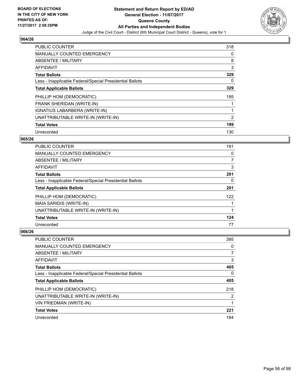

| PUBLIC COUNTER                                           | 318 |
|----------------------------------------------------------|-----|
| <b>MANUALLY COUNTED EMERGENCY</b>                        | 0   |
| ABSENTEE / MILITARY                                      | 8   |
| <b>AFFIDAVIT</b>                                         | 3   |
| <b>Total Ballots</b>                                     | 329 |
| Less - Inapplicable Federal/Special Presidential Ballots | 0   |
| <b>Total Applicable Ballots</b>                          | 329 |
| PHILLIP HOM (DEMOCRATIC)                                 | 195 |
| FRANK SHERIDAN (WRITE-IN)                                |     |
| IGNATIUS LABARBERA (WRITE-IN)                            |     |
| UNATTRIBUTABLE WRITE-IN (WRITE-IN)                       | 2   |
| <b>Total Votes</b>                                       | 199 |
| Unrecorded                                               | 130 |

## **065/26**

| <b>PUBLIC COUNTER</b>                                    | 191 |
|----------------------------------------------------------|-----|
| <b>MANUALLY COUNTED EMERGENCY</b>                        | 0   |
| <b>ABSENTEE / MILITARY</b>                               | 7   |
| <b>AFFIDAVIT</b>                                         | 3   |
| <b>Total Ballots</b>                                     | 201 |
| Less - Inapplicable Federal/Special Presidential Ballots | 0   |
| <b>Total Applicable Ballots</b>                          | 201 |
| PHILLIP HOM (DEMOCRATIC)                                 | 122 |
| MAIA SARIDIS (WRITE-IN)                                  |     |
| UNATTRIBUTABLE WRITE-IN (WRITE-IN)                       |     |
| <b>Total Votes</b>                                       | 124 |
| Unrecorded                                               | 77  |

| <b>PUBLIC COUNTER</b>                                    | 395 |
|----------------------------------------------------------|-----|
| MANUALLY COUNTED EMERGENCY                               | 0   |
| ABSENTEE / MILITARY                                      | 7   |
| AFFIDAVIT                                                | 3   |
| <b>Total Ballots</b>                                     | 405 |
| Less - Inapplicable Federal/Special Presidential Ballots | 0   |
| <b>Total Applicable Ballots</b>                          | 405 |
| PHILLIP HOM (DEMOCRATIC)                                 | 218 |
| UNATTRIBUTABLE WRITE-IN (WRITE-IN)                       | 2   |
| VIN FRIEDMAN (WRITE-IN)                                  |     |
| <b>Total Votes</b>                                       | 221 |
| Unrecorded                                               | 184 |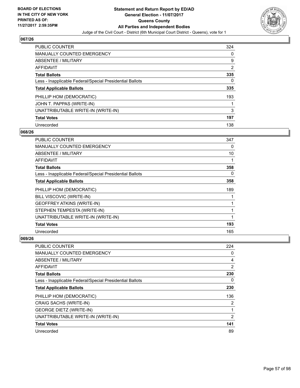

| <b>PUBLIC COUNTER</b>                                    | 324 |
|----------------------------------------------------------|-----|
| MANUALLY COUNTED EMERGENCY                               | 0   |
| ABSENTEE / MILITARY                                      | 9   |
| AFFIDAVIT                                                | 2   |
| <b>Total Ballots</b>                                     | 335 |
| Less - Inapplicable Federal/Special Presidential Ballots | 0   |
| <b>Total Applicable Ballots</b>                          | 335 |
| PHILLIP HOM (DEMOCRATIC)                                 | 193 |
| JOHN T. PAPPAS (WRITE-IN)                                |     |
| UNATTRIBUTABLE WRITE-IN (WRITE-IN)                       | 3   |
| <b>Total Votes</b>                                       | 197 |
| Unrecorded                                               | 138 |

### **068/26**

| PUBLIC COUNTER                                           | 347 |
|----------------------------------------------------------|-----|
| <b>MANUALLY COUNTED EMERGENCY</b>                        | 0   |
| ABSENTEE / MILITARY                                      | 10  |
| <b>AFFIDAVIT</b>                                         | 1   |
| <b>Total Ballots</b>                                     | 358 |
| Less - Inapplicable Federal/Special Presidential Ballots | 0   |
| <b>Total Applicable Ballots</b>                          | 358 |
| PHILLIP HOM (DEMOCRATIC)                                 | 189 |
| BILL VISCOVIC (WRITE-IN)                                 |     |
| <b>GEOFFREY ATKINS (WRITE-IN)</b>                        |     |
| STEPHEN TEMPESTA (WRITE-IN)                              | 1   |
| UNATTRIBUTABLE WRITE-IN (WRITE-IN)                       | 1   |
| <b>Total Votes</b>                                       | 193 |
| Unrecorded                                               | 165 |

| PUBLIC COUNTER                                           | 224            |
|----------------------------------------------------------|----------------|
| <b>MANUALLY COUNTED EMERGENCY</b>                        | 0              |
| ABSENTEE / MILITARY                                      | 4              |
| AFFIDAVIT                                                | 2              |
| <b>Total Ballots</b>                                     | 230            |
| Less - Inapplicable Federal/Special Presidential Ballots | 0              |
| <b>Total Applicable Ballots</b>                          | 230            |
| PHILLIP HOM (DEMOCRATIC)                                 | 136            |
| CRAIG SACHS (WRITE-IN)                                   | $\overline{2}$ |
| <b>GEORGE DIETZ (WRITE-IN)</b>                           | 1              |
| UNATTRIBUTABLE WRITE-IN (WRITE-IN)                       | $\overline{2}$ |
| <b>Total Votes</b>                                       | 141            |
| Unrecorded                                               | 89             |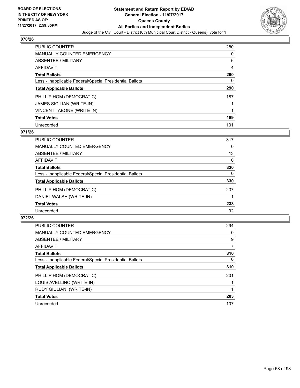

| <b>PUBLIC COUNTER</b>                                    | 280 |
|----------------------------------------------------------|-----|
| <b>MANUALLY COUNTED EMERGENCY</b>                        | 0   |
| ABSENTEE / MILITARY                                      | 6   |
| <b>AFFIDAVIT</b>                                         | 4   |
| <b>Total Ballots</b>                                     | 290 |
| Less - Inapplicable Federal/Special Presidential Ballots | 0   |
| <b>Total Applicable Ballots</b>                          | 290 |
| PHILLIP HOM (DEMOCRATIC)                                 | 187 |
| <b>JAMES SICILIAN (WRITE-IN)</b>                         |     |
| <b>VINCENT TABONE (WRITE-IN)</b>                         | 1   |
| <b>Total Votes</b>                                       | 189 |
| Unrecorded                                               | 101 |

### **071/26**

| <b>PUBLIC COUNTER</b>                                    | 317      |
|----------------------------------------------------------|----------|
| <b>MANUALLY COUNTED EMERGENCY</b>                        | 0        |
| ABSENTEE / MILITARY                                      | 13       |
| <b>AFFIDAVIT</b>                                         | 0        |
| <b>Total Ballots</b>                                     | 330      |
| Less - Inapplicable Federal/Special Presidential Ballots | $\Omega$ |
| <b>Total Applicable Ballots</b>                          | 330      |
| PHILLIP HOM (DEMOCRATIC)                                 | 237      |
| DANIEL WALSH (WRITE-IN)                                  |          |
| <b>Total Votes</b>                                       | 238      |
| Unrecorded                                               | 92       |

| <b>PUBLIC COUNTER</b>                                    | 294      |
|----------------------------------------------------------|----------|
| MANUALLY COUNTED EMERGENCY                               | 0        |
| ABSENTEE / MILITARY                                      | 9        |
| <b>AFFIDAVIT</b>                                         | 7        |
| <b>Total Ballots</b>                                     | 310      |
| Less - Inapplicable Federal/Special Presidential Ballots | $\Omega$ |
| <b>Total Applicable Ballots</b>                          | 310      |
| PHILLIP HOM (DEMOCRATIC)                                 | 201      |
| LOUIS AVELLINO (WRITE-IN)                                |          |
| RUDY GIULIANI (WRITE-IN)                                 |          |
| <b>Total Votes</b>                                       | 203      |
| Unrecorded                                               | 107      |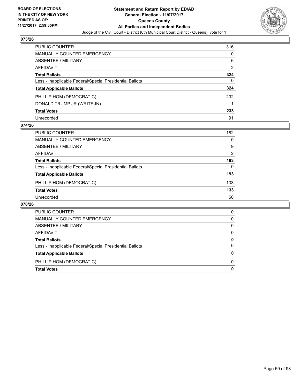

| <b>PUBLIC COUNTER</b>                                    | 316 |
|----------------------------------------------------------|-----|
| <b>MANUALLY COUNTED EMERGENCY</b>                        | 0   |
| <b>ABSENTEE / MILITARY</b>                               | 6   |
| <b>AFFIDAVIT</b>                                         | 2   |
| <b>Total Ballots</b>                                     | 324 |
| Less - Inapplicable Federal/Special Presidential Ballots | 0   |
| <b>Total Applicable Ballots</b>                          | 324 |
| PHILLIP HOM (DEMOCRATIC)                                 | 232 |
| DONALD TRUMP JR (WRITE-IN)                               |     |
| <b>Total Votes</b>                                       | 233 |
| Unrecorded                                               | 91  |

### **074/26**

| <b>PUBLIC COUNTER</b>                                    | 182 |
|----------------------------------------------------------|-----|
| MANUALLY COUNTED EMERGENCY                               | 0   |
| ABSENTEE / MILITARY                                      | 9   |
| AFFIDAVIT                                                | 2   |
| <b>Total Ballots</b>                                     | 193 |
| Less - Inapplicable Federal/Special Presidential Ballots | 0   |
| <b>Total Applicable Ballots</b>                          | 193 |
| PHILLIP HOM (DEMOCRATIC)                                 | 133 |
| <b>Total Votes</b>                                       | 133 |
| Unrecorded                                               | 60  |

| <b>Total Votes</b>                                       | 0 |
|----------------------------------------------------------|---|
| PHILLIP HOM (DEMOCRATIC)                                 | 0 |
| <b>Total Applicable Ballots</b>                          | 0 |
| Less - Inapplicable Federal/Special Presidential Ballots | 0 |
| <b>Total Ballots</b>                                     | 0 |
| AFFIDAVIT                                                | 0 |
| ABSENTEE / MILITARY                                      | 0 |
| MANUALLY COUNTED EMERGENCY                               | 0 |
| <b>PUBLIC COUNTER</b>                                    | 0 |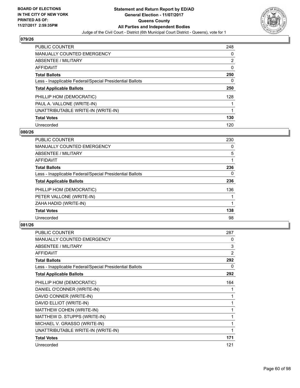

| <b>PUBLIC COUNTER</b>                                    | 248 |
|----------------------------------------------------------|-----|
| MANUALLY COUNTED EMERGENCY                               | 0   |
| ABSENTEE / MILITARY                                      | 2   |
| AFFIDAVIT                                                | 0   |
| <b>Total Ballots</b>                                     | 250 |
| Less - Inapplicable Federal/Special Presidential Ballots | 0   |
| <b>Total Applicable Ballots</b>                          | 250 |
| PHILLIP HOM (DEMOCRATIC)                                 | 128 |
| PAUL A. VALLONE (WRITE-IN)                               |     |
| UNATTRIBUTABLE WRITE-IN (WRITE-IN)                       | 1   |
| <b>Total Votes</b>                                       | 130 |
| Unrecorded                                               | 120 |

### **080/26**

| <b>PUBLIC COUNTER</b>                                    | 230      |
|----------------------------------------------------------|----------|
| <b>MANUALLY COUNTED EMERGENCY</b>                        | 0        |
| ABSENTEE / MILITARY                                      | 5        |
| <b>AFFIDAVIT</b>                                         |          |
| <b>Total Ballots</b>                                     | 236      |
| Less - Inapplicable Federal/Special Presidential Ballots | $\Omega$ |
| <b>Total Applicable Ballots</b>                          | 236      |
| PHILLIP HOM (DEMOCRATIC)                                 | 136      |
| PETER VALLONE (WRITE-IN)                                 |          |
| ZAHA HADID (WRITE-IN)                                    |          |
| <b>Total Votes</b>                                       | 138      |
| Unrecorded                                               | 98       |

| <b>PUBLIC COUNTER</b>                                    | 287            |
|----------------------------------------------------------|----------------|
| <b>MANUALLY COUNTED EMERGENCY</b>                        | 0              |
| ABSENTEE / MILITARY                                      | 3              |
| <b>AFFIDAVIT</b>                                         | $\overline{2}$ |
| <b>Total Ballots</b>                                     | 292            |
| Less - Inapplicable Federal/Special Presidential Ballots | 0              |
| <b>Total Applicable Ballots</b>                          | 292            |
| PHILLIP HOM (DEMOCRATIC)                                 | 164            |
| DANIEL O'CONNER (WRITE-IN)                               | 1              |
| DAVID CONNER (WRITE-IN)                                  | 1              |
| DAVID ELLIOT (WRITE-IN)                                  | 1              |
| MATTHEW COHEN (WRITE-IN)                                 | 1              |
| MATTHEW D. STUPPS (WRITE-IN)                             | 1              |
| MICHAEL V. GRASSO (WRITE-IN)                             | 1              |
| UNATTRIBUTABLE WRITE-IN (WRITE-IN)                       | 1              |
| <b>Total Votes</b>                                       | 171            |
| Unrecorded                                               | 121            |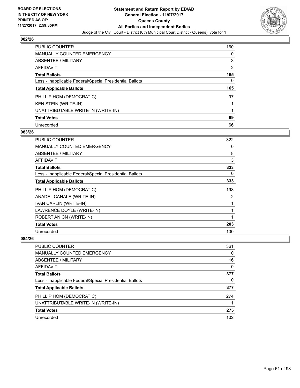

| <b>PUBLIC COUNTER</b>                                    | 160            |
|----------------------------------------------------------|----------------|
| <b>MANUALLY COUNTED EMERGENCY</b>                        | 0              |
| ABSENTEE / MILITARY                                      | 3              |
| AFFIDAVIT                                                | $\overline{2}$ |
| <b>Total Ballots</b>                                     | 165            |
| Less - Inapplicable Federal/Special Presidential Ballots | 0              |
| <b>Total Applicable Ballots</b>                          | 165            |
|                                                          |                |
| PHILLIP HOM (DEMOCRATIC)                                 | 97             |
| <b>KEN STEIN (WRITE-IN)</b>                              |                |
| UNATTRIBUTABLE WRITE-IN (WRITE-IN)                       |                |
| <b>Total Votes</b>                                       | 99             |

### **083/26**

| <b>PUBLIC COUNTER</b>                                    | 322 |
|----------------------------------------------------------|-----|
| <b>MANUALLY COUNTED EMERGENCY</b>                        | 0   |
| ABSENTEE / MILITARY                                      | 8   |
| AFFIDAVIT                                                | 3   |
| <b>Total Ballots</b>                                     | 333 |
| Less - Inapplicable Federal/Special Presidential Ballots | 0   |
| <b>Total Applicable Ballots</b>                          | 333 |
| PHILLIP HOM (DEMOCRATIC)                                 | 198 |
| ANADEL CANALE (WRITE-IN)                                 | 2   |
| IVAN CARLIN (WRITE-IN)                                   | 1   |
| LAWRENCE DOYLE (WRITE-IN)                                | 1   |
| ROBERT ANICN (WRITE-IN)                                  | 1   |
| <b>Total Votes</b>                                       | 203 |
| Unrecorded                                               | 130 |

| <b>PUBLIC COUNTER</b>                                    | 361 |
|----------------------------------------------------------|-----|
| MANUALLY COUNTED EMERGENCY                               | 0   |
| ABSENTEE / MILITARY                                      | 16  |
| AFFIDAVIT                                                | 0   |
| <b>Total Ballots</b>                                     | 377 |
| Less - Inapplicable Federal/Special Presidential Ballots | 0   |
| <b>Total Applicable Ballots</b>                          | 377 |
| PHILLIP HOM (DEMOCRATIC)                                 | 274 |
| UNATTRIBUTABLE WRITE-IN (WRITE-IN)                       |     |
| <b>Total Votes</b>                                       | 275 |
| Unrecorded                                               | 102 |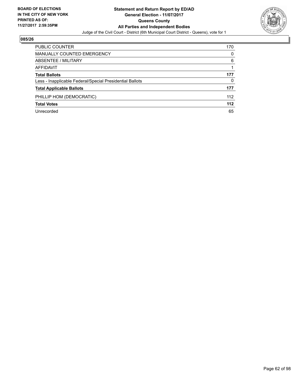

| <b>PUBLIC COUNTER</b>                                    | 170   |
|----------------------------------------------------------|-------|
| <b>MANUALLY COUNTED EMERGENCY</b>                        | 0     |
| <b>ABSENTEE / MILITARY</b>                               | 6     |
| AFFIDAVIT                                                |       |
| <b>Total Ballots</b>                                     | 177   |
| Less - Inapplicable Federal/Special Presidential Ballots | 0     |
| <b>Total Applicable Ballots</b>                          | 177   |
| PHILLIP HOM (DEMOCRATIC)                                 | 112   |
| <b>Total Votes</b>                                       | $112$ |
| Unrecorded                                               | 65    |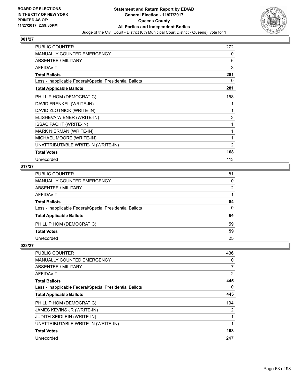

| <b>PUBLIC COUNTER</b>                                    | 272 |
|----------------------------------------------------------|-----|
| <b>MANUALLY COUNTED EMERGENCY</b>                        | 0   |
| <b>ABSENTEE / MILITARY</b>                               | 6   |
| <b>AFFIDAVIT</b>                                         | 3   |
| <b>Total Ballots</b>                                     | 281 |
| Less - Inapplicable Federal/Special Presidential Ballots | 0   |
| <b>Total Applicable Ballots</b>                          | 281 |
| PHILLIP HOM (DEMOCRATIC)                                 | 158 |
| DAVID FRENKEL (WRITE-IN)                                 | 1   |
| DAVID ZLOTNICK (WRITE-IN)                                | 1   |
| ELISHEVA WIENER (WRITE-IN)                               | 3   |
| <b>ISSAC PACHT (WRITE-IN)</b>                            | 1   |
| <b>MARK NIERMAN (WRITE-IN)</b>                           | 1   |
| MICHAEL MOORE (WRITE-IN)                                 | 1   |
| UNATTRIBUTABLE WRITE-IN (WRITE-IN)                       | 2   |
| <b>Total Votes</b>                                       | 168 |
| Unrecorded                                               | 113 |

## **017/27**

| PUBLIC COUNTER                                           | 81 |
|----------------------------------------------------------|----|
| MANUALLY COUNTED EMERGENCY                               | 0  |
| ABSENTEE / MILITARY                                      | 2  |
| AFFIDAVIT                                                |    |
| Total Ballots                                            | 84 |
| Less - Inapplicable Federal/Special Presidential Ballots | 0  |
| <b>Total Applicable Ballots</b>                          | 84 |
| PHILLIP HOM (DEMOCRATIC)                                 | 59 |
| <b>Total Votes</b>                                       | 59 |
| Unrecorded                                               | 25 |

| PUBLIC COUNTER                                           | 436            |
|----------------------------------------------------------|----------------|
| <b>MANUALLY COUNTED EMERGENCY</b>                        | 0              |
| ABSENTEE / MILITARY                                      | $\overline{7}$ |
| AFFIDAVIT                                                | 2              |
| <b>Total Ballots</b>                                     | 445            |
| Less - Inapplicable Federal/Special Presidential Ballots | 0              |
| <b>Total Applicable Ballots</b>                          | 445            |
| PHILLIP HOM (DEMOCRATIC)                                 | 194            |
| JAMES KEVINS JR (WRITE-IN)                               | 2              |
| <b>JUDITH SEIDLEIN (WRITE-IN)</b>                        |                |
| UNATTRIBUTABLE WRITE-IN (WRITE-IN)                       |                |
| <b>Total Votes</b>                                       | 198            |
| Unrecorded                                               | 247            |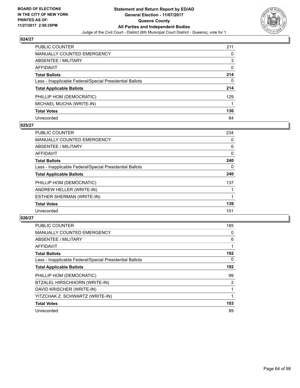

| <b>PUBLIC COUNTER</b>                                    | 211 |
|----------------------------------------------------------|-----|
| <b>MANUALLY COUNTED EMERGENCY</b>                        | 0   |
| ABSENTEE / MILITARY                                      | 3   |
| AFFIDAVIT                                                | 0   |
| <b>Total Ballots</b>                                     | 214 |
| Less - Inapplicable Federal/Special Presidential Ballots | 0   |
| <b>Total Applicable Ballots</b>                          | 214 |
| PHILLIP HOM (DEMOCRATIC)                                 | 129 |
| MICHAEL MUCHA (WRITE-IN)                                 |     |
| <b>Total Votes</b>                                       | 130 |
| Unrecorded                                               | 84  |

### **025/27**

| <b>PUBLIC COUNTER</b>                                    | 234 |
|----------------------------------------------------------|-----|
| <b>MANUALLY COUNTED EMERGENCY</b>                        | 0   |
| ABSENTEE / MILITARY                                      | 6   |
| <b>AFFIDAVIT</b>                                         | 0   |
| <b>Total Ballots</b>                                     | 240 |
| Less - Inapplicable Federal/Special Presidential Ballots | 0   |
| <b>Total Applicable Ballots</b>                          | 240 |
| PHILLIP HOM (DEMOCRATIC)                                 | 137 |
| ANDREW HELLER (WRITE-IN)                                 |     |
| ESTHER SHERMAN (WRITE-IN)                                |     |
| <b>Total Votes</b>                                       | 139 |
| Unrecorded                                               | 101 |

| <b>PUBLIC COUNTER</b>                                    | 185            |
|----------------------------------------------------------|----------------|
| <b>MANUALLY COUNTED EMERGENCY</b>                        | 0              |
| ABSENTEE / MILITARY                                      | 6              |
| AFFIDAVIT                                                |                |
| <b>Total Ballots</b>                                     | 192            |
| Less - Inapplicable Federal/Special Presidential Ballots | 0              |
| <b>Total Applicable Ballots</b>                          | 192            |
| PHILLIP HOM (DEMOCRATIC)                                 | 99             |
| BTZALEL HIRSCHHORN (WRITE-IN)                            | $\overline{2}$ |
| DAVID KRISCHER (WRITE-IN)                                |                |
| YITZCHAK Z. SCHWARTZ (WRITE-IN)                          | 1              |
| <b>Total Votes</b>                                       | 103            |
| Unrecorded                                               | 89             |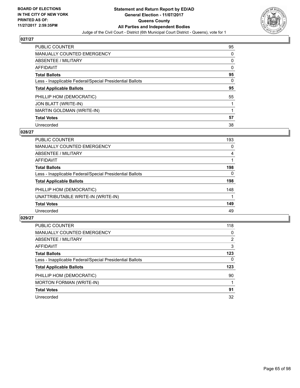

| <b>PUBLIC COUNTER</b>                                    | 95 |
|----------------------------------------------------------|----|
| <b>MANUALLY COUNTED EMERGENCY</b>                        | 0  |
| ABSENTEE / MILITARY                                      | 0  |
| <b>AFFIDAVIT</b>                                         | 0  |
| <b>Total Ballots</b>                                     | 95 |
| Less - Inapplicable Federal/Special Presidential Ballots | 0  |
| <b>Total Applicable Ballots</b>                          | 95 |
| PHILLIP HOM (DEMOCRATIC)                                 | 55 |
| JON BLATT (WRITE-IN)                                     |    |
| MARTIN GOLDMAN (WRITE-IN)                                |    |
| <b>Total Votes</b>                                       | 57 |
| Unrecorded                                               | 38 |

### **028/27**

| <b>PUBLIC COUNTER</b>                                    | 193 |
|----------------------------------------------------------|-----|
| MANUALLY COUNTED EMERGENCY                               | 0   |
| <b>ABSENTEE / MILITARY</b>                               | 4   |
| <b>AFFIDAVIT</b>                                         |     |
| <b>Total Ballots</b>                                     | 198 |
| Less - Inapplicable Federal/Special Presidential Ballots | 0   |
| <b>Total Applicable Ballots</b>                          | 198 |
| PHILLIP HOM (DEMOCRATIC)                                 | 148 |
| UNATTRIBUTABLE WRITE-IN (WRITE-IN)                       |     |
| <b>Total Votes</b>                                       | 149 |
| Unrecorded                                               | 49  |

| <b>PUBLIC COUNTER</b>                                    | 118            |
|----------------------------------------------------------|----------------|
| MANUALLY COUNTED EMERGENCY                               | 0              |
| ABSENTEE / MILITARY                                      | $\overline{2}$ |
| AFFIDAVIT                                                | 3              |
| <b>Total Ballots</b>                                     | 123            |
| Less - Inapplicable Federal/Special Presidential Ballots | 0              |
| <b>Total Applicable Ballots</b>                          | 123            |
| PHILLIP HOM (DEMOCRATIC)                                 | 90             |
| <b>MORTON FORMAN (WRITE-IN)</b>                          |                |
| <b>Total Votes</b>                                       | 91             |
| Unrecorded                                               | 32             |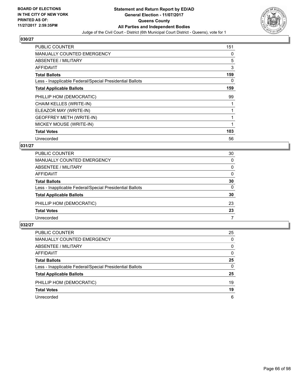

| <b>PUBLIC COUNTER</b>                                    | 151 |
|----------------------------------------------------------|-----|
| <b>MANUALLY COUNTED EMERGENCY</b>                        | 0   |
| <b>ABSENTEE / MILITARY</b>                               | 5   |
| <b>AFFIDAVIT</b>                                         | 3   |
| <b>Total Ballots</b>                                     | 159 |
| Less - Inapplicable Federal/Special Presidential Ballots | 0   |
| <b>Total Applicable Ballots</b>                          | 159 |
| PHILLIP HOM (DEMOCRATIC)                                 | 99  |
| CHAIM KELLES (WRITE-IN)                                  |     |
| ELEAZOR MAY (WRITE-IN)                                   |     |
| <b>GEOFFREY METH (WRITE-IN)</b>                          |     |
| MICKEY MOUSE (WRITE-IN)                                  |     |
| <b>Total Votes</b>                                       | 103 |
| Unrecorded                                               | 56  |

## **031/27**

| PUBLIC COUNTER                                           | 30       |
|----------------------------------------------------------|----------|
| <b>MANUALLY COUNTED EMERGENCY</b>                        | 0        |
| <b>ABSENTEE / MILITARY</b>                               | 0        |
| AFFIDAVIT                                                | $\Omega$ |
| <b>Total Ballots</b>                                     | 30       |
| Less - Inapplicable Federal/Special Presidential Ballots | $\Omega$ |
| <b>Total Applicable Ballots</b>                          | 30       |
| PHILLIP HOM (DEMOCRATIC)                                 | 23       |
| <b>Total Votes</b>                                       | 23       |
| Unrecorded                                               |          |
|                                                          |          |

| <b>PUBLIC COUNTER</b>                                    | 25 |
|----------------------------------------------------------|----|
| MANUALLY COUNTED EMERGENCY                               | 0  |
| ABSENTEE / MILITARY                                      | 0  |
| AFFIDAVIT                                                | 0  |
| <b>Total Ballots</b>                                     | 25 |
| Less - Inapplicable Federal/Special Presidential Ballots | 0  |
| <b>Total Applicable Ballots</b>                          | 25 |
| PHILLIP HOM (DEMOCRATIC)                                 | 19 |
| <b>Total Votes</b>                                       | 19 |
| Unrecorded                                               | 6  |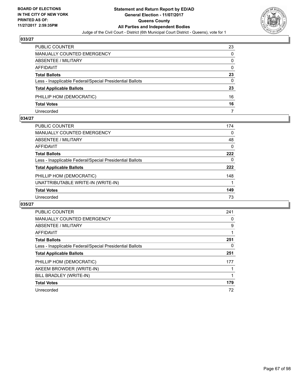

| PUBLIC COUNTER                                           | 23 |
|----------------------------------------------------------|----|
| <b>MANUALLY COUNTED EMERGENCY</b>                        | 0  |
| <b>ABSENTEE / MILITARY</b>                               | 0  |
| AFFIDAVIT                                                | 0  |
| <b>Total Ballots</b>                                     | 23 |
| Less - Inapplicable Federal/Special Presidential Ballots | 0  |
| <b>Total Applicable Ballots</b>                          | 23 |
| PHILLIP HOM (DEMOCRATIC)                                 | 16 |
| <b>Total Votes</b>                                       | 16 |
| Unrecorded                                               |    |

### **034/27**

| PUBLIC COUNTER                                           | 174 |
|----------------------------------------------------------|-----|
| <b>MANUALLY COUNTED EMERGENCY</b>                        | 0   |
| ABSENTEE / MILITARY                                      | 48  |
| AFFIDAVIT                                                | 0   |
| <b>Total Ballots</b>                                     | 222 |
| Less - Inapplicable Federal/Special Presidential Ballots | 0   |
| <b>Total Applicable Ballots</b>                          | 222 |
| PHILLIP HOM (DEMOCRATIC)                                 | 148 |
| UNATTRIBUTABLE WRITE-IN (WRITE-IN)                       |     |
| <b>Total Votes</b>                                       | 149 |
| Unrecorded                                               | 73  |
|                                                          |     |

| <b>PUBLIC COUNTER</b>                                    | 241 |
|----------------------------------------------------------|-----|
| <b>MANUALLY COUNTED EMERGENCY</b>                        | 0   |
| ABSENTEE / MILITARY                                      | 9   |
| <b>AFFIDAVIT</b>                                         |     |
| <b>Total Ballots</b>                                     | 251 |
| Less - Inapplicable Federal/Special Presidential Ballots | 0   |
| <b>Total Applicable Ballots</b>                          | 251 |
| PHILLIP HOM (DEMOCRATIC)                                 | 177 |
| AKEEM BROWDER (WRITE-IN)                                 |     |
| BILL BRADLEY (WRITE-IN)                                  |     |
| <b>Total Votes</b>                                       | 179 |
| Unrecorded                                               | 72  |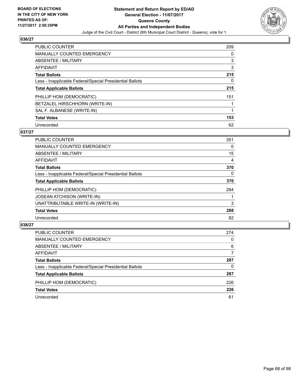

| <b>PUBLIC COUNTER</b>                                    | 209 |
|----------------------------------------------------------|-----|
| MANUALLY COUNTED EMERGENCY                               | 0   |
| ABSENTEE / MILITARY                                      | 3   |
| AFFIDAVIT                                                | 3   |
| <b>Total Ballots</b>                                     | 215 |
| Less - Inapplicable Federal/Special Presidential Ballots | 0   |
| <b>Total Applicable Ballots</b>                          | 215 |
| PHILLIP HOM (DEMOCRATIC)                                 | 151 |
| BETZALEL HIRSCHHORN (WRITE-IN)                           |     |
| SAL F. ALBANESE (WRITE-IN)                               | 1   |
| <b>Total Votes</b>                                       | 153 |
| Unrecorded                                               | 62  |

### **037/27**

| <b>PUBLIC COUNTER</b>                                    | 351      |
|----------------------------------------------------------|----------|
| <b>MANUALLY COUNTED EMERGENCY</b>                        | 0        |
| ABSENTEE / MILITARY                                      | 15       |
| <b>AFFIDAVIT</b>                                         | 4        |
| <b>Total Ballots</b>                                     | 370      |
| Less - Inapplicable Federal/Special Presidential Ballots | $\Omega$ |
| <b>Total Applicable Ballots</b>                          | 370      |
| PHILLIP HOM (DEMOCRATIC)                                 | 284      |
| <b>JOSEAN ATCHISON (WRITE-IN)</b>                        |          |
| UNATTRIBUTABLE WRITE-IN (WRITE-IN)                       | 3        |
| <b>Total Votes</b>                                       | 288      |
| Unrecorded                                               | 82       |

| <b>PUBLIC COUNTER</b>                                    | 274 |
|----------------------------------------------------------|-----|
| MANUALLY COUNTED EMERGENCY                               | 0   |
| ABSENTEE / MILITARY                                      | 6   |
| AFFIDAVIT                                                |     |
| <b>Total Ballots</b>                                     | 287 |
| Less - Inapplicable Federal/Special Presidential Ballots | 0   |
| <b>Total Applicable Ballots</b>                          | 287 |
| PHILLIP HOM (DEMOCRATIC)                                 | 226 |
| <b>Total Votes</b>                                       | 226 |
| Unrecorded                                               | 61  |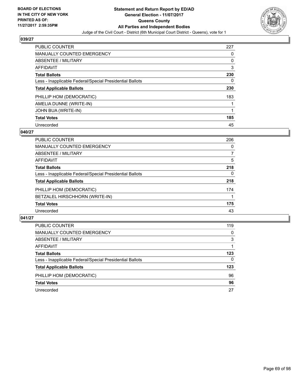

| <b>PUBLIC COUNTER</b>                                    | 227 |
|----------------------------------------------------------|-----|
| <b>MANUALLY COUNTED EMERGENCY</b>                        | 0   |
| ABSENTEE / MILITARY                                      | 0   |
| AFFIDAVIT                                                | 3   |
| <b>Total Ballots</b>                                     | 230 |
| Less - Inapplicable Federal/Special Presidential Ballots | 0   |
| <b>Total Applicable Ballots</b>                          | 230 |
| PHILLIP HOM (DEMOCRATIC)                                 | 183 |
| AMELIA DUNNE (WRITE-IN)                                  |     |
| JOHN BUA (WRITE-IN)                                      |     |
| <b>Total Votes</b>                                       | 185 |
| Unrecorded                                               | 45  |

### **040/27**

| <b>PUBLIC COUNTER</b>                                    | 206 |
|----------------------------------------------------------|-----|
| <b>MANUALLY COUNTED EMERGENCY</b>                        | 0   |
| ABSENTEE / MILITARY                                      | 7   |
| <b>AFFIDAVIT</b>                                         | 5   |
| <b>Total Ballots</b>                                     | 218 |
| Less - Inapplicable Federal/Special Presidential Ballots | 0   |
| <b>Total Applicable Ballots</b>                          | 218 |
| PHILLIP HOM (DEMOCRATIC)                                 | 174 |
| BETZALEL HIRSCHHORN (WRITE-IN)                           |     |
| <b>Total Votes</b>                                       | 175 |
| Unrecorded                                               | 43  |

| <b>PUBLIC COUNTER</b>                                    | 119 |
|----------------------------------------------------------|-----|
| MANUALLY COUNTED EMERGENCY                               | 0   |
| ABSENTEE / MILITARY                                      | 3   |
| AFFIDAVIT                                                |     |
| <b>Total Ballots</b>                                     | 123 |
| Less - Inapplicable Federal/Special Presidential Ballots | 0   |
| <b>Total Applicable Ballots</b>                          | 123 |
| PHILLIP HOM (DEMOCRATIC)                                 | 96  |
| <b>Total Votes</b>                                       | 96  |
| Unrecorded                                               | 27  |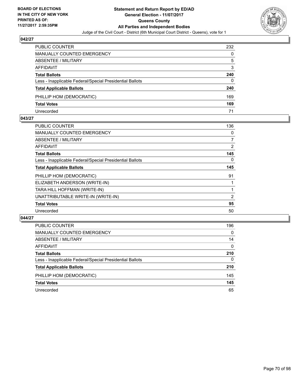

| PUBLIC COUNTER                                           | 232 |
|----------------------------------------------------------|-----|
| MANUALLY COUNTED EMERGENCY                               | 0   |
| ABSENTEE / MILITARY                                      | 5   |
| AFFIDAVIT                                                | 3   |
| <b>Total Ballots</b>                                     | 240 |
| Less - Inapplicable Federal/Special Presidential Ballots | 0   |
| <b>Total Applicable Ballots</b>                          | 240 |
| PHILLIP HOM (DEMOCRATIC)                                 | 169 |
| <b>Total Votes</b>                                       | 169 |
| Unrecorded                                               | 71  |

### **043/27**

| PUBLIC COUNTER                                           | 136 |
|----------------------------------------------------------|-----|
| <b>MANUALLY COUNTED EMERGENCY</b>                        | 0   |
| ABSENTEE / MILITARY                                      | 7   |
| AFFIDAVIT                                                | 2   |
| <b>Total Ballots</b>                                     | 145 |
| Less - Inapplicable Federal/Special Presidential Ballots | 0   |
| <b>Total Applicable Ballots</b>                          | 145 |
| PHILLIP HOM (DEMOCRATIC)                                 | 91  |
| ELIZABETH ANDERSON (WRITE-IN)                            |     |
| TARA HILL HOFFMAN (WRITE-IN)                             |     |
| UNATTRIBUTABLE WRITE-IN (WRITE-IN)                       | 2   |
| <b>Total Votes</b>                                       | 95  |
| Unrecorded                                               | 50  |
|                                                          |     |

| <b>PUBLIC COUNTER</b>                                    | 196      |
|----------------------------------------------------------|----------|
| MANUALLY COUNTED EMERGENCY                               | $\Omega$ |
| ABSENTEE / MILITARY                                      | 14       |
| AFFIDAVIT                                                | $\Omega$ |
| <b>Total Ballots</b>                                     | 210      |
| Less - Inapplicable Federal/Special Presidential Ballots | 0        |
| <b>Total Applicable Ballots</b>                          | 210      |
| PHILLIP HOM (DEMOCRATIC)                                 | 145      |
| <b>Total Votes</b>                                       | 145      |
| Unrecorded                                               | 65       |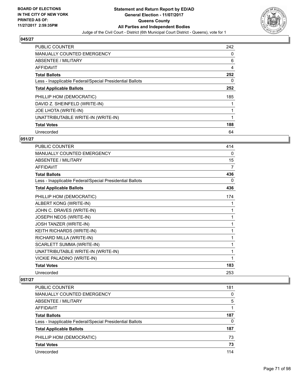

| <b>PUBLIC COUNTER</b>                                    | 242 |
|----------------------------------------------------------|-----|
| <b>MANUALLY COUNTED EMERGENCY</b>                        | 0   |
| ABSENTEE / MILITARY                                      | 6   |
| <b>AFFIDAVIT</b>                                         | 4   |
| <b>Total Ballots</b>                                     | 252 |
| Less - Inapplicable Federal/Special Presidential Ballots | 0   |
| <b>Total Applicable Ballots</b>                          | 252 |
| PHILLIP HOM (DEMOCRATIC)                                 | 185 |
| DAVID Z. SHEINFELD (WRITE-IN)                            |     |
| <b>JOE LHOTA (WRITE-IN)</b>                              |     |
| UNATTRIBUTABLE WRITE-IN (WRITE-IN)                       | 1   |
| <b>Total Votes</b>                                       | 188 |
| Unrecorded                                               | 64  |

## **051/27**

| <b>PUBLIC COUNTER</b>                                    | 414          |
|----------------------------------------------------------|--------------|
| <b>MANUALLY COUNTED EMERGENCY</b>                        | 0            |
| <b>ABSENTEE / MILITARY</b>                               | 15           |
| <b>AFFIDAVIT</b>                                         | 7            |
| <b>Total Ballots</b>                                     | 436          |
| Less - Inapplicable Federal/Special Presidential Ballots | 0            |
| <b>Total Applicable Ballots</b>                          | 436          |
| PHILLIP HOM (DEMOCRATIC)                                 | 174          |
| ALBERT KONG (WRITE-IN)                                   | 1            |
| JOHN C. DRAVES (WRITE-IN)                                | 1            |
| JOSEPH NEOS (WRITE-IN)                                   | 1            |
| <b>JOSH TANZER (WRITE-IN)</b>                            | $\mathbf{1}$ |
| KEITH RICHARDS (WRITE-IN)                                | 1            |
| RICHARD MILLA (WRITE-IN)                                 | 1            |
| SCARLETT SUMMA (WRITE-IN)                                | 1            |
| UNATTRIBUTABLE WRITE-IN (WRITE-IN)                       | 1            |
| VICKIE PALADINO (WRITE-IN)                               | 1            |
| <b>Total Votes</b>                                       | 183          |
| Unrecorded                                               | 253          |

| PUBLIC COUNTER                                           | 181 |
|----------------------------------------------------------|-----|
| <b>MANUALLY COUNTED EMERGENCY</b>                        | 0   |
| <b>ABSENTEE / MILITARY</b>                               | 5   |
| AFFIDAVIT                                                |     |
| <b>Total Ballots</b>                                     | 187 |
| Less - Inapplicable Federal/Special Presidential Ballots | 0   |
| <b>Total Applicable Ballots</b>                          | 187 |
| PHILLIP HOM (DEMOCRATIC)                                 | 73  |
| <b>Total Votes</b>                                       | 73  |
| Unrecorded                                               | 114 |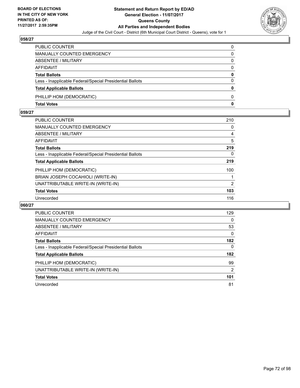

| PUBLIC COUNTER                                           | 0            |
|----------------------------------------------------------|--------------|
| <b>MANUALLY COUNTED EMERGENCY</b>                        | 0            |
| <b>ABSENTEE / MILITARY</b>                               | 0            |
| <b>AFFIDAVIT</b>                                         | $\Omega$     |
| <b>Total Ballots</b>                                     | $\mathbf{0}$ |
| Less - Inapplicable Federal/Special Presidential Ballots | $\Omega$     |
| <b>Total Applicable Ballots</b>                          | 0            |
| PHILLIP HOM (DEMOCRATIC)                                 | $\Omega$     |
| <b>Total Votes</b>                                       | 0            |

## **059/27**

| <b>PUBLIC COUNTER</b>                                    | 210            |
|----------------------------------------------------------|----------------|
| <b>MANUALLY COUNTED EMERGENCY</b>                        | 0              |
| <b>ABSENTEE / MILITARY</b>                               | 4              |
| <b>AFFIDAVIT</b>                                         | 5              |
| <b>Total Ballots</b>                                     | 219            |
| Less - Inapplicable Federal/Special Presidential Ballots | 0              |
| <b>Total Applicable Ballots</b>                          | 219            |
| PHILLIP HOM (DEMOCRATIC)                                 | 100            |
| BRIAN JOSEPH COCAHIOLI (WRITE-IN)                        |                |
| UNATTRIBUTABLE WRITE-IN (WRITE-IN)                       | $\overline{2}$ |
| <b>Total Votes</b>                                       | 103            |
| Unrecorded                                               | 116            |

| <b>PUBLIC COUNTER</b>                                    | 129 |
|----------------------------------------------------------|-----|
| MANUALLY COUNTED EMERGENCY                               | 0   |
| ABSENTEE / MILITARY                                      | 53  |
| AFFIDAVIT                                                | 0   |
| <b>Total Ballots</b>                                     | 182 |
| Less - Inapplicable Federal/Special Presidential Ballots | 0   |
| <b>Total Applicable Ballots</b>                          | 182 |
| PHILLIP HOM (DEMOCRATIC)                                 | 99  |
| UNATTRIBUTABLE WRITE-IN (WRITE-IN)                       | 2   |
| <b>Total Votes</b>                                       | 101 |
| Unrecorded                                               | 81  |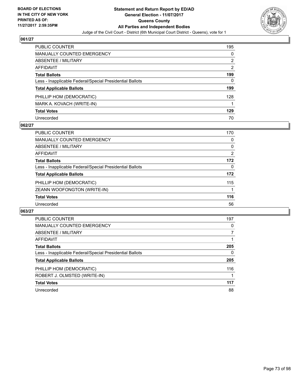

| PUBLIC COUNTER                                           | 195 |
|----------------------------------------------------------|-----|
| MANUALLY COUNTED EMERGENCY                               | 0   |
| <b>ABSENTEE / MILITARY</b>                               | 2   |
| AFFIDAVIT                                                | 2   |
| <b>Total Ballots</b>                                     | 199 |
| Less - Inapplicable Federal/Special Presidential Ballots | 0   |
| <b>Total Applicable Ballots</b>                          | 199 |
| PHILLIP HOM (DEMOCRATIC)                                 | 128 |
| MARK A. KOVACH (WRITE-IN)                                |     |
| <b>Total Votes</b>                                       | 129 |
| Unrecorded                                               | 70  |

### **062/27**

| <b>PUBLIC COUNTER</b>                                    | 170            |
|----------------------------------------------------------|----------------|
| <b>MANUALLY COUNTED EMERGENCY</b>                        | 0              |
| ABSENTEE / MILITARY                                      | 0              |
| AFFIDAVIT                                                | $\overline{2}$ |
| <b>Total Ballots</b>                                     | 172            |
| Less - Inapplicable Federal/Special Presidential Ballots | $\Omega$       |
| <b>Total Applicable Ballots</b>                          | 172            |
| PHILLIP HOM (DEMOCRATIC)                                 | 115            |
| ZEANN WOOFONGTON (WRITE-IN)                              |                |
| <b>Total Votes</b>                                       | 116            |
| Unrecorded                                               | 56             |

| <b>PUBLIC COUNTER</b>                                    | 197 |
|----------------------------------------------------------|-----|
| MANUALLY COUNTED EMERGENCY                               | 0   |
| ABSENTEE / MILITARY                                      |     |
| AFFIDAVIT                                                |     |
| <b>Total Ballots</b>                                     | 205 |
| Less - Inapplicable Federal/Special Presidential Ballots | 0   |
| <b>Total Applicable Ballots</b>                          | 205 |
| PHILLIP HOM (DEMOCRATIC)                                 | 116 |
| ROBERT J. OLMSTED (WRITE-IN)                             |     |
| <b>Total Votes</b>                                       | 117 |
| Unrecorded                                               | 88  |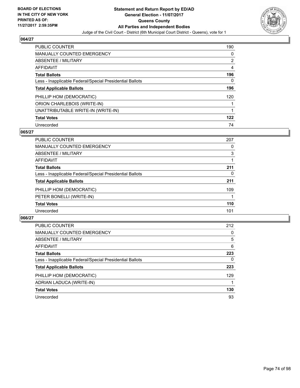

| <b>PUBLIC COUNTER</b>                                    | 190 |
|----------------------------------------------------------|-----|
| <b>MANUALLY COUNTED EMERGENCY</b>                        | 0   |
| ABSENTEE / MILITARY                                      | 2   |
| AFFIDAVIT                                                | 4   |
| <b>Total Ballots</b>                                     | 196 |
| Less - Inapplicable Federal/Special Presidential Ballots | 0   |
| <b>Total Applicable Ballots</b>                          | 196 |
| PHILLIP HOM (DEMOCRATIC)                                 | 120 |
| ORION CHARLEBOIS (WRITE-IN)                              |     |
| UNATTRIBUTABLE WRITE-IN (WRITE-IN)                       | 1   |
| <b>Total Votes</b>                                       | 122 |
| Unrecorded                                               | 74  |

### **065/27**

| <b>PUBLIC COUNTER</b>                                    | 207 |
|----------------------------------------------------------|-----|
| <b>MANUALLY COUNTED EMERGENCY</b>                        | 0   |
| ABSENTEE / MILITARY                                      | 3   |
| AFFIDAVIT                                                |     |
| <b>Total Ballots</b>                                     | 211 |
| Less - Inapplicable Federal/Special Presidential Ballots | 0   |
| <b>Total Applicable Ballots</b>                          | 211 |
| PHILLIP HOM (DEMOCRATIC)                                 | 109 |
| PETER BONELLI (WRITE-IN)                                 |     |
| <b>Total Votes</b>                                       | 110 |
| Unrecorded                                               | 101 |

| <b>PUBLIC COUNTER</b>                                    | 212 |
|----------------------------------------------------------|-----|
| <b>MANUALLY COUNTED EMERGENCY</b>                        | 0   |
| ABSENTEE / MILITARY                                      | 5   |
| AFFIDAVIT                                                | 6   |
| <b>Total Ballots</b>                                     | 223 |
| Less - Inapplicable Federal/Special Presidential Ballots | 0   |
| <b>Total Applicable Ballots</b>                          | 223 |
| PHILLIP HOM (DEMOCRATIC)                                 | 129 |
| ADRIAN LADUCA (WRITE-IN)                                 |     |
| <b>Total Votes</b>                                       | 130 |
| Unrecorded                                               | 93  |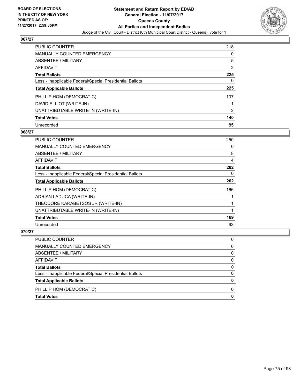

| <b>PUBLIC COUNTER</b>                                    | 218            |
|----------------------------------------------------------|----------------|
| MANUALLY COUNTED EMERGENCY                               | 0              |
| ABSENTEE / MILITARY                                      | 5              |
| AFFIDAVIT                                                | 2              |
| <b>Total Ballots</b>                                     | 225            |
| Less - Inapplicable Federal/Special Presidential Ballots | 0              |
| <b>Total Applicable Ballots</b>                          | 225            |
| PHILLIP HOM (DEMOCRATIC)                                 | 137            |
| DAVID ELLIOT (WRITE-IN)                                  |                |
| UNATTRIBUTABLE WRITE-IN (WRITE-IN)                       | $\overline{2}$ |
| <b>Total Votes</b>                                       | 140            |
| Unrecorded                                               | 85             |

### **068/27**

| <b>PUBLIC COUNTER</b>                                    | 250 |
|----------------------------------------------------------|-----|
| <b>MANUALLY COUNTED EMERGENCY</b>                        | 0   |
| ABSENTEE / MILITARY                                      | 8   |
| AFFIDAVIT                                                | 4   |
| <b>Total Ballots</b>                                     | 262 |
| Less - Inapplicable Federal/Special Presidential Ballots | 0   |
| <b>Total Applicable Ballots</b>                          | 262 |
| PHILLIP HOM (DEMOCRATIC)                                 | 166 |
| ADRIAN LADUCA (WRITE-IN)                                 |     |
| THEODORE KARABETSOS JR (WRITE-IN)                        |     |
| UNATTRIBUTABLE WRITE-IN (WRITE-IN)                       |     |
| <b>Total Votes</b>                                       | 169 |
| Unrecorded                                               | 93  |

| PUBLIC COUNTER                                           | 0        |
|----------------------------------------------------------|----------|
| <b>MANUALLY COUNTED EMERGENCY</b>                        | 0        |
| <b>ABSENTEE / MILITARY</b>                               | 0        |
| <b>AFFIDAVIT</b>                                         | $\Omega$ |
| <b>Total Ballots</b>                                     | 0        |
| Less - Inapplicable Federal/Special Presidential Ballots | $\Omega$ |
| <b>Total Applicable Ballots</b>                          | 0        |
| PHILLIP HOM (DEMOCRATIC)                                 | 0        |
| <b>Total Votes</b>                                       | 0        |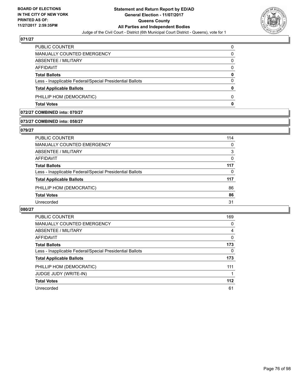

| <b>Total Votes</b>                                       | 0        |
|----------------------------------------------------------|----------|
| PHILLIP HOM (DEMOCRATIC)                                 | 0        |
| <b>Total Applicable Ballots</b>                          | 0        |
| Less - Inapplicable Federal/Special Presidential Ballots | $\Omega$ |
| <b>Total Ballots</b>                                     | 0        |
| AFFIDAVIT                                                | 0        |
| ABSENTEE / MILITARY                                      | 0        |
| MANUALLY COUNTED EMERGENCY                               | 0        |
| <b>PUBLIC COUNTER</b>                                    | $\Omega$ |

#### **072/27 COMBINED into: 070/27**

## **073/27 COMBINED into: 058/27**

#### **079/27**

| PUBLIC COUNTER                                           | 114 |
|----------------------------------------------------------|-----|
| <b>MANUALLY COUNTED EMERGENCY</b>                        | 0   |
| ABSENTEE / MILITARY                                      | 3   |
| <b>AFFIDAVIT</b>                                         | 0   |
| <b>Total Ballots</b>                                     | 117 |
| Less - Inapplicable Federal/Special Presidential Ballots | 0   |
| <b>Total Applicable Ballots</b>                          | 117 |
| PHILLIP HOM (DEMOCRATIC)                                 | 86  |
| <b>Total Votes</b>                                       | 86  |
| Unrecorded                                               | 31  |
|                                                          |     |

| <b>PUBLIC COUNTER</b>                                    | 169 |
|----------------------------------------------------------|-----|
| <b>MANUALLY COUNTED EMERGENCY</b>                        | 0   |
| ABSENTEE / MILITARY                                      | 4   |
| AFFIDAVIT                                                | 0   |
| <b>Total Ballots</b>                                     | 173 |
| Less - Inapplicable Federal/Special Presidential Ballots | 0   |
| <b>Total Applicable Ballots</b>                          | 173 |
| PHILLIP HOM (DEMOCRATIC)                                 | 111 |
| <b>JUDGE JUDY (WRITE-IN)</b>                             |     |
| <b>Total Votes</b>                                       | 112 |
| Unrecorded                                               | 61  |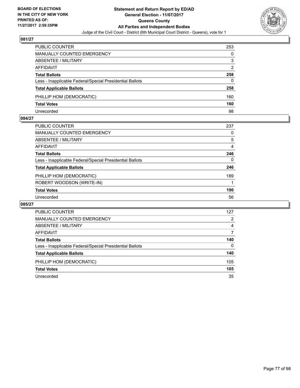

| <b>PUBLIC COUNTER</b>                                    | 253 |
|----------------------------------------------------------|-----|
| <b>MANUALLY COUNTED EMERGENCY</b>                        | 0   |
| <b>ABSENTEE / MILITARY</b>                               | 3   |
| AFFIDAVIT                                                | 2   |
| <b>Total Ballots</b>                                     | 258 |
| Less - Inapplicable Federal/Special Presidential Ballots | 0   |
| <b>Total Applicable Ballots</b>                          | 258 |
| PHILLIP HOM (DEMOCRATIC)                                 | 160 |
| <b>Total Votes</b>                                       | 160 |
| Unrecorded                                               | 98  |

#### **084/27**

| PUBLIC COUNTER                                           | 237      |
|----------------------------------------------------------|----------|
| <b>MANUALLY COUNTED EMERGENCY</b>                        | 0        |
| ABSENTEE / MILITARY                                      | 5        |
| AFFIDAVIT                                                | 4        |
| <b>Total Ballots</b>                                     | 246      |
| Less - Inapplicable Federal/Special Presidential Ballots | $\Omega$ |
| <b>Total Applicable Ballots</b>                          | 246      |
| PHILLIP HOM (DEMOCRATIC)                                 | 189      |
| ROBERT WOODSON (WRITE-IN)                                |          |
| <b>Total Votes</b>                                       | 190      |
| Unrecorded                                               | 56       |
|                                                          |          |

| <b>PUBLIC COUNTER</b>                                    | 127      |
|----------------------------------------------------------|----------|
| <b>MANUALLY COUNTED EMERGENCY</b>                        | 2        |
| ABSENTEE / MILITARY                                      | 4        |
| AFFIDAVIT                                                | 7        |
| <b>Total Ballots</b>                                     | 140      |
| Less - Inapplicable Federal/Special Presidential Ballots | $\Omega$ |
| <b>Total Applicable Ballots</b>                          | 140      |
| PHILLIP HOM (DEMOCRATIC)                                 | 105      |
| <b>Total Votes</b>                                       | 105      |
| Unrecorded                                               | 35       |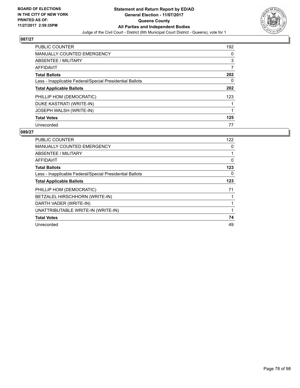

| <b>PUBLIC COUNTER</b>                                    | 192 |
|----------------------------------------------------------|-----|
| <b>MANUALLY COUNTED EMERGENCY</b>                        | 0   |
| ABSENTEE / MILITARY                                      | 3   |
| AFFIDAVIT                                                | 7   |
| <b>Total Ballots</b>                                     | 202 |
| Less - Inapplicable Federal/Special Presidential Ballots | 0   |
| <b>Total Applicable Ballots</b>                          | 202 |
| PHILLIP HOM (DEMOCRATIC)                                 | 123 |
| DUKE KASTRATI (WRITE-IN)                                 |     |
| <b>JOSEPH WALSH (WRITE-IN)</b>                           | 1   |
| <b>Total Votes</b>                                       | 125 |
| Unrecorded                                               | 77  |

| <b>PUBLIC COUNTER</b>                                    | 122 |
|----------------------------------------------------------|-----|
| <b>MANUALLY COUNTED EMERGENCY</b>                        | 0   |
| ABSENTEE / MILITARY                                      | 1   |
| <b>AFFIDAVIT</b>                                         | 0   |
| <b>Total Ballots</b>                                     | 123 |
| Less - Inapplicable Federal/Special Presidential Ballots | 0   |
| <b>Total Applicable Ballots</b>                          | 123 |
| PHILLIP HOM (DEMOCRATIC)                                 | 71  |
| BETZALEL HIRSCHHORN (WRITE-IN)                           |     |
| DARTH VADER (WRITE-IN)                                   | 1   |
| UNATTRIBUTABLE WRITE-IN (WRITE-IN)                       | 1   |
| <b>Total Votes</b>                                       | 74  |
| Unrecorded                                               | 49  |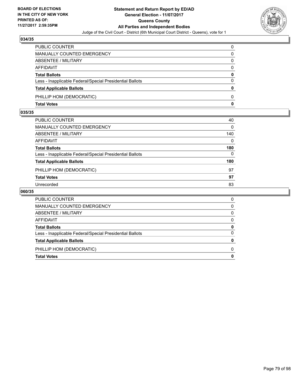

| PUBLIC COUNTER                                           | 0            |
|----------------------------------------------------------|--------------|
| <b>MANUALLY COUNTED EMERGENCY</b>                        | 0            |
| <b>ABSENTEE / MILITARY</b>                               | 0            |
| <b>AFFIDAVIT</b>                                         | $\Omega$     |
| <b>Total Ballots</b>                                     | $\mathbf{0}$ |
| Less - Inapplicable Federal/Special Presidential Ballots | $\Omega$     |
| <b>Total Applicable Ballots</b>                          | 0            |
| PHILLIP HOM (DEMOCRATIC)                                 | 0            |
| <b>Total Votes</b>                                       | 0            |

## **035/35**

| PUBLIC COUNTER                                           | 40       |
|----------------------------------------------------------|----------|
| <b>MANUALLY COUNTED EMERGENCY</b>                        | $\Omega$ |
| ABSENTEE / MILITARY                                      | 140      |
| AFFIDAVIT                                                | $\Omega$ |
| <b>Total Ballots</b>                                     | 180      |
| Less - Inapplicable Federal/Special Presidential Ballots | 0        |
| <b>Total Applicable Ballots</b>                          | 180      |
| PHILLIP HOM (DEMOCRATIC)                                 | 97       |
| <b>Total Votes</b>                                       | 97       |
| Unrecorded                                               | 83       |

| PUBLIC COUNTER                                           |  |
|----------------------------------------------------------|--|
| MANUALLY COUNTED EMERGENCY                               |  |
| ABSENTEE / MILITARY                                      |  |
| AFFIDAVIT                                                |  |
| <b>Total Ballots</b>                                     |  |
| Less - Inapplicable Federal/Special Presidential Ballots |  |
| <b>Total Applicable Ballots</b>                          |  |
| PHILLIP HOM (DEMOCRATIC)                                 |  |
| <b>Total Votes</b>                                       |  |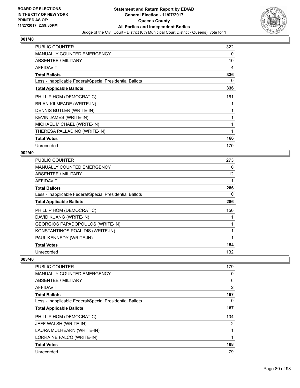

| <b>PUBLIC COUNTER</b>                                    | 322 |
|----------------------------------------------------------|-----|
| <b>MANUALLY COUNTED EMERGENCY</b>                        | 0   |
| ABSENTEE / MILITARY                                      | 10  |
| <b>AFFIDAVIT</b>                                         | 4   |
| <b>Total Ballots</b>                                     | 336 |
| Less - Inapplicable Federal/Special Presidential Ballots | 0   |
| <b>Total Applicable Ballots</b>                          | 336 |
| PHILLIP HOM (DEMOCRATIC)                                 | 161 |
| BRIAN KILMEADE (WRITE-IN)                                |     |
| DENNIS BUTLER (WRITE-IN)                                 |     |
| <b>KEVIN JAMES (WRITE-IN)</b>                            |     |
| MICHAEL MICHAEL (WRITE-IN)                               |     |
| THERESA PALLADINO (WRITE-IN)                             |     |
| <b>Total Votes</b>                                       | 166 |
| Unrecorded                                               | 170 |

## **002/40**

| <b>PUBLIC COUNTER</b>                                    | 273               |
|----------------------------------------------------------|-------------------|
| <b>MANUALLY COUNTED EMERGENCY</b>                        | 0                 |
| ABSENTEE / MILITARY                                      | $12 \overline{ }$ |
| AFFIDAVIT                                                |                   |
| <b>Total Ballots</b>                                     | 286               |
| Less - Inapplicable Federal/Special Presidential Ballots | 0                 |
| <b>Total Applicable Ballots</b>                          | 286               |
| PHILLIP HOM (DEMOCRATIC)                                 | 150               |
| DAVID KUANG (WRITE-IN)                                   |                   |
| GEORGIOS PAPADOPOULOS (WRITE-IN)                         |                   |
| KONSTANTINOS POALIDIS (WRITE-IN)                         |                   |
| PAUL KENNEDY (WRITE-IN)                                  |                   |
| <b>Total Votes</b>                                       | 154               |
| Unrecorded                                               | 132               |

| <b>PUBLIC COUNTER</b>                                    | 179 |
|----------------------------------------------------------|-----|
| <b>MANUALLY COUNTED EMERGENCY</b>                        | 0   |
| ABSENTEE / MILITARY                                      | 6   |
| AFFIDAVIT                                                | 2   |
| <b>Total Ballots</b>                                     | 187 |
| Less - Inapplicable Federal/Special Presidential Ballots | 0   |
| <b>Total Applicable Ballots</b>                          | 187 |
| PHILLIP HOM (DEMOCRATIC)                                 | 104 |
| JEFF WALSH (WRITE-IN)                                    | 2   |
| LAURA MULHEARN (WRITE-IN)                                | 1   |
| LORRAINE FALCO (WRITE-IN)                                | 1   |
| <b>Total Votes</b>                                       | 108 |
| Unrecorded                                               | 79  |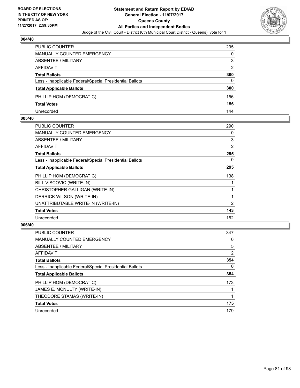

| <b>PUBLIC COUNTER</b>                                    | 295 |
|----------------------------------------------------------|-----|
| <b>MANUALLY COUNTED EMERGENCY</b>                        | 0   |
| <b>ABSENTEE / MILITARY</b>                               | 3   |
| AFFIDAVIT                                                | 2   |
| <b>Total Ballots</b>                                     | 300 |
| Less - Inapplicable Federal/Special Presidential Ballots | 0   |
| <b>Total Applicable Ballots</b>                          | 300 |
| PHILLIP HOM (DEMOCRATIC)                                 | 156 |
| <b>Total Votes</b>                                       | 156 |
| Unrecorded                                               | 144 |

#### **005/40**

| <b>PUBLIC COUNTER</b>                                    | 290 |
|----------------------------------------------------------|-----|
| <b>MANUALLY COUNTED EMERGENCY</b>                        | 0   |
| ABSENTEE / MILITARY                                      | 3   |
| AFFIDAVIT                                                | 2   |
| <b>Total Ballots</b>                                     | 295 |
| Less - Inapplicable Federal/Special Presidential Ballots | 0   |
| <b>Total Applicable Ballots</b>                          | 295 |
| PHILLIP HOM (DEMOCRATIC)                                 | 138 |
| BILL VISCOVIC (WRITE-IN)                                 |     |
| CHRISTOPHER GALLIGAN (WRITE-IN)                          |     |
| DERRICK WILSON (WRITE-IN)                                | 1   |
| UNATTRIBUTABLE WRITE-IN (WRITE-IN)                       | 2   |
| <b>Total Votes</b>                                       | 143 |
| Unrecorded                                               | 152 |

| <b>PUBLIC COUNTER</b>                                    | 347            |
|----------------------------------------------------------|----------------|
| <b>MANUALLY COUNTED EMERGENCY</b>                        | 0              |
| ABSENTEE / MILITARY                                      | 5              |
| <b>AFFIDAVIT</b>                                         | $\overline{2}$ |
| <b>Total Ballots</b>                                     | 354            |
| Less - Inapplicable Federal/Special Presidential Ballots | 0              |
| <b>Total Applicable Ballots</b>                          | 354            |
| PHILLIP HOM (DEMOCRATIC)                                 | 173            |
| JAMES E. MCNULTY (WRITE-IN)                              |                |
| THEODORE STAMAS (WRITE-IN)                               |                |
| <b>Total Votes</b>                                       | 175            |
| Unrecorded                                               | 179            |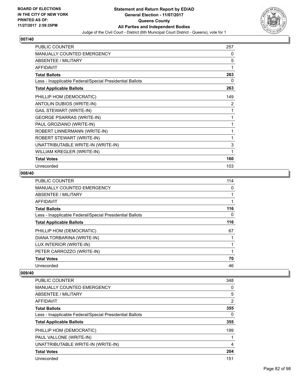

| <b>PUBLIC COUNTER</b>                                    | 257 |
|----------------------------------------------------------|-----|
| <b>MANUALLY COUNTED EMERGENCY</b>                        | 0   |
| <b>ABSENTEE / MILITARY</b>                               | 5   |
| <b>AFFIDAVIT</b>                                         |     |
| <b>Total Ballots</b>                                     | 263 |
| Less - Inapplicable Federal/Special Presidential Ballots | 0   |
| <b>Total Applicable Ballots</b>                          | 263 |
| PHILLIP HOM (DEMOCRATIC)                                 | 149 |
| ANTOLIN DUBIOS (WRITE-IN)                                | 2   |
| <b>GAIL STEWART (WRITE-IN)</b>                           | 1   |
| <b>GEORGE PSARRAS (WRITE-IN)</b>                         | 1   |
| PAUL GROZIANO (WRITE-IN)                                 |     |
| ROBERT LINNERMANN (WRITE-IN)                             |     |
| ROBERT STEWART (WRITE-IN)                                | 1   |
| UNATTRIBUTABLE WRITE-IN (WRITE-IN)                       | 3   |
| WILLIAM KREGLER (WRITE-IN)                               | 1   |
| <b>Total Votes</b>                                       | 160 |
| Unrecorded                                               | 103 |

## **008/40**

| <b>PUBLIC COUNTER</b>                                    | 114 |
|----------------------------------------------------------|-----|
| <b>MANUALLY COUNTED EMERGENCY</b>                        | 0   |
| ABSENTEE / MILITARY                                      |     |
| AFFIDAVIT                                                |     |
| <b>Total Ballots</b>                                     | 116 |
| Less - Inapplicable Federal/Special Presidential Ballots | 0   |
| <b>Total Applicable Ballots</b>                          | 116 |
| PHILLIP HOM (DEMOCRATIC)                                 | 67  |
| DIANA TORBARINA (WRITE-IN)                               |     |
| LUX INTERIOR (WRITE-IN)                                  |     |
| PETER CARROZZO (WRITE-IN)                                | 1   |
| <b>Total Votes</b>                                       | 70  |
| Unrecorded                                               | 46  |

| <b>PUBLIC COUNTER</b>                                    | 348            |
|----------------------------------------------------------|----------------|
| <b>MANUALLY COUNTED EMERGENCY</b>                        | 0              |
| ABSENTEE / MILITARY                                      | 5              |
| AFFIDAVIT                                                | $\overline{2}$ |
| <b>Total Ballots</b>                                     | 355            |
| Less - Inapplicable Federal/Special Presidential Ballots | 0              |
| <b>Total Applicable Ballots</b>                          | 355            |
| PHILLIP HOM (DEMOCRATIC)                                 | 199            |
| PAUL VALLONE (WRITE-IN)                                  |                |
| UNATTRIBUTABLE WRITE-IN (WRITE-IN)                       | 4              |
| <b>Total Votes</b>                                       | 204            |
| Unrecorded                                               | 151            |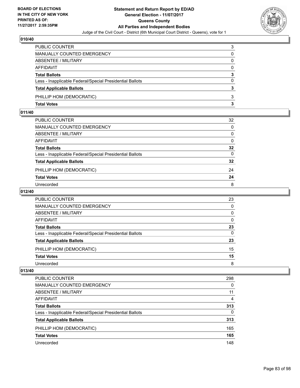

| PUBLIC COUNTER                                           | 3        |
|----------------------------------------------------------|----------|
| MANUALLY COUNTED EMERGENCY                               | 0        |
| ABSENTEE / MILITARY                                      | 0        |
| AFFIDAVIT                                                | $\Omega$ |
| <b>Total Ballots</b>                                     | 3        |
| Less - Inapplicable Federal/Special Presidential Ballots | $\Omega$ |
| <b>Total Applicable Ballots</b>                          | 3        |
| PHILLIP HOM (DEMOCRATIC)                                 | 3        |
| <b>Total Votes</b>                                       | з        |

## **011/40**

| PUBLIC COUNTER                                           | 32              |
|----------------------------------------------------------|-----------------|
| MANUALLY COUNTED EMERGENCY                               | $\Omega$        |
| ABSENTEE / MILITARY                                      | 0               |
| AFFIDAVIT                                                | 0               |
| Total Ballots                                            | 32              |
| Less - Inapplicable Federal/Special Presidential Ballots | $\Omega$        |
| <b>Total Applicable Ballots</b>                          | $32\phantom{a}$ |
| PHILLIP HOM (DEMOCRATIC)                                 | 24              |
| <b>Total Votes</b>                                       | 24              |
| Unrecorded                                               | 8               |
|                                                          |                 |

## **012/40**

| PUBLIC COUNTER                                           | 23       |
|----------------------------------------------------------|----------|
| MANUALLY COUNTED EMERGENCY                               | $\Omega$ |
| ABSENTEE / MILITARY                                      | 0        |
| AFFIDAVIT                                                | 0        |
| <b>Total Ballots</b>                                     | 23       |
| Less - Inapplicable Federal/Special Presidential Ballots | 0        |
| <b>Total Applicable Ballots</b>                          | 23       |
| PHILLIP HOM (DEMOCRATIC)                                 | 15       |
| <b>Total Votes</b>                                       | 15       |
| Unrecorded                                               | 8        |

| PUBLIC COUNTER                                           | 298      |
|----------------------------------------------------------|----------|
| <b>MANUALLY COUNTED EMERGENCY</b>                        | 0        |
| ABSENTEE / MILITARY                                      | 11       |
| AFFIDAVIT                                                | 4        |
| <b>Total Ballots</b>                                     | 313      |
| Less - Inapplicable Federal/Special Presidential Ballots | $\Omega$ |
| <b>Total Applicable Ballots</b>                          | 313      |
| PHILLIP HOM (DEMOCRATIC)                                 | 165      |
| <b>Total Votes</b>                                       | 165      |
| Unrecorded                                               | 148      |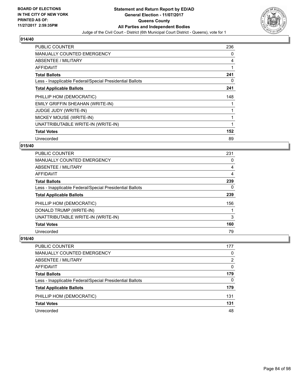

| <b>PUBLIC COUNTER</b>                                    | 236 |
|----------------------------------------------------------|-----|
| <b>MANUALLY COUNTED EMERGENCY</b>                        | 0   |
| ABSENTEE / MILITARY                                      | 4   |
| AFFIDAVIT                                                |     |
| <b>Total Ballots</b>                                     | 241 |
| Less - Inapplicable Federal/Special Presidential Ballots | 0   |
| <b>Total Applicable Ballots</b>                          | 241 |
|                                                          | 148 |
| PHILLIP HOM (DEMOCRATIC)                                 |     |
| EMILY GRIFFIN SHEAHAN (WRITE-IN)                         |     |
| <b>JUDGE JUDY (WRITE-IN)</b>                             |     |
| MICKEY MOUSE (WRITE-IN)                                  |     |
| UNATTRIBUTABLE WRITE-IN (WRITE-IN)                       |     |
| <b>Total Votes</b>                                       | 152 |

## **015/40**

| <b>PUBLIC COUNTER</b>                                    | 231 |
|----------------------------------------------------------|-----|
| <b>MANUALLY COUNTED EMERGENCY</b>                        | 0   |
| ABSENTEE / MILITARY                                      | 4   |
| <b>AFFIDAVIT</b>                                         | 4   |
| <b>Total Ballots</b>                                     | 239 |
| Less - Inapplicable Federal/Special Presidential Ballots | 0   |
| <b>Total Applicable Ballots</b>                          | 239 |
| PHILLIP HOM (DEMOCRATIC)                                 | 156 |
| DONALD TRUMP (WRITE-IN)                                  |     |
| UNATTRIBUTABLE WRITE-IN (WRITE-IN)                       | 3   |
| <b>Total Votes</b>                                       | 160 |
| Unrecorded                                               | 79  |

| <b>PUBLIC COUNTER</b>                                    | 177 |
|----------------------------------------------------------|-----|
| MANUALLY COUNTED EMERGENCY                               | 0   |
| ABSENTEE / MILITARY                                      | 2   |
| AFFIDAVIT                                                | 0   |
| <b>Total Ballots</b>                                     | 179 |
| Less - Inapplicable Federal/Special Presidential Ballots | 0   |
| <b>Total Applicable Ballots</b>                          | 179 |
| PHILLIP HOM (DEMOCRATIC)                                 | 131 |
| <b>Total Votes</b>                                       | 131 |
| Unrecorded                                               | 48  |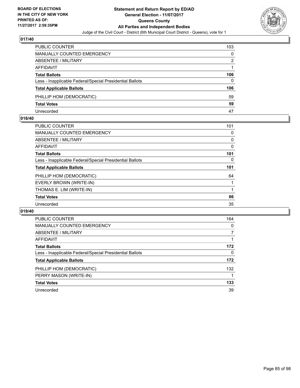

| PUBLIC COUNTER                                           | 103 |
|----------------------------------------------------------|-----|
| MANUALLY COUNTED EMERGENCY                               | 0   |
| <b>ABSENTEE / MILITARY</b>                               | 2   |
| AFFIDAVIT                                                |     |
| <b>Total Ballots</b>                                     | 106 |
| Less - Inapplicable Federal/Special Presidential Ballots | 0   |
| <b>Total Applicable Ballots</b>                          | 106 |
| PHILLIP HOM (DEMOCRATIC)                                 | 59  |
| <b>Total Votes</b>                                       | 59  |
| Unrecorded                                               | 47  |

#### **018/40**

| PUBLIC COUNTER                                           | 101 |
|----------------------------------------------------------|-----|
| <b>MANUALLY COUNTED EMERGENCY</b>                        | 0   |
| ABSENTEE / MILITARY                                      | 0   |
| AFFIDAVIT                                                | 0   |
| <b>Total Ballots</b>                                     | 101 |
| Less - Inapplicable Federal/Special Presidential Ballots | 0   |
| <b>Total Applicable Ballots</b>                          | 101 |
| PHILLIP HOM (DEMOCRATIC)                                 | 64  |
| EVERLY BROWN (WRITE-IN)                                  |     |
| THOMAS E. LIM (WRITE-IN)                                 |     |
| <b>Total Votes</b>                                       | 66  |
| Unrecorded                                               | 35  |
|                                                          |     |

| <b>PUBLIC COUNTER</b>                                    | 164 |
|----------------------------------------------------------|-----|
| <b>MANUALLY COUNTED EMERGENCY</b>                        | 0   |
| ABSENTEE / MILITARY                                      | 7   |
| <b>AFFIDAVIT</b>                                         |     |
| <b>Total Ballots</b>                                     | 172 |
| Less - Inapplicable Federal/Special Presidential Ballots | 0   |
| <b>Total Applicable Ballots</b>                          | 172 |
| PHILLIP HOM (DEMOCRATIC)                                 | 132 |
| PERRY MASON (WRITE-IN)                                   |     |
| <b>Total Votes</b>                                       | 133 |
| Unrecorded                                               | 39  |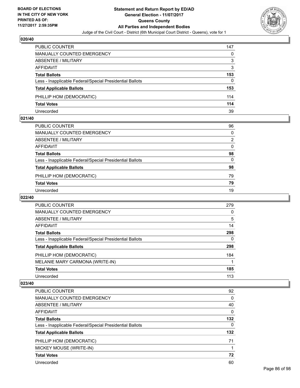

| <b>PUBLIC COUNTER</b>                                    | 147 |
|----------------------------------------------------------|-----|
| MANUALLY COUNTED EMERGENCY                               | 0   |
| ABSENTEE / MILITARY                                      | 3   |
| AFFIDAVIT                                                | 3   |
| <b>Total Ballots</b>                                     | 153 |
| Less - Inapplicable Federal/Special Presidential Ballots | 0   |
| <b>Total Applicable Ballots</b>                          | 153 |
| PHILLIP HOM (DEMOCRATIC)                                 | 114 |
| <b>Total Votes</b>                                       | 114 |
| Unrecorded                                               | 39  |

#### **021/40**

| PUBLIC COUNTER                                           | 96       |
|----------------------------------------------------------|----------|
| <b>MANUALLY COUNTED EMERGENCY</b>                        | $\Omega$ |
| <b>ABSENTEE / MILITARY</b>                               | 2        |
| <b>AFFIDAVIT</b>                                         | $\Omega$ |
| <b>Total Ballots</b>                                     | 98       |
| Less - Inapplicable Federal/Special Presidential Ballots | $\Omega$ |
| <b>Total Applicable Ballots</b>                          | 98       |
| PHILLIP HOM (DEMOCRATIC)                                 | 79       |
| <b>Total Votes</b>                                       | 79       |
| Unrecorded                                               | 19       |

## **022/40**

| <b>PUBLIC COUNTER</b>                                    | 279 |
|----------------------------------------------------------|-----|
| MANUALLY COUNTED EMERGENCY                               | 0   |
| ABSENTEE / MILITARY                                      | 5   |
| <b>AFFIDAVIT</b>                                         | 14  |
| <b>Total Ballots</b>                                     | 298 |
| Less - Inapplicable Federal/Special Presidential Ballots | 0   |
| <b>Total Applicable Ballots</b>                          | 298 |
| PHILLIP HOM (DEMOCRATIC)                                 | 184 |
| MELANIE MARY CARMONA (WRITE-IN)                          |     |
| <b>Total Votes</b>                                       | 185 |
| Unrecorded                                               | 113 |

| <b>PUBLIC COUNTER</b>                                    | 92  |
|----------------------------------------------------------|-----|
| MANUALLY COUNTED EMERGENCY                               | 0   |
| ABSENTEE / MILITARY                                      | 40  |
| AFFIDAVIT                                                | 0   |
| <b>Total Ballots</b>                                     | 132 |
| Less - Inapplicable Federal/Special Presidential Ballots | 0   |
| <b>Total Applicable Ballots</b>                          | 132 |
| PHILLIP HOM (DEMOCRATIC)                                 | 71  |
| MICKEY MOUSE (WRITE-IN)                                  |     |
| <b>Total Votes</b>                                       | 72  |
| Unrecorded                                               |     |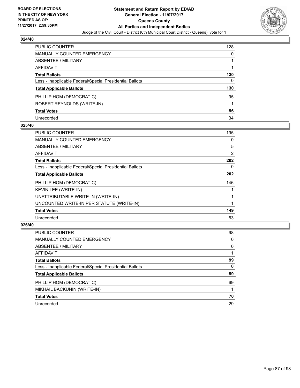

| PUBLIC COUNTER                                           | 128 |
|----------------------------------------------------------|-----|
| MANUALLY COUNTED EMERGENCY                               | 0   |
| ABSENTEE / MILITARY                                      | 1   |
| <b>AFFIDAVIT</b>                                         |     |
| <b>Total Ballots</b>                                     | 130 |
| Less - Inapplicable Federal/Special Presidential Ballots | 0   |
| <b>Total Applicable Ballots</b>                          | 130 |
| PHILLIP HOM (DEMOCRATIC)                                 | 95  |
| ROBERT REYNOLDS (WRITE-IN)                               |     |
| <b>Total Votes</b>                                       | 96  |
| Unrecorded                                               | 34  |

#### **025/40**

| <b>PUBLIC COUNTER</b>                                    | 195 |
|----------------------------------------------------------|-----|
| <b>MANUALLY COUNTED EMERGENCY</b>                        | 0   |
| <b>ABSENTEE / MILITARY</b>                               | 5   |
| AFFIDAVIT                                                | 2   |
| <b>Total Ballots</b>                                     | 202 |
| Less - Inapplicable Federal/Special Presidential Ballots | 0   |
| <b>Total Applicable Ballots</b>                          | 202 |
| PHILLIP HOM (DEMOCRATIC)                                 | 146 |
| KEVIN LEE (WRITE-IN)                                     |     |
| UNATTRIBUTABLE WRITE-IN (WRITE-IN)                       |     |
| UNCOUNTED WRITE-IN PER STATUTE (WRITE-IN)                |     |
| <b>Total Votes</b>                                       | 149 |
| Unrecorded                                               | 53  |

| <b>PUBLIC COUNTER</b>                                    | 98 |
|----------------------------------------------------------|----|
| MANUALLY COUNTED EMERGENCY                               | 0  |
| ABSENTEE / MILITARY                                      | 0  |
| AFFIDAVIT                                                |    |
| <b>Total Ballots</b>                                     | 99 |
| Less - Inapplicable Federal/Special Presidential Ballots | 0  |
| <b>Total Applicable Ballots</b>                          | 99 |
| PHILLIP HOM (DEMOCRATIC)                                 | 69 |
| MIKHAIL BACKUNIN (WRITE-IN)                              |    |
| <b>Total Votes</b>                                       | 70 |
| Unrecorded                                               | 29 |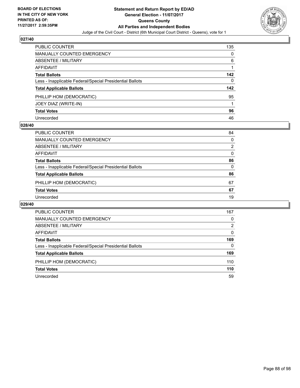

| PUBLIC COUNTER                                           | 135 |
|----------------------------------------------------------|-----|
| <b>MANUALLY COUNTED EMERGENCY</b>                        | 0   |
| <b>ABSENTEE / MILITARY</b>                               | 6   |
| AFFIDAVIT                                                |     |
| <b>Total Ballots</b>                                     | 142 |
| Less - Inapplicable Federal/Special Presidential Ballots | 0   |
| <b>Total Applicable Ballots</b>                          | 142 |
| PHILLIP HOM (DEMOCRATIC)                                 | 95  |
| JOEY DIAZ (WRITE-IN)                                     |     |
| <b>Total Votes</b>                                       | 96  |
| Unrecorded                                               | 46  |

#### **028/40**

| <b>PUBLIC COUNTER</b>                                    | 84 |
|----------------------------------------------------------|----|
| MANUALLY COUNTED EMERGENCY                               | 0  |
| ABSENTEE / MILITARY                                      | 2  |
| AFFIDAVIT                                                | 0  |
| <b>Total Ballots</b>                                     | 86 |
| Less - Inapplicable Federal/Special Presidential Ballots | 0  |
| <b>Total Applicable Ballots</b>                          | 86 |
| PHILLIP HOM (DEMOCRATIC)                                 | 67 |
| <b>Total Votes</b>                                       | 67 |
| Unrecorded                                               | 19 |
|                                                          |    |

| <b>PUBLIC COUNTER</b>                                    | 167      |
|----------------------------------------------------------|----------|
| <b>MANUALLY COUNTED EMERGENCY</b>                        | 0        |
| ABSENTEE / MILITARY                                      | 2        |
| AFFIDAVIT                                                | 0        |
| <b>Total Ballots</b>                                     | 169      |
| Less - Inapplicable Federal/Special Presidential Ballots | $\Omega$ |
| <b>Total Applicable Ballots</b>                          | 169      |
| PHILLIP HOM (DEMOCRATIC)                                 | 110      |
| <b>Total Votes</b>                                       | 110      |
| Unrecorded                                               | 59       |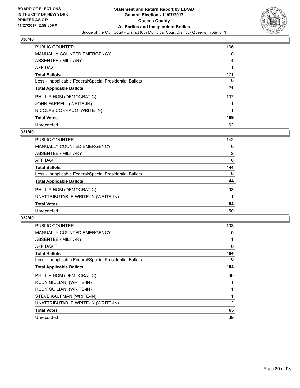

| <b>PUBLIC COUNTER</b>                                    | 166 |
|----------------------------------------------------------|-----|
| MANUALLY COUNTED EMERGENCY                               | 0   |
| ABSENTEE / MILITARY                                      | 4   |
| AFFIDAVIT                                                |     |
| <b>Total Ballots</b>                                     | 171 |
| Less - Inapplicable Federal/Special Presidential Ballots | 0   |
| <b>Total Applicable Ballots</b>                          | 171 |
| PHILLIP HOM (DEMOCRATIC)                                 | 107 |
| JOHN FARRELL (WRITE-IN)                                  |     |
| NICOLAS CORRADO (WRITE-IN)                               | 1   |
| <b>Total Votes</b>                                       | 109 |
| Unrecorded                                               | 62  |

#### **031/40**

| <b>PUBLIC COUNTER</b>                                    | 142      |
|----------------------------------------------------------|----------|
| <b>MANUALLY COUNTED EMERGENCY</b>                        | 0        |
| ABSENTEE / MILITARY                                      | 2        |
| <b>AFFIDAVIT</b>                                         | 0        |
| <b>Total Ballots</b>                                     | 144      |
| Less - Inapplicable Federal/Special Presidential Ballots | $\Omega$ |
| <b>Total Applicable Ballots</b>                          | 144      |
| PHILLIP HOM (DEMOCRATIC)                                 | 93       |
| UNATTRIBUTABLE WRITE-IN (WRITE-IN)                       |          |
| <b>Total Votes</b>                                       | 94       |
| Unrecorded                                               | 50       |

| <b>PUBLIC COUNTER</b>                                    | 103 |
|----------------------------------------------------------|-----|
| <b>MANUALLY COUNTED EMERGENCY</b>                        | 0   |
| <b>ABSENTEE / MILITARY</b>                               |     |
| AFFIDAVIT                                                | 0   |
| <b>Total Ballots</b>                                     | 104 |
| Less - Inapplicable Federal/Special Presidential Ballots | 0   |
| <b>Total Applicable Ballots</b>                          | 104 |
| PHILLIP HOM (DEMOCRATIC)                                 | 60  |
| RUDY GIULIANI (WRITE-IN)                                 |     |
| <b>RUDY GUILIANI (WRITE-IN)</b>                          |     |
| STEVE KAUFMAN (WRITE-IN)                                 |     |
|                                                          |     |
| UNATTRIBUTABLE WRITE-IN (WRITE-IN)                       | 2   |
| <b>Total Votes</b>                                       | 65  |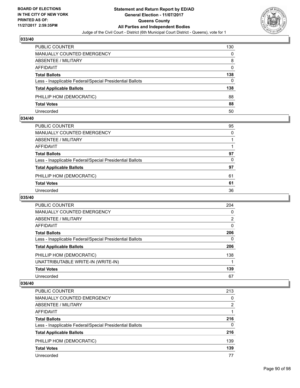

| <b>PUBLIC COUNTER</b>                                    | 130 |
|----------------------------------------------------------|-----|
| MANUALLY COUNTED EMERGENCY                               | 0   |
| ABSENTEE / MILITARY                                      | 8   |
| AFFIDAVIT                                                | 0   |
| <b>Total Ballots</b>                                     | 138 |
| Less - Inapplicable Federal/Special Presidential Ballots | 0   |
| <b>Total Applicable Ballots</b>                          | 138 |
| PHILLIP HOM (DEMOCRATIC)                                 | 88  |
| <b>Total Votes</b>                                       | 88  |
| Unrecorded                                               | 50  |

#### **034/40**

| PUBLIC COUNTER                                           | 95       |
|----------------------------------------------------------|----------|
| <b>MANUALLY COUNTED EMERGENCY</b>                        | $\Omega$ |
| <b>ABSENTEE / MILITARY</b>                               |          |
| <b>AFFIDAVIT</b>                                         |          |
| <b>Total Ballots</b>                                     | 97       |
| Less - Inapplicable Federal/Special Presidential Ballots | 0        |
| <b>Total Applicable Ballots</b>                          | 97       |
| PHILLIP HOM (DEMOCRATIC)                                 | 61       |
| <b>Total Votes</b>                                       | 61       |
| Unrecorded                                               | 36       |

## **035/40**

| <b>PUBLIC COUNTER</b>                                    | 204            |
|----------------------------------------------------------|----------------|
| <b>MANUALLY COUNTED EMERGENCY</b>                        | 0              |
| ABSENTEE / MILITARY                                      | $\overline{2}$ |
| AFFIDAVIT                                                | 0              |
| <b>Total Ballots</b>                                     | 206            |
| Less - Inapplicable Federal/Special Presidential Ballots | $\mathbf{0}$   |
| <b>Total Applicable Ballots</b>                          | 206            |
| PHILLIP HOM (DEMOCRATIC)                                 | 138            |
| UNATTRIBUTABLE WRITE-IN (WRITE-IN)                       |                |
| <b>Total Votes</b>                                       | 139            |
| Unrecorded                                               | 67             |

| PUBLIC COUNTER                                           | 213      |
|----------------------------------------------------------|----------|
| <b>MANUALLY COUNTED EMERGENCY</b>                        | 0        |
| ABSENTEE / MILITARY                                      | 2        |
| AFFIDAVIT                                                |          |
| <b>Total Ballots</b>                                     | 216      |
| Less - Inapplicable Federal/Special Presidential Ballots | $\Omega$ |
| <b>Total Applicable Ballots</b>                          | 216      |
| PHILLIP HOM (DEMOCRATIC)                                 | 139      |
| <b>Total Votes</b>                                       | 139      |
| Unrecorded                                               | 77       |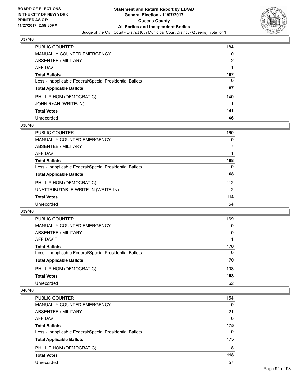

| <b>PUBLIC COUNTER</b>                                    | 184 |
|----------------------------------------------------------|-----|
| MANUALLY COUNTED EMERGENCY                               | 0   |
| ABSENTEE / MILITARY                                      | 2   |
| AFFIDAVIT                                                |     |
| <b>Total Ballots</b>                                     | 187 |
| Less - Inapplicable Federal/Special Presidential Ballots | 0   |
| <b>Total Applicable Ballots</b>                          | 187 |
| PHILLIP HOM (DEMOCRATIC)                                 | 140 |
| JOHN RYAN (WRITE-IN)                                     |     |
| <b>Total Votes</b>                                       | 141 |
| Unrecorded                                               | 46  |

### **038/40**

| <b>PUBLIC COUNTER</b>                                    | 160 |
|----------------------------------------------------------|-----|
| MANUALLY COUNTED EMERGENCY                               | 0   |
| ABSENTEE / MILITARY                                      | 7   |
| AFFIDAVIT                                                |     |
| <b>Total Ballots</b>                                     | 168 |
| Less - Inapplicable Federal/Special Presidential Ballots | 0   |
| <b>Total Applicable Ballots</b>                          | 168 |
| PHILLIP HOM (DEMOCRATIC)                                 | 112 |
| UNATTRIBUTABLE WRITE-IN (WRITE-IN)                       | 2   |
| <b>Total Votes</b>                                       | 114 |
| Unrecorded                                               | 54  |

#### **039/40**

| PUBLIC COUNTER                                           | 169      |
|----------------------------------------------------------|----------|
| MANUALLY COUNTED EMERGENCY                               | 0        |
| ABSENTEE / MILITARY                                      | $\Omega$ |
| AFFIDAVIT                                                |          |
| <b>Total Ballots</b>                                     | 170      |
| Less - Inapplicable Federal/Special Presidential Ballots | $\Omega$ |
| <b>Total Applicable Ballots</b>                          | 170      |
| PHILLIP HOM (DEMOCRATIC)                                 | 108      |
| <b>Total Votes</b>                                       | 108      |
| Unrecorded                                               | 62       |

| PUBLIC COUNTER                                           | 154      |
|----------------------------------------------------------|----------|
| <b>MANUALLY COUNTED EMERGENCY</b>                        | $\Omega$ |
| ABSENTEE / MILITARY                                      | 21       |
| AFFIDAVIT                                                | 0        |
| <b>Total Ballots</b>                                     | 175      |
| Less - Inapplicable Federal/Special Presidential Ballots | 0        |
| <b>Total Applicable Ballots</b>                          | 175      |
| PHILLIP HOM (DEMOCRATIC)                                 | 118      |
| <b>Total Votes</b>                                       | 118      |
| Unrecorded                                               | 57       |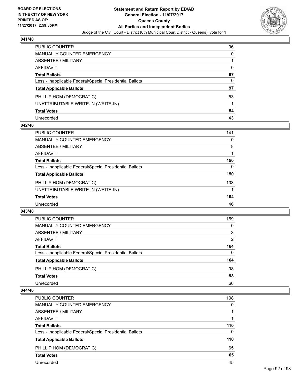

| PUBLIC COUNTER                                           | 96 |
|----------------------------------------------------------|----|
| <b>MANUALLY COUNTED EMERGENCY</b>                        | 0  |
| <b>ABSENTEE / MILITARY</b>                               |    |
| AFFIDAVIT                                                | 0  |
| <b>Total Ballots</b>                                     | 97 |
| Less - Inapplicable Federal/Special Presidential Ballots | 0  |
| <b>Total Applicable Ballots</b>                          | 97 |
| PHILLIP HOM (DEMOCRATIC)                                 | 53 |
| UNATTRIBUTABLE WRITE-IN (WRITE-IN)                       |    |
| <b>Total Votes</b>                                       | 54 |
| Unrecorded                                               | 43 |

### **042/40**

| <b>PUBLIC COUNTER</b>                                    | 141 |
|----------------------------------------------------------|-----|
| MANUALLY COUNTED EMERGENCY                               | 0   |
| ABSENTEE / MILITARY                                      | 8   |
| AFFIDAVIT                                                |     |
| <b>Total Ballots</b>                                     | 150 |
| Less - Inapplicable Federal/Special Presidential Ballots | 0   |
| <b>Total Applicable Ballots</b>                          | 150 |
| PHILLIP HOM (DEMOCRATIC)                                 | 103 |
| UNATTRIBUTABLE WRITE-IN (WRITE-IN)                       |     |
| <b>Total Votes</b>                                       | 104 |
| Unrecorded                                               | 46  |

#### **043/40**

| PUBLIC COUNTER                                           | 159 |
|----------------------------------------------------------|-----|
| MANUALLY COUNTED EMERGENCY                               | 0   |
| ABSENTEE / MILITARY                                      | 3   |
| AFFIDAVIT                                                | 2   |
| <b>Total Ballots</b>                                     | 164 |
| Less - Inapplicable Federal/Special Presidential Ballots | 0   |
| <b>Total Applicable Ballots</b>                          | 164 |
| PHILLIP HOM (DEMOCRATIC)                                 | 98  |
| <b>Total Votes</b>                                       | 98  |
| Unrecorded                                               | 66  |

| PUBLIC COUNTER                                           | 108      |
|----------------------------------------------------------|----------|
| <b>MANUALLY COUNTED EMERGENCY</b>                        | 0        |
| ABSENTEE / MILITARY                                      |          |
| AFFIDAVIT                                                |          |
| <b>Total Ballots</b>                                     | 110      |
| Less - Inapplicable Federal/Special Presidential Ballots | $\Omega$ |
| <b>Total Applicable Ballots</b>                          | 110      |
| PHILLIP HOM (DEMOCRATIC)                                 | 65       |
| <b>Total Votes</b>                                       | 65       |
| Unrecorded                                               | 45       |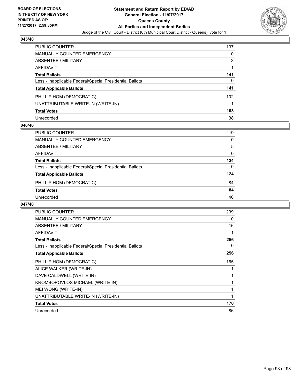

| <b>PUBLIC COUNTER</b>                                    | 137 |
|----------------------------------------------------------|-----|
| <b>MANUALLY COUNTED EMERGENCY</b>                        | 0   |
| <b>ABSENTEE / MILITARY</b>                               | 3   |
| <b>AFFIDAVIT</b>                                         |     |
| <b>Total Ballots</b>                                     | 141 |
| Less - Inapplicable Federal/Special Presidential Ballots | 0   |
| <b>Total Applicable Ballots</b>                          | 141 |
| PHILLIP HOM (DEMOCRATIC)                                 | 102 |
| UNATTRIBUTABLE WRITE-IN (WRITE-IN)                       |     |
| <b>Total Votes</b>                                       | 103 |
| Unrecorded                                               | 38  |

#### **046/40**

| <b>PUBLIC COUNTER</b>                                    | 119      |
|----------------------------------------------------------|----------|
| MANUALLY COUNTED EMERGENCY                               | 0        |
| ABSENTEE / MILITARY                                      | 5        |
| AFFIDAVIT                                                | $\Omega$ |
| <b>Total Ballots</b>                                     | 124      |
| Less - Inapplicable Federal/Special Presidential Ballots | 0        |
| <b>Total Applicable Ballots</b>                          | 124      |
| PHILLIP HOM (DEMOCRATIC)                                 | 84       |
| <b>Total Votes</b>                                       | 84       |
| Unrecorded                                               | 40       |

| <b>PUBLIC COUNTER</b>                                    | 239 |
|----------------------------------------------------------|-----|
| <b>MANUALLY COUNTED EMERGENCY</b>                        | 0   |
| ABSENTEE / MILITARY                                      | 16  |
| <b>AFFIDAVIT</b>                                         |     |
| <b>Total Ballots</b>                                     | 256 |
| Less - Inapplicable Federal/Special Presidential Ballots | 0   |
| <b>Total Applicable Ballots</b>                          | 256 |
| PHILLIP HOM (DEMOCRATIC)                                 | 165 |
| ALICE WALKER (WRITE-IN)                                  |     |
| DAVE CALDWELL (WRITE-IN)                                 |     |
| KROMBOPOVLOS MICHAEL (WRITE-IN)                          |     |
| MEI WONG (WRITE-IN)                                      |     |
| UNATTRIBUTABLE WRITE-IN (WRITE-IN)                       |     |
| <b>Total Votes</b>                                       | 170 |
| Unrecorded                                               | 86  |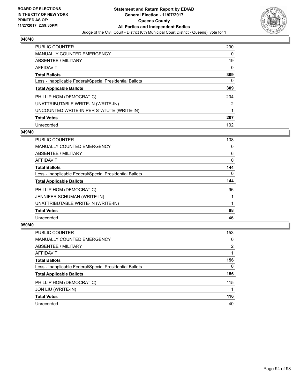

| <b>PUBLIC COUNTER</b>                                    | 290 |
|----------------------------------------------------------|-----|
| <b>MANUALLY COUNTED EMERGENCY</b>                        | 0   |
| ABSENTEE / MILITARY                                      | 19  |
| AFFIDAVIT                                                | 0   |
| <b>Total Ballots</b>                                     | 309 |
| Less - Inapplicable Federal/Special Presidential Ballots | 0   |
| <b>Total Applicable Ballots</b>                          | 309 |
| PHILLIP HOM (DEMOCRATIC)                                 | 204 |
| UNATTRIBUTABLE WRITE-IN (WRITE-IN)                       | 2   |
|                                                          |     |
| UNCOUNTED WRITE-IN PER STATUTE (WRITE-IN)                |     |
| <b>Total Votes</b>                                       | 207 |

#### **049/40**

| <b>PUBLIC COUNTER</b>                                    | 138      |
|----------------------------------------------------------|----------|
| MANUALLY COUNTED EMERGENCY                               | 0        |
| ABSENTEE / MILITARY                                      | 6        |
| <b>AFFIDAVIT</b>                                         | 0        |
| <b>Total Ballots</b>                                     | 144      |
| Less - Inapplicable Federal/Special Presidential Ballots | $\Omega$ |
| <b>Total Applicable Ballots</b>                          | 144      |
| PHILLIP HOM (DEMOCRATIC)                                 | 96       |
| JENNIFER SCHUMAN (WRITE-IN)                              |          |
| UNATTRIBUTABLE WRITE-IN (WRITE-IN)                       |          |
| <b>Total Votes</b>                                       | 98       |
| Unrecorded                                               | 46       |

| <b>PUBLIC COUNTER</b>                                    | 153 |
|----------------------------------------------------------|-----|
| <b>MANUALLY COUNTED EMERGENCY</b>                        | 0   |
| ABSENTEE / MILITARY                                      | 2   |
| AFFIDAVIT                                                |     |
| <b>Total Ballots</b>                                     | 156 |
| Less - Inapplicable Federal/Special Presidential Ballots | 0   |
| <b>Total Applicable Ballots</b>                          | 156 |
| PHILLIP HOM (DEMOCRATIC)                                 | 115 |
| JON LIU (WRITE-IN)                                       | 1   |
| <b>Total Votes</b>                                       | 116 |
| Unrecorded                                               | 40  |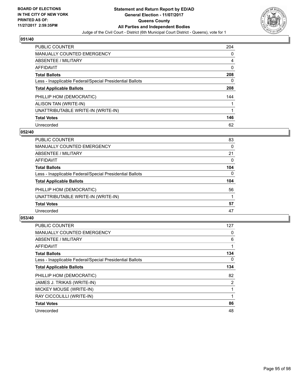

| <b>PUBLIC COUNTER</b>                                    | 204 |
|----------------------------------------------------------|-----|
| <b>MANUALLY COUNTED EMERGENCY</b>                        | 0   |
| ABSENTEE / MILITARY                                      | 4   |
| AFFIDAVIT                                                | 0   |
| <b>Total Ballots</b>                                     | 208 |
| Less - Inapplicable Federal/Special Presidential Ballots | 0   |
| <b>Total Applicable Ballots</b>                          | 208 |
| PHILLIP HOM (DEMOCRATIC)                                 | 144 |
| ALISON TAN (WRITE-IN)                                    |     |
| UNATTRIBUTABLE WRITE-IN (WRITE-IN)                       | 1   |
| <b>Total Votes</b>                                       | 146 |
| Unrecorded                                               | 62  |

### **052/40**

| <b>PUBLIC COUNTER</b>                                    | 83       |
|----------------------------------------------------------|----------|
| MANUALLY COUNTED EMERGENCY                               | 0        |
| ABSENTEE / MILITARY                                      | 21       |
| <b>AFFIDAVIT</b>                                         | 0        |
| <b>Total Ballots</b>                                     | 104      |
| Less - Inapplicable Federal/Special Presidential Ballots | $\Omega$ |
| <b>Total Applicable Ballots</b>                          | 104      |
| PHILLIP HOM (DEMOCRATIC)                                 | 56       |
| UNATTRIBUTABLE WRITE-IN (WRITE-IN)                       |          |
| <b>Total Votes</b>                                       | 57       |
| Unrecorded                                               | 47       |

| PUBLIC COUNTER                                           | 127            |
|----------------------------------------------------------|----------------|
| <b>MANUALLY COUNTED EMERGENCY</b>                        | 0              |
| ABSENTEE / MILITARY                                      | 6              |
| <b>AFFIDAVIT</b>                                         |                |
| <b>Total Ballots</b>                                     | 134            |
| Less - Inapplicable Federal/Special Presidential Ballots | 0              |
| <b>Total Applicable Ballots</b>                          | 134            |
| PHILLIP HOM (DEMOCRATIC)                                 | 82             |
| JAMES J. TRIKAS (WRITE-IN)                               | $\overline{2}$ |
| MICKEY MOUSE (WRITE-IN)                                  |                |
| RAY CICCOLILLI (WRITE-IN)                                | 1              |
| <b>Total Votes</b>                                       | 86             |
| Unrecorded                                               | 48             |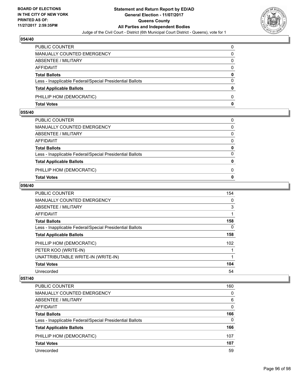

| <b>Total Votes</b>                                       | $\mathbf{0}$ |
|----------------------------------------------------------|--------------|
| PHILLIP HOM (DEMOCRATIC)                                 | $\Omega$     |
| <b>Total Applicable Ballots</b>                          | $\bf{0}$     |
| Less - Inapplicable Federal/Special Presidential Ballots | $\mathbf{0}$ |
| <b>Total Ballots</b>                                     | 0            |
| <b>AFFIDAVIT</b>                                         | 0            |
| ABSENTEE / MILITARY                                      | 0            |
| <b>MANUALLY COUNTED EMERGENCY</b>                        | 0            |
| PUBLIC COUNTER                                           | 0            |

## **055/40**

| PUBLIC COUNTER                                           | 0            |
|----------------------------------------------------------|--------------|
| MANUALLY COUNTED EMERGENCY                               | $\Omega$     |
| ABSENTEE / MILITARY                                      | 0            |
| AFFIDAVIT                                                | $\mathbf{0}$ |
| <b>Total Ballots</b>                                     | $\mathbf{0}$ |
| Less - Inapplicable Federal/Special Presidential Ballots | $\mathbf{0}$ |
| <b>Total Applicable Ballots</b>                          | $\mathbf{0}$ |
| PHILLIP HOM (DEMOCRATIC)                                 | 0            |
| <b>Total Votes</b>                                       | 0            |
|                                                          |              |

### **056/40**

| <b>PUBLIC COUNTER</b>                                    | 154      |
|----------------------------------------------------------|----------|
| <b>MANUALLY COUNTED EMERGENCY</b>                        | 0        |
| ABSENTEE / MILITARY                                      | 3        |
| AFFIDAVIT                                                |          |
| <b>Total Ballots</b>                                     | 158      |
| Less - Inapplicable Federal/Special Presidential Ballots | $\Omega$ |
| <b>Total Applicable Ballots</b>                          | 158      |
| PHILLIP HOM (DEMOCRATIC)                                 | 102      |
| PETER KOO (WRITE-IN)                                     |          |
| UNATTRIBUTABLE WRITE-IN (WRITE-IN)                       |          |
| <b>Total Votes</b>                                       | 104      |
| Unrecorded                                               | 54       |

| <b>PUBLIC COUNTER</b>                                    | 160 |
|----------------------------------------------------------|-----|
| MANUALLY COUNTED EMERGENCY                               | 0   |
| ABSENTEE / MILITARY                                      | 6   |
| AFFIDAVIT                                                | 0   |
| <b>Total Ballots</b>                                     | 166 |
| Less - Inapplicable Federal/Special Presidential Ballots | 0   |
| <b>Total Applicable Ballots</b>                          | 166 |
| PHILLIP HOM (DEMOCRATIC)                                 | 107 |
| <b>Total Votes</b>                                       | 107 |
| Unrecorded                                               | 59  |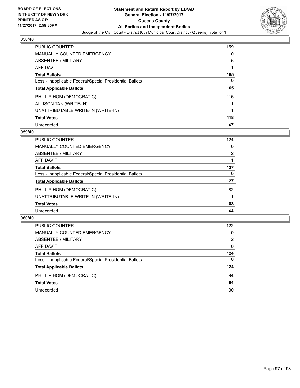

| <b>PUBLIC COUNTER</b>                                    | 159 |
|----------------------------------------------------------|-----|
| <b>MANUALLY COUNTED EMERGENCY</b>                        | 0   |
| ABSENTEE / MILITARY                                      | 5   |
| <b>AFFIDAVIT</b>                                         |     |
| <b>Total Ballots</b>                                     | 165 |
| Less - Inapplicable Federal/Special Presidential Ballots | 0   |
| <b>Total Applicable Ballots</b>                          | 165 |
| PHILLIP HOM (DEMOCRATIC)                                 | 116 |
| ALLISON TAN (WRITE-IN)                                   |     |
| UNATTRIBUTABLE WRITE-IN (WRITE-IN)                       |     |
| <b>Total Votes</b>                                       | 118 |
| Unrecorded                                               | 47  |

#### **059/40**

| PUBLIC COUNTER                                           | 124 |
|----------------------------------------------------------|-----|
| MANUALLY COUNTED EMERGENCY                               | 0   |
| ABSENTEE / MILITARY                                      | 2   |
| AFFIDAVIT                                                |     |
| <b>Total Ballots</b>                                     | 127 |
| Less - Inapplicable Federal/Special Presidential Ballots | 0   |
| <b>Total Applicable Ballots</b>                          | 127 |
| PHILLIP HOM (DEMOCRATIC)                                 | 82  |
| UNATTRIBUTABLE WRITE-IN (WRITE-IN)                       |     |
| <b>Total Votes</b>                                       | 83  |
| Unrecorded                                               | 44  |

| <b>PUBLIC COUNTER</b>                                    | 122 |
|----------------------------------------------------------|-----|
| MANUALLY COUNTED EMERGENCY                               | 0   |
| ABSENTEE / MILITARY                                      | 2   |
| AFFIDAVIT                                                | 0   |
| <b>Total Ballots</b>                                     | 124 |
| Less - Inapplicable Federal/Special Presidential Ballots | 0   |
| <b>Total Applicable Ballots</b>                          | 124 |
| PHILLIP HOM (DEMOCRATIC)                                 | 94  |
| <b>Total Votes</b>                                       | 94  |
| Unrecorded                                               | 30  |